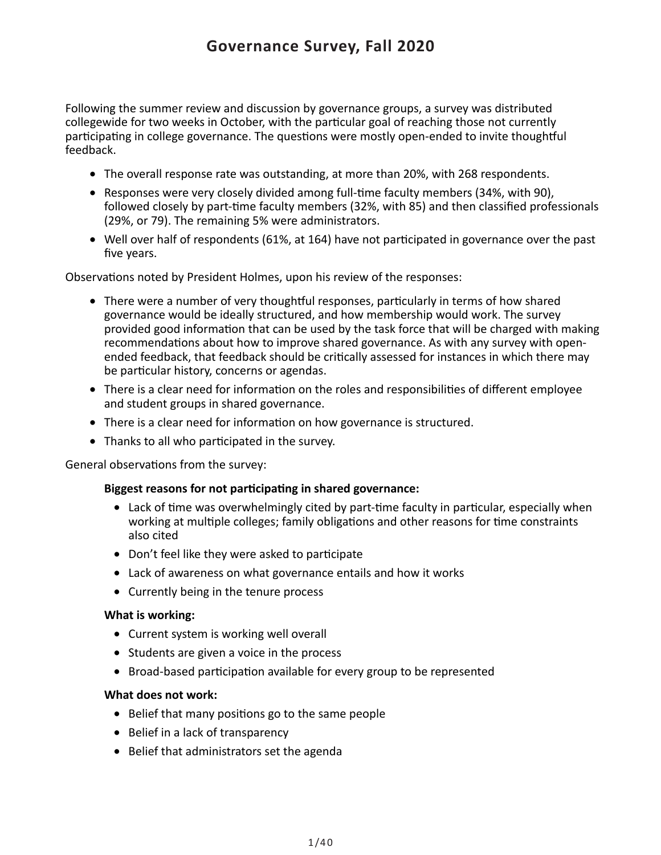Following the summer review and discussion by governance groups, a survey was distributed collegewide for two weeks in October, with the particular goal of reaching those not currently participating in college governance. The questions were mostly open-ended to invite thoughtful feedback.

- The overall response rate was outstanding, at more than 20%, with 268 respondents.
- Responses were very closely divided among full-time faculty members (34%, with 90), followed closely by part-time faculty members (32%, with 85) and then classified professionals (29%, or 79). The remaining 5% were administrators.
- Well over half of respondents (61%, at 164) have not participated in governance over the past five years.

Observations noted by President Holmes, upon his review of the responses:

- There were a number of very thoughtful responses, particularly in terms of how shared governance would be ideally structured, and how membership would work. The survey provided good information that can be used by the task force that will be charged with making recommendations about how to improve shared governance. As with any survey with openended feedback, that feedback should be critically assessed for instances in which there may be particular history, concerns or agendas.
- There is a clear need for information on the roles and responsibilities of different employee and student groups in shared governance.
- There is a clear need for information on how governance is structured.
- Thanks to all who participated in the survey.

General observations from the survey:

### **Biggest reasons for not participating in shared governance:**

- Lack of time was overwhelmingly cited by part-time faculty in particular, especially when working at multiple colleges; family obligations and other reasons for time constraints also cited
- Don't feel like they were asked to participate
- Lack of awareness on what governance entails and how it works
- Currently being in the tenure process

### **What is working:**

- Current system is working well overall
- Students are given a voice in the process
- Broad-based participation available for every group to be represented

### **What does not work:**

- Belief that many positions go to the same people
- Belief in a lack of transparency
- Belief that administrators set the agenda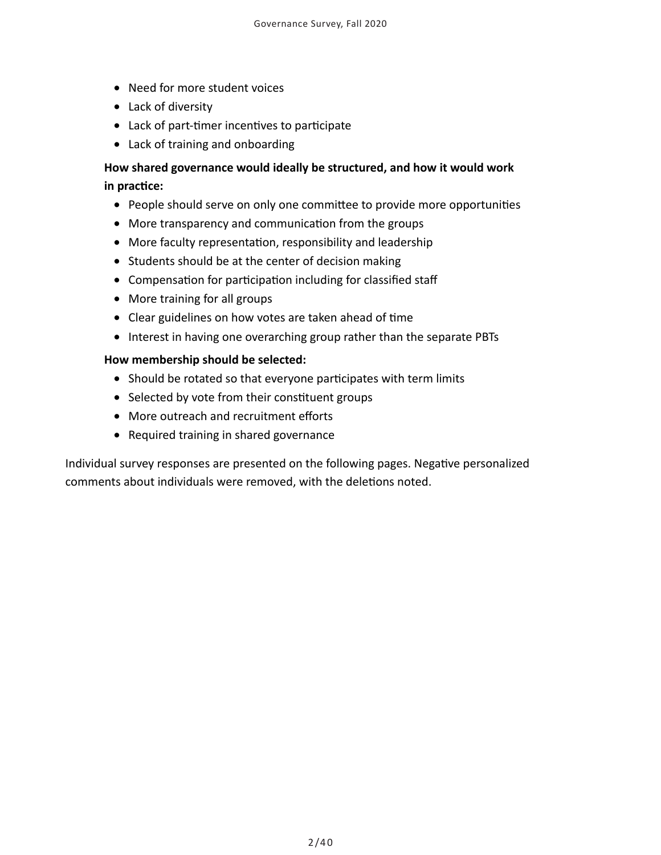- Need for more student voices
- • Lack of diversity
- • Lack of part-timer incentives to participate
- Lack of training and onboarding

## **How shared governance would ideally be structured, and how it would work in practice:**

- People should serve on only one committee to provide more opportunities
- More transparency and communication from the groups
- More faculty representation, responsibility and leadership
- Students should be at the center of decision making
- Compensation for participation including for classified staff
- More training for all groups
- Clear guidelines on how votes are taken ahead of time
- Interest in having one overarching group rather than the separate PBTs

### **How membership should be selected:**

- Should be rotated so that everyone participates with term limits
- Selected by vote from their constituent groups
- More outreach and recruitment efforts
- Required training in shared governance

Individual survey responses are presented on the following pages. Negative personalized comments about individuals were removed, with the deletions noted.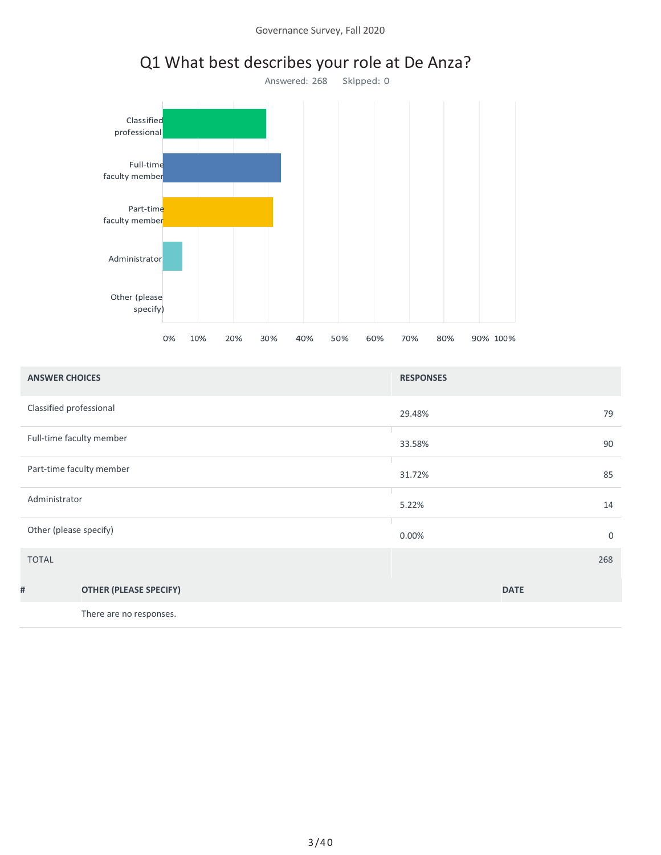

## Q1 What best describes your role at De Anza?

| <b>ANSWER CHOICES</b>    |                               | <b>RESPONSES</b> |             |
|--------------------------|-------------------------------|------------------|-------------|
| Classified professional  |                               | 29.48%           | 79          |
| Full-time faculty member |                               | 33.58%           | 90          |
|                          | Part-time faculty member      | 31.72%           | 85          |
| Administrator            |                               | 5.22%            | 14          |
| Other (please specify)   |                               | 0.00%            | $\mathbf 0$ |
| <b>TOTAL</b>             |                               |                  | 268         |
| #                        | <b>OTHER (PLEASE SPECIFY)</b> |                  | <b>DATE</b> |
|                          | There are no responses.       |                  |             |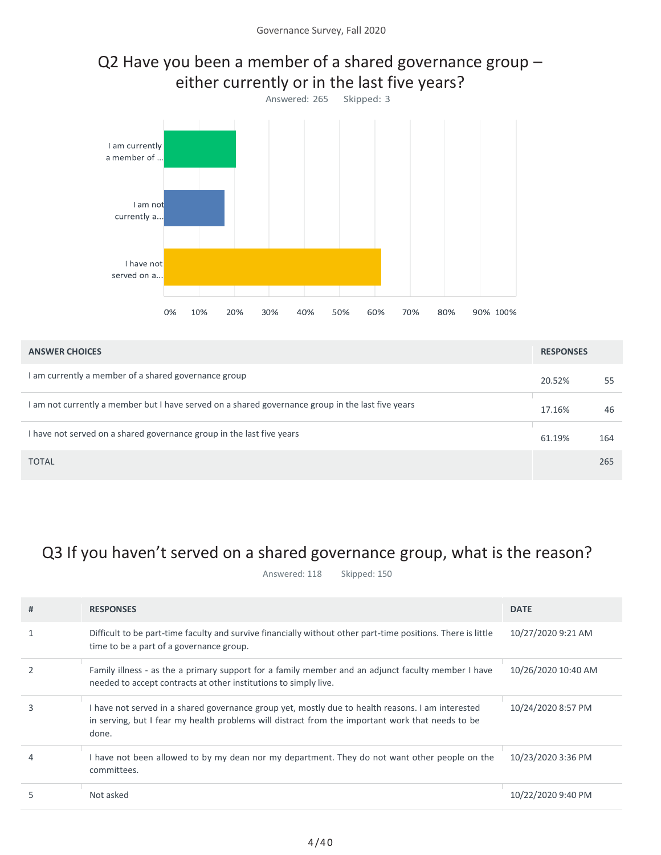

| <b>ANSWER CHOICES</b>                                                                             | <b>RESPONSES</b> |     |
|---------------------------------------------------------------------------------------------------|------------------|-----|
| I am currently a member of a shared governance group                                              | 20.52%           | 55  |
| I am not currently a member but I have served on a shared governance group in the last five years | 17.16%           | 46  |
| I have not served on a shared governance group in the last five years                             | 61.19%           | 164 |
| <b>TOTAL</b>                                                                                      |                  | 265 |

## Q3 If you haven't served on a shared governance group, what is the reason?

Answered: 118 Skipped: 150

| # | <b>RESPONSES</b>                                                                                                                                                                                               | <b>DATE</b>         |
|---|----------------------------------------------------------------------------------------------------------------------------------------------------------------------------------------------------------------|---------------------|
|   | Difficult to be part-time faculty and survive financially without other part-time positions. There is little<br>time to be a part of a governance group.                                                       | 10/27/2020 9:21 AM  |
|   | Family illness - as the a primary support for a family member and an adjunct faculty member I have<br>needed to accept contracts at other institutions to simply live.                                         | 10/26/2020 10:40 AM |
|   | I have not served in a shared governance group yet, mostly due to health reasons. I am interested<br>in serving, but I fear my health problems will distract from the important work that needs to be<br>done. | 10/24/2020 8:57 PM  |
|   | I have not been allowed to by my dean nor my department. They do not want other people on the<br>committees.                                                                                                   | 10/23/2020 3:36 PM  |
|   | Not asked                                                                                                                                                                                                      | 10/22/2020 9:40 PM  |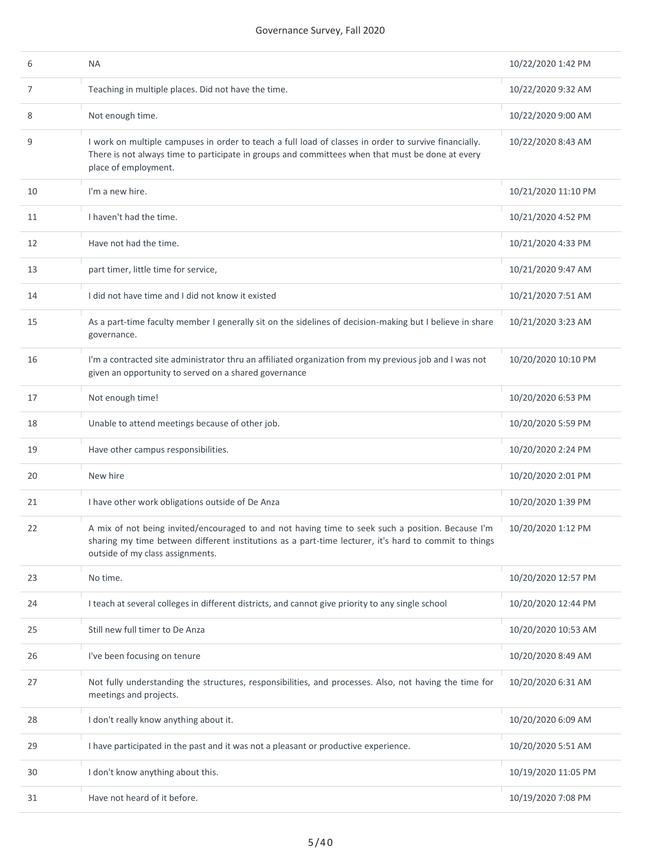| 6  | ΝA                                                                                                                                                                                                                                             | 10/22/2020 1:42 PM  |
|----|------------------------------------------------------------------------------------------------------------------------------------------------------------------------------------------------------------------------------------------------|---------------------|
| 7  | Teaching in multiple places. Did not have the time.                                                                                                                                                                                            | 10/22/2020 9:32 AM  |
| 8  | Not enough time.                                                                                                                                                                                                                               | 10/22/2020 9:00 AM  |
| 9  | I work on multiple campuses in order to teach a full load of classes in order to survive financially.<br>There is not always time to participate in groups and committees when that must be done at every<br>place of employment.              | 10/22/2020 8:43 AM  |
| 10 | I'm a new hire.                                                                                                                                                                                                                                | 10/21/2020 11:10 PM |
| 11 | I haven't had the time.                                                                                                                                                                                                                        | 10/21/2020 4:52 PM  |
| 12 | Have not had the time.                                                                                                                                                                                                                         | 10/21/2020 4:33 PM  |
| 13 | part timer, little time for service,                                                                                                                                                                                                           | 10/21/2020 9:47 AM  |
| 14 | I did not have time and I did not know it existed                                                                                                                                                                                              | 10/21/2020 7:51 AM  |
| 15 | As a part-time faculty member I generally sit on the sidelines of decision-making but I believe in share<br>governance.                                                                                                                        | 10/21/2020 3:23 AM  |
| 16 | I'm a contracted site administrator thru an affiliated organization from my previous job and I was not<br>given an opportunity to served on a shared governance                                                                                | 10/20/2020 10:10 PM |
| 17 | Not enough time!                                                                                                                                                                                                                               | 10/20/2020 6:53 PM  |
| 18 | Unable to attend meetings because of other job.                                                                                                                                                                                                | 10/20/2020 5:59 PM  |
| 19 | Have other campus responsibilities.                                                                                                                                                                                                            | 10/20/2020 2:24 PM  |
| 20 | New hire                                                                                                                                                                                                                                       | 10/20/2020 2:01 PM  |
| 21 | I have other work obligations outside of De Anza                                                                                                                                                                                               | 10/20/2020 1:39 PM  |
| 22 | A mix of not being invited/encouraged to and not having time to seek such a position. Because I'm<br>sharing my time between different institutions as a part-time lecturer, it's hard to commit to things<br>outside of my class assignments. | 10/20/2020 1:12 PM  |
| 23 | No time.                                                                                                                                                                                                                                       | 10/20/2020 12:57 PM |
| 24 | I teach at several colleges in different districts, and cannot give priority to any single school                                                                                                                                              | 10/20/2020 12:44 PM |
| 25 | Still new full timer to De Anza                                                                                                                                                                                                                | 10/20/2020 10:53 AM |
| 26 | I've been focusing on tenure                                                                                                                                                                                                                   | 10/20/2020 8:49 AM  |
| 27 | Not fully understanding the structures, responsibilities, and processes. Also, not having the time for<br>meetings and projects.                                                                                                               | 10/20/2020 6:31 AM  |
| 28 | I don't really know anything about it.                                                                                                                                                                                                         | 10/20/2020 6:09 AM  |
| 29 | I have participated in the past and it was not a pleasant or productive experience.                                                                                                                                                            | 10/20/2020 5:51 AM  |
| 30 | I don't know anything about this.                                                                                                                                                                                                              | 10/19/2020 11:05 PM |
| 31 | Have not heard of it before.                                                                                                                                                                                                                   | 10/19/2020 7:08 PM  |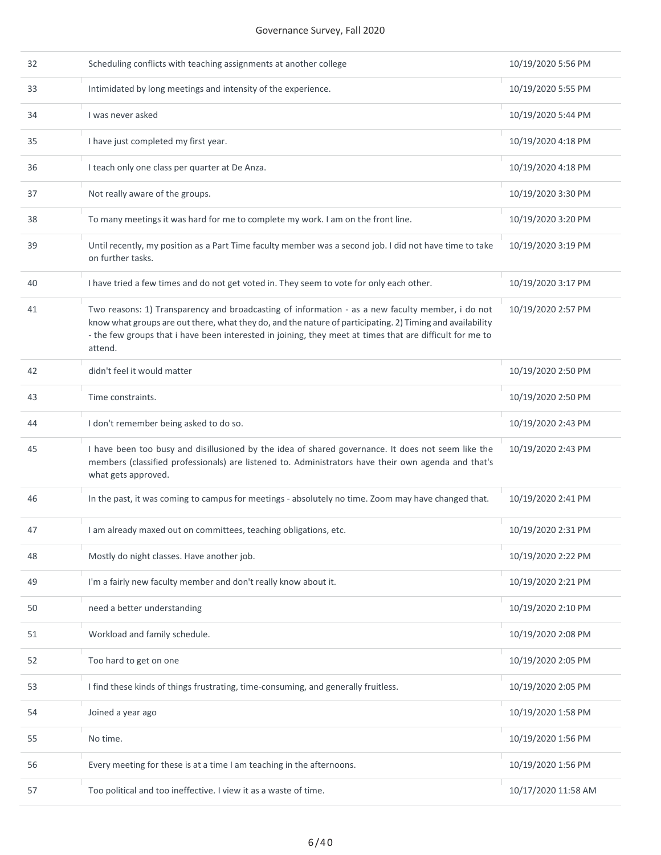| 32 | Scheduling conflicts with teaching assignments at another college                                                                                                                                                                                                                                                                    | 10/19/2020 5:56 PM  |
|----|--------------------------------------------------------------------------------------------------------------------------------------------------------------------------------------------------------------------------------------------------------------------------------------------------------------------------------------|---------------------|
| 33 | Intimidated by long meetings and intensity of the experience.                                                                                                                                                                                                                                                                        | 10/19/2020 5:55 PM  |
| 34 | I was never asked                                                                                                                                                                                                                                                                                                                    | 10/19/2020 5:44 PM  |
| 35 | I have just completed my first year.                                                                                                                                                                                                                                                                                                 | 10/19/2020 4:18 PM  |
| 36 | I teach only one class per quarter at De Anza.                                                                                                                                                                                                                                                                                       | 10/19/2020 4:18 PM  |
| 37 | Not really aware of the groups.                                                                                                                                                                                                                                                                                                      | 10/19/2020 3:30 PM  |
| 38 | To many meetings it was hard for me to complete my work. I am on the front line.                                                                                                                                                                                                                                                     | 10/19/2020 3:20 PM  |
| 39 | Until recently, my position as a Part Time faculty member was a second job. I did not have time to take<br>on further tasks.                                                                                                                                                                                                         | 10/19/2020 3:19 PM  |
| 40 | I have tried a few times and do not get voted in. They seem to vote for only each other.                                                                                                                                                                                                                                             | 10/19/2020 3:17 PM  |
| 41 | Two reasons: 1) Transparency and broadcasting of information - as a new faculty member, i do not<br>know what groups are out there, what they do, and the nature of participating. 2) Timing and availability<br>- the few groups that i have been interested in joining, they meet at times that are difficult for me to<br>attend. | 10/19/2020 2:57 PM  |
| 42 | didn't feel it would matter                                                                                                                                                                                                                                                                                                          | 10/19/2020 2:50 PM  |
| 43 | Time constraints.                                                                                                                                                                                                                                                                                                                    | 10/19/2020 2:50 PM  |
| 44 | I don't remember being asked to do so.                                                                                                                                                                                                                                                                                               | 10/19/2020 2:43 PM  |
| 45 | I have been too busy and disillusioned by the idea of shared governance. It does not seem like the<br>members (classified professionals) are listened to. Administrators have their own agenda and that's<br>what gets approved.                                                                                                     | 10/19/2020 2:43 PM  |
| 46 | In the past, it was coming to campus for meetings - absolutely no time. Zoom may have changed that.                                                                                                                                                                                                                                  | 10/19/2020 2:41 PM  |
| 47 | I am already maxed out on committees, teaching obligations, etc.                                                                                                                                                                                                                                                                     | 10/19/2020 2:31 PM  |
| 48 | Mostly do night classes. Have another job.                                                                                                                                                                                                                                                                                           | 10/19/2020 2:22 PM  |
| 49 | I'm a fairly new faculty member and don't really know about it.                                                                                                                                                                                                                                                                      | 10/19/2020 2:21 PM  |
| 50 | need a better understanding                                                                                                                                                                                                                                                                                                          | 10/19/2020 2:10 PM  |
| 51 | Workload and family schedule.                                                                                                                                                                                                                                                                                                        | 10/19/2020 2:08 PM  |
| 52 | Too hard to get on one                                                                                                                                                                                                                                                                                                               | 10/19/2020 2:05 PM  |
| 53 | I find these kinds of things frustrating, time-consuming, and generally fruitless.                                                                                                                                                                                                                                                   | 10/19/2020 2:05 PM  |
| 54 | Joined a year ago                                                                                                                                                                                                                                                                                                                    | 10/19/2020 1:58 PM  |
| 55 | No time.                                                                                                                                                                                                                                                                                                                             | 10/19/2020 1:56 PM  |
| 56 | Every meeting for these is at a time I am teaching in the afternoons.                                                                                                                                                                                                                                                                | 10/19/2020 1:56 PM  |
| 57 | Too political and too ineffective. I view it as a waste of time.                                                                                                                                                                                                                                                                     | 10/17/2020 11:58 AM |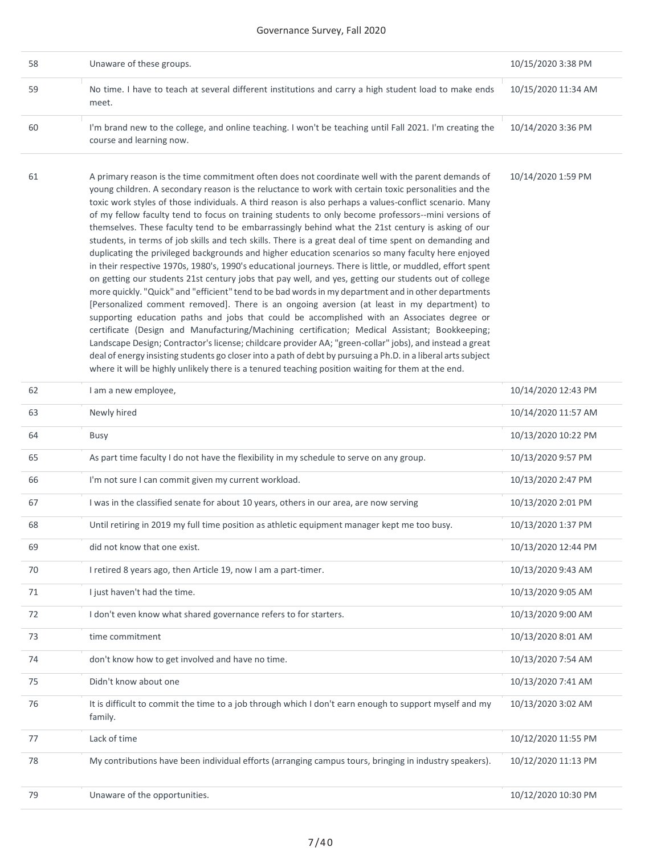| 58 | Unaware of these groups.                                                                                                                                                                                                                                                                                                                                                                                                                                                                                                                                                                                                                                                                                                                                                                                                                                                                                                                                                                                                                                                                                                                                                                                                                                                                                                                                                                                                                                                                                                                                                                                                                                                                                           | 10/15/2020 3:38 PM  |
|----|--------------------------------------------------------------------------------------------------------------------------------------------------------------------------------------------------------------------------------------------------------------------------------------------------------------------------------------------------------------------------------------------------------------------------------------------------------------------------------------------------------------------------------------------------------------------------------------------------------------------------------------------------------------------------------------------------------------------------------------------------------------------------------------------------------------------------------------------------------------------------------------------------------------------------------------------------------------------------------------------------------------------------------------------------------------------------------------------------------------------------------------------------------------------------------------------------------------------------------------------------------------------------------------------------------------------------------------------------------------------------------------------------------------------------------------------------------------------------------------------------------------------------------------------------------------------------------------------------------------------------------------------------------------------------------------------------------------------|---------------------|
| 59 | No time. I have to teach at several different institutions and carry a high student load to make ends<br>meet.                                                                                                                                                                                                                                                                                                                                                                                                                                                                                                                                                                                                                                                                                                                                                                                                                                                                                                                                                                                                                                                                                                                                                                                                                                                                                                                                                                                                                                                                                                                                                                                                     | 10/15/2020 11:34 AM |
| 60 | I'm brand new to the college, and online teaching. I won't be teaching until Fall 2021. I'm creating the<br>course and learning now.                                                                                                                                                                                                                                                                                                                                                                                                                                                                                                                                                                                                                                                                                                                                                                                                                                                                                                                                                                                                                                                                                                                                                                                                                                                                                                                                                                                                                                                                                                                                                                               | 10/14/2020 3:36 PM  |
| 61 | A primary reason is the time commitment often does not coordinate well with the parent demands of<br>young children. A secondary reason is the reluctance to work with certain toxic personalities and the<br>toxic work styles of those individuals. A third reason is also perhaps a values-conflict scenario. Many<br>of my fellow faculty tend to focus on training students to only become professors--mini versions of<br>themselves. These faculty tend to be embarrassingly behind what the 21st century is asking of our<br>students, in terms of job skills and tech skills. There is a great deal of time spent on demanding and<br>duplicating the privileged backgrounds and higher education scenarios so many faculty here enjoyed<br>in their respective 1970s, 1980's, 1990's educational journeys. There is little, or muddled, effort spent<br>on getting our students 21st century jobs that pay well, and yes, getting our students out of college<br>more quickly. "Quick" and "efficient" tend to be bad words in my department and in other departments<br>[Personalized comment removed]. There is an ongoing aversion (at least in my department) to<br>supporting education paths and jobs that could be accomplished with an Associates degree or<br>certificate (Design and Manufacturing/Machining certification; Medical Assistant; Bookkeeping;<br>Landscape Design; Contractor's license; childcare provider AA; "green-collar" jobs), and instead a great<br>deal of energy insisting students go closer into a path of debt by pursuing a Ph.D. in a liberal arts subject<br>where it will be highly unlikely there is a tenured teaching position waiting for them at the end. | 10/14/2020 1:59 PM  |
| 62 | I am a new employee,                                                                                                                                                                                                                                                                                                                                                                                                                                                                                                                                                                                                                                                                                                                                                                                                                                                                                                                                                                                                                                                                                                                                                                                                                                                                                                                                                                                                                                                                                                                                                                                                                                                                                               | 10/14/2020 12:43 PM |
| 63 | Newly hired                                                                                                                                                                                                                                                                                                                                                                                                                                                                                                                                                                                                                                                                                                                                                                                                                                                                                                                                                                                                                                                                                                                                                                                                                                                                                                                                                                                                                                                                                                                                                                                                                                                                                                        | 10/14/2020 11:57 AM |
| 64 | Busy                                                                                                                                                                                                                                                                                                                                                                                                                                                                                                                                                                                                                                                                                                                                                                                                                                                                                                                                                                                                                                                                                                                                                                                                                                                                                                                                                                                                                                                                                                                                                                                                                                                                                                               | 10/13/2020 10:22 PM |
| 65 | As part time faculty I do not have the flexibility in my schedule to serve on any group.                                                                                                                                                                                                                                                                                                                                                                                                                                                                                                                                                                                                                                                                                                                                                                                                                                                                                                                                                                                                                                                                                                                                                                                                                                                                                                                                                                                                                                                                                                                                                                                                                           | 10/13/2020 9:57 PM  |
| 66 | I'm not sure I can commit given my current workload.                                                                                                                                                                                                                                                                                                                                                                                                                                                                                                                                                                                                                                                                                                                                                                                                                                                                                                                                                                                                                                                                                                                                                                                                                                                                                                                                                                                                                                                                                                                                                                                                                                                               | 10/13/2020 2:47 PM  |
| 67 | I was in the classified senate for about 10 years, others in our area, are now serving                                                                                                                                                                                                                                                                                                                                                                                                                                                                                                                                                                                                                                                                                                                                                                                                                                                                                                                                                                                                                                                                                                                                                                                                                                                                                                                                                                                                                                                                                                                                                                                                                             | 10/13/2020 2:01 PM  |
| 68 | Until retiring in 2019 my full time position as athletic equipment manager kept me too busy.                                                                                                                                                                                                                                                                                                                                                                                                                                                                                                                                                                                                                                                                                                                                                                                                                                                                                                                                                                                                                                                                                                                                                                                                                                                                                                                                                                                                                                                                                                                                                                                                                       | 10/13/2020 1:37 PM  |
| 69 | did not know that one exist.                                                                                                                                                                                                                                                                                                                                                                                                                                                                                                                                                                                                                                                                                                                                                                                                                                                                                                                                                                                                                                                                                                                                                                                                                                                                                                                                                                                                                                                                                                                                                                                                                                                                                       | 10/13/2020 12:44 PM |
| 70 | I retired 8 years ago, then Article 19, now I am a part-timer.                                                                                                                                                                                                                                                                                                                                                                                                                                                                                                                                                                                                                                                                                                                                                                                                                                                                                                                                                                                                                                                                                                                                                                                                                                                                                                                                                                                                                                                                                                                                                                                                                                                     | 10/13/2020 9:43 AM  |
| 71 | I just haven't had the time.                                                                                                                                                                                                                                                                                                                                                                                                                                                                                                                                                                                                                                                                                                                                                                                                                                                                                                                                                                                                                                                                                                                                                                                                                                                                                                                                                                                                                                                                                                                                                                                                                                                                                       | 10/13/2020 9:05 AM  |
| 72 | I don't even know what shared governance refers to for starters.                                                                                                                                                                                                                                                                                                                                                                                                                                                                                                                                                                                                                                                                                                                                                                                                                                                                                                                                                                                                                                                                                                                                                                                                                                                                                                                                                                                                                                                                                                                                                                                                                                                   | 10/13/2020 9:00 AM  |
| 73 | time commitment                                                                                                                                                                                                                                                                                                                                                                                                                                                                                                                                                                                                                                                                                                                                                                                                                                                                                                                                                                                                                                                                                                                                                                                                                                                                                                                                                                                                                                                                                                                                                                                                                                                                                                    | 10/13/2020 8:01 AM  |
| 74 | don't know how to get involved and have no time.                                                                                                                                                                                                                                                                                                                                                                                                                                                                                                                                                                                                                                                                                                                                                                                                                                                                                                                                                                                                                                                                                                                                                                                                                                                                                                                                                                                                                                                                                                                                                                                                                                                                   | 10/13/2020 7:54 AM  |
| 75 | Didn't know about one                                                                                                                                                                                                                                                                                                                                                                                                                                                                                                                                                                                                                                                                                                                                                                                                                                                                                                                                                                                                                                                                                                                                                                                                                                                                                                                                                                                                                                                                                                                                                                                                                                                                                              | 10/13/2020 7:41 AM  |
| 76 | It is difficult to commit the time to a job through which I don't earn enough to support myself and my<br>family.                                                                                                                                                                                                                                                                                                                                                                                                                                                                                                                                                                                                                                                                                                                                                                                                                                                                                                                                                                                                                                                                                                                                                                                                                                                                                                                                                                                                                                                                                                                                                                                                  | 10/13/2020 3:02 AM  |
| 77 | Lack of time                                                                                                                                                                                                                                                                                                                                                                                                                                                                                                                                                                                                                                                                                                                                                                                                                                                                                                                                                                                                                                                                                                                                                                                                                                                                                                                                                                                                                                                                                                                                                                                                                                                                                                       | 10/12/2020 11:55 PM |
| 78 | My contributions have been individual efforts (arranging campus tours, bringing in industry speakers).                                                                                                                                                                                                                                                                                                                                                                                                                                                                                                                                                                                                                                                                                                                                                                                                                                                                                                                                                                                                                                                                                                                                                                                                                                                                                                                                                                                                                                                                                                                                                                                                             | 10/12/2020 11:13 PM |
| 79 | Unaware of the opportunities.                                                                                                                                                                                                                                                                                                                                                                                                                                                                                                                                                                                                                                                                                                                                                                                                                                                                                                                                                                                                                                                                                                                                                                                                                                                                                                                                                                                                                                                                                                                                                                                                                                                                                      | 10/12/2020 10:30 PM |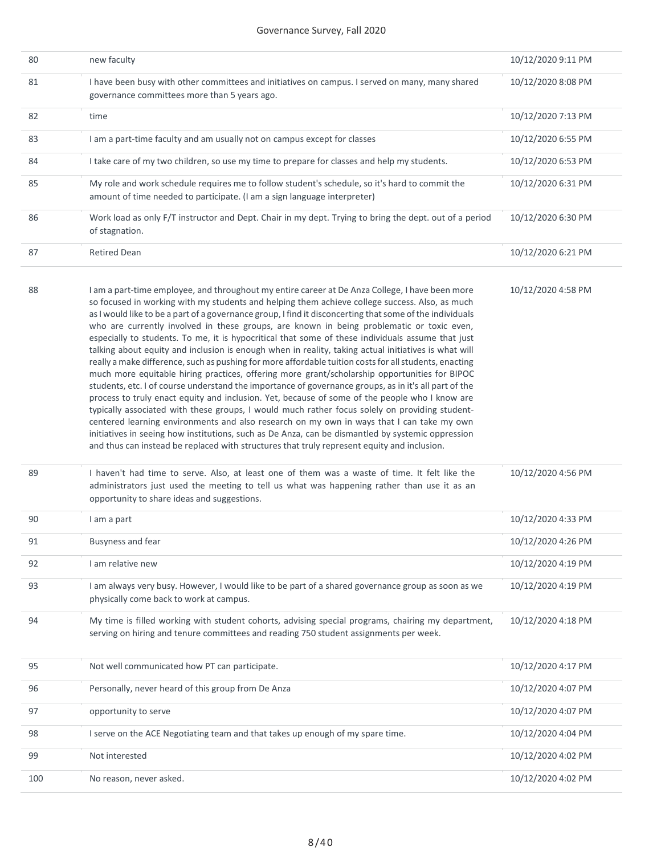| 80  | new faculty                                                                                                                                                                                                                                                                                                                                                                                                                                                                                                                                                                                                                                                                                                                                                                                                                                                                                                                                                                                                                                                                                                                                                                                                                                                                                                                                                                                                                                      | 10/12/2020 9:11 PM |
|-----|--------------------------------------------------------------------------------------------------------------------------------------------------------------------------------------------------------------------------------------------------------------------------------------------------------------------------------------------------------------------------------------------------------------------------------------------------------------------------------------------------------------------------------------------------------------------------------------------------------------------------------------------------------------------------------------------------------------------------------------------------------------------------------------------------------------------------------------------------------------------------------------------------------------------------------------------------------------------------------------------------------------------------------------------------------------------------------------------------------------------------------------------------------------------------------------------------------------------------------------------------------------------------------------------------------------------------------------------------------------------------------------------------------------------------------------------------|--------------------|
| 81  | I have been busy with other committees and initiatives on campus. I served on many, many shared<br>governance committees more than 5 years ago.                                                                                                                                                                                                                                                                                                                                                                                                                                                                                                                                                                                                                                                                                                                                                                                                                                                                                                                                                                                                                                                                                                                                                                                                                                                                                                  | 10/12/2020 8:08 PM |
| 82  | time                                                                                                                                                                                                                                                                                                                                                                                                                                                                                                                                                                                                                                                                                                                                                                                                                                                                                                                                                                                                                                                                                                                                                                                                                                                                                                                                                                                                                                             | 10/12/2020 7:13 PM |
| 83  | I am a part-time faculty and am usually not on campus except for classes                                                                                                                                                                                                                                                                                                                                                                                                                                                                                                                                                                                                                                                                                                                                                                                                                                                                                                                                                                                                                                                                                                                                                                                                                                                                                                                                                                         | 10/12/2020 6:55 PM |
| 84  | I take care of my two children, so use my time to prepare for classes and help my students.                                                                                                                                                                                                                                                                                                                                                                                                                                                                                                                                                                                                                                                                                                                                                                                                                                                                                                                                                                                                                                                                                                                                                                                                                                                                                                                                                      | 10/12/2020 6:53 PM |
| 85  | My role and work schedule requires me to follow student's schedule, so it's hard to commit the<br>amount of time needed to participate. (I am a sign language interpreter)                                                                                                                                                                                                                                                                                                                                                                                                                                                                                                                                                                                                                                                                                                                                                                                                                                                                                                                                                                                                                                                                                                                                                                                                                                                                       | 10/12/2020 6:31 PM |
| 86  | Work load as only F/T instructor and Dept. Chair in my dept. Trying to bring the dept. out of a period<br>of stagnation.                                                                                                                                                                                                                                                                                                                                                                                                                                                                                                                                                                                                                                                                                                                                                                                                                                                                                                                                                                                                                                                                                                                                                                                                                                                                                                                         | 10/12/2020 6:30 PM |
| 87  | <b>Retired Dean</b>                                                                                                                                                                                                                                                                                                                                                                                                                                                                                                                                                                                                                                                                                                                                                                                                                                                                                                                                                                                                                                                                                                                                                                                                                                                                                                                                                                                                                              | 10/12/2020 6:21 PM |
| 88  | I am a part-time employee, and throughout my entire career at De Anza College, I have been more<br>so focused in working with my students and helping them achieve college success. Also, as much<br>as I would like to be a part of a governance group, I find it disconcerting that some of the individuals<br>who are currently involved in these groups, are known in being problematic or toxic even,<br>especially to students. To me, it is hypocritical that some of these individuals assume that just<br>talking about equity and inclusion is enough when in reality, taking actual initiatives is what will<br>really a make difference, such as pushing for more affordable tuition costs for all students, enacting<br>much more equitable hiring practices, offering more grant/scholarship opportunities for BIPOC<br>students, etc. I of course understand the importance of governance groups, as in it's all part of the<br>process to truly enact equity and inclusion. Yet, because of some of the people who I know are<br>typically associated with these groups, I would much rather focus solely on providing student-<br>centered learning environments and also research on my own in ways that I can take my own<br>initiatives in seeing how institutions, such as De Anza, can be dismantled by systemic oppression<br>and thus can instead be replaced with structures that truly represent equity and inclusion. | 10/12/2020 4:58 PM |
| 89  | I haven't had time to serve. Also, at least one of them was a waste of time. It felt like the<br>administrators just used the meeting to tell us what was happening rather than use it as an<br>opportunity to share ideas and suggestions.                                                                                                                                                                                                                                                                                                                                                                                                                                                                                                                                                                                                                                                                                                                                                                                                                                                                                                                                                                                                                                                                                                                                                                                                      | 10/12/2020 4:56 PM |
| 90  | I am a part                                                                                                                                                                                                                                                                                                                                                                                                                                                                                                                                                                                                                                                                                                                                                                                                                                                                                                                                                                                                                                                                                                                                                                                                                                                                                                                                                                                                                                      | 10/12/2020 4:33 PM |
| 91  | <b>Busyness and fear</b>                                                                                                                                                                                                                                                                                                                                                                                                                                                                                                                                                                                                                                                                                                                                                                                                                                                                                                                                                                                                                                                                                                                                                                                                                                                                                                                                                                                                                         | 10/12/2020 4:26 PM |
| 92  | I am relative new                                                                                                                                                                                                                                                                                                                                                                                                                                                                                                                                                                                                                                                                                                                                                                                                                                                                                                                                                                                                                                                                                                                                                                                                                                                                                                                                                                                                                                | 10/12/2020 4:19 PM |
| 93  | I am always very busy. However, I would like to be part of a shared governance group as soon as we<br>physically come back to work at campus.                                                                                                                                                                                                                                                                                                                                                                                                                                                                                                                                                                                                                                                                                                                                                                                                                                                                                                                                                                                                                                                                                                                                                                                                                                                                                                    | 10/12/2020 4:19 PM |
| 94  | My time is filled working with student cohorts, advising special programs, chairing my department,<br>serving on hiring and tenure committees and reading 750 student assignments per week.                                                                                                                                                                                                                                                                                                                                                                                                                                                                                                                                                                                                                                                                                                                                                                                                                                                                                                                                                                                                                                                                                                                                                                                                                                                      | 10/12/2020 4:18 PM |
| 95  | Not well communicated how PT can participate.                                                                                                                                                                                                                                                                                                                                                                                                                                                                                                                                                                                                                                                                                                                                                                                                                                                                                                                                                                                                                                                                                                                                                                                                                                                                                                                                                                                                    | 10/12/2020 4:17 PM |
| 96  | Personally, never heard of this group from De Anza                                                                                                                                                                                                                                                                                                                                                                                                                                                                                                                                                                                                                                                                                                                                                                                                                                                                                                                                                                                                                                                                                                                                                                                                                                                                                                                                                                                               | 10/12/2020 4:07 PM |
| 97  | opportunity to serve                                                                                                                                                                                                                                                                                                                                                                                                                                                                                                                                                                                                                                                                                                                                                                                                                                                                                                                                                                                                                                                                                                                                                                                                                                                                                                                                                                                                                             | 10/12/2020 4:07 PM |
| 98  | I serve on the ACE Negotiating team and that takes up enough of my spare time.                                                                                                                                                                                                                                                                                                                                                                                                                                                                                                                                                                                                                                                                                                                                                                                                                                                                                                                                                                                                                                                                                                                                                                                                                                                                                                                                                                   | 10/12/2020 4:04 PM |
| 99  | Not interested                                                                                                                                                                                                                                                                                                                                                                                                                                                                                                                                                                                                                                                                                                                                                                                                                                                                                                                                                                                                                                                                                                                                                                                                                                                                                                                                                                                                                                   | 10/12/2020 4:02 PM |
| 100 | No reason, never asked.                                                                                                                                                                                                                                                                                                                                                                                                                                                                                                                                                                                                                                                                                                                                                                                                                                                                                                                                                                                                                                                                                                                                                                                                                                                                                                                                                                                                                          | 10/12/2020 4:02 PM |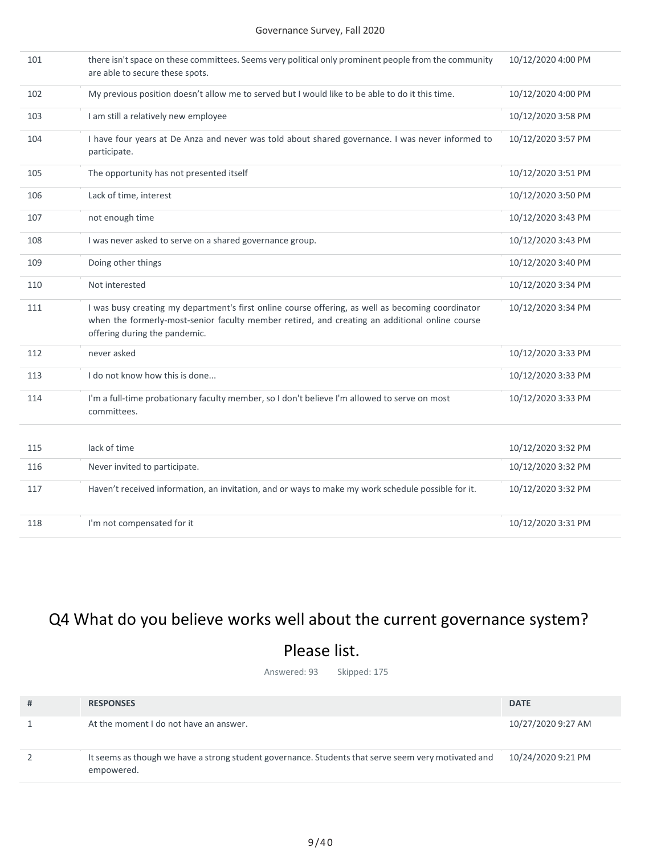| 101 | there isn't space on these committees. Seems very political only prominent people from the community<br>are able to secure these spots.                                                                                              | 10/12/2020 4:00 PM |
|-----|--------------------------------------------------------------------------------------------------------------------------------------------------------------------------------------------------------------------------------------|--------------------|
| 102 | My previous position doesn't allow me to served but I would like to be able to do it this time.                                                                                                                                      | 10/12/2020 4:00 PM |
| 103 | I am still a relatively new employee                                                                                                                                                                                                 | 10/12/2020 3:58 PM |
| 104 | I have four years at De Anza and never was told about shared governance. I was never informed to<br>participate.                                                                                                                     | 10/12/2020 3:57 PM |
| 105 | The opportunity has not presented itself                                                                                                                                                                                             | 10/12/2020 3:51 PM |
| 106 | Lack of time, interest                                                                                                                                                                                                               | 10/12/2020 3:50 PM |
| 107 | not enough time                                                                                                                                                                                                                      | 10/12/2020 3:43 PM |
| 108 | I was never asked to serve on a shared governance group.                                                                                                                                                                             | 10/12/2020 3:43 PM |
| 109 | Doing other things                                                                                                                                                                                                                   | 10/12/2020 3:40 PM |
| 110 | Not interested                                                                                                                                                                                                                       | 10/12/2020 3:34 PM |
| 111 | I was busy creating my department's first online course offering, as well as becoming coordinator<br>when the formerly-most-senior faculty member retired, and creating an additional online course<br>offering during the pandemic. | 10/12/2020 3:34 PM |
| 112 | never asked                                                                                                                                                                                                                          | 10/12/2020 3:33 PM |
| 113 | I do not know how this is done                                                                                                                                                                                                       | 10/12/2020 3:33 PM |
| 114 | I'm a full-time probationary faculty member, so I don't believe I'm allowed to serve on most<br>committees.                                                                                                                          | 10/12/2020 3:33 PM |
| 115 | lack of time                                                                                                                                                                                                                         |                    |
|     |                                                                                                                                                                                                                                      | 10/12/2020 3:32 PM |
| 116 | Never invited to participate.                                                                                                                                                                                                        | 10/12/2020 3:32 PM |
| 117 | Haven't received information, an invitation, and or ways to make my work schedule possible for it.                                                                                                                                   | 10/12/2020 3:32 PM |
| 118 | I'm not compensated for it                                                                                                                                                                                                           | 10/12/2020 3:31 PM |

# Q4 What do you believe works well about the current governance system?

## Please list.

Answered: 93 Skipped: 175

| # | <b>RESPONSES</b>                                                                                                  | <b>DATE</b>        |
|---|-------------------------------------------------------------------------------------------------------------------|--------------------|
|   | At the moment I do not have an answer.                                                                            | 10/27/2020 9:27 AM |
|   | It seems as though we have a strong student governance. Students that serve seem very motivated and<br>empowered. | 10/24/2020 9:21 PM |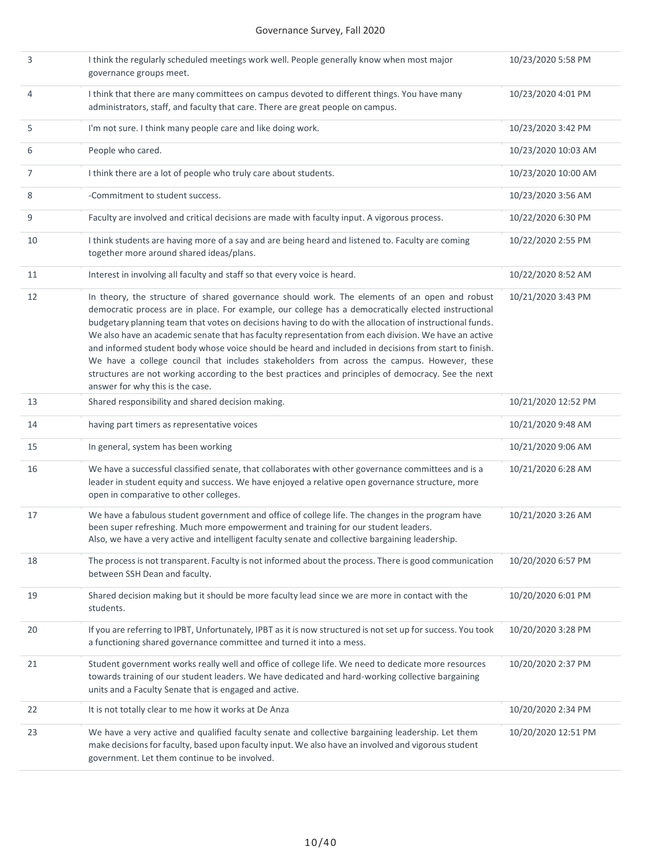| 3  | I think the regularly scheduled meetings work well. People generally know when most major<br>governance groups meet.                                                                                                                                                                                                                                                                                                                                                                                                                                                                                                                                                                                                                                                           | 10/23/2020 5:58 PM  |
|----|--------------------------------------------------------------------------------------------------------------------------------------------------------------------------------------------------------------------------------------------------------------------------------------------------------------------------------------------------------------------------------------------------------------------------------------------------------------------------------------------------------------------------------------------------------------------------------------------------------------------------------------------------------------------------------------------------------------------------------------------------------------------------------|---------------------|
| 4  | I think that there are many committees on campus devoted to different things. You have many<br>administrators, staff, and faculty that care. There are great people on campus.                                                                                                                                                                                                                                                                                                                                                                                                                                                                                                                                                                                                 | 10/23/2020 4:01 PM  |
| 5  | I'm not sure. I think many people care and like doing work.                                                                                                                                                                                                                                                                                                                                                                                                                                                                                                                                                                                                                                                                                                                    | 10/23/2020 3:42 PM  |
| 6  | People who cared.                                                                                                                                                                                                                                                                                                                                                                                                                                                                                                                                                                                                                                                                                                                                                              | 10/23/2020 10:03 AM |
| 7  | I think there are a lot of people who truly care about students.                                                                                                                                                                                                                                                                                                                                                                                                                                                                                                                                                                                                                                                                                                               | 10/23/2020 10:00 AM |
| 8  | -Commitment to student success.                                                                                                                                                                                                                                                                                                                                                                                                                                                                                                                                                                                                                                                                                                                                                | 10/23/2020 3:56 AM  |
| 9  | Faculty are involved and critical decisions are made with faculty input. A vigorous process.                                                                                                                                                                                                                                                                                                                                                                                                                                                                                                                                                                                                                                                                                   | 10/22/2020 6:30 PM  |
| 10 | I think students are having more of a say and are being heard and listened to. Faculty are coming<br>together more around shared ideas/plans.                                                                                                                                                                                                                                                                                                                                                                                                                                                                                                                                                                                                                                  | 10/22/2020 2:55 PM  |
| 11 | Interest in involving all faculty and staff so that every voice is heard.                                                                                                                                                                                                                                                                                                                                                                                                                                                                                                                                                                                                                                                                                                      | 10/22/2020 8:52 AM  |
| 12 | In theory, the structure of shared governance should work. The elements of an open and robust<br>democratic process are in place. For example, our college has a democratically elected instructional<br>budgetary planning team that votes on decisions having to do with the allocation of instructional funds.<br>We also have an academic senate that has faculty representation from each division. We have an active<br>and informed student body whose voice should be heard and included in decisions from start to finish.<br>We have a college council that includes stakeholders from across the campus. However, these<br>structures are not working according to the best practices and principles of democracy. See the next<br>answer for why this is the case. | 10/21/2020 3:43 PM  |
| 13 | Shared responsibility and shared decision making.                                                                                                                                                                                                                                                                                                                                                                                                                                                                                                                                                                                                                                                                                                                              | 10/21/2020 12:52 PM |
| 14 | having part timers as representative voices                                                                                                                                                                                                                                                                                                                                                                                                                                                                                                                                                                                                                                                                                                                                    | 10/21/2020 9:48 AM  |
| 15 | In general, system has been working                                                                                                                                                                                                                                                                                                                                                                                                                                                                                                                                                                                                                                                                                                                                            | 10/21/2020 9:06 AM  |
| 16 | We have a successful classified senate, that collaborates with other governance committees and is a<br>leader in student equity and success. We have enjoyed a relative open governance structure, more<br>open in comparative to other colleges.                                                                                                                                                                                                                                                                                                                                                                                                                                                                                                                              | 10/21/2020 6:28 AM  |
| 17 | We have a fabulous student government and office of college life. The changes in the program have<br>been super refreshing. Much more empowerment and training for our student leaders.<br>Also, we have a very active and intelligent faculty senate and collective bargaining leadership.                                                                                                                                                                                                                                                                                                                                                                                                                                                                                    | 10/21/2020 3:26 AM  |
| 18 | The process is not transparent. Faculty is not informed about the process. There is good communication<br>between SSH Dean and faculty.                                                                                                                                                                                                                                                                                                                                                                                                                                                                                                                                                                                                                                        | 10/20/2020 6:57 PM  |
| 19 | Shared decision making but it should be more faculty lead since we are more in contact with the<br>students.                                                                                                                                                                                                                                                                                                                                                                                                                                                                                                                                                                                                                                                                   | 10/20/2020 6:01 PM  |
| 20 | If you are referring to IPBT, Unfortunately, IPBT as it is now structured is not set up for success. You took<br>a functioning shared governance committee and turned it into a mess.                                                                                                                                                                                                                                                                                                                                                                                                                                                                                                                                                                                          | 10/20/2020 3:28 PM  |
| 21 | Student government works really well and office of college life. We need to dedicate more resources<br>towards training of our student leaders. We have dedicated and hard-working collective bargaining<br>units and a Faculty Senate that is engaged and active.                                                                                                                                                                                                                                                                                                                                                                                                                                                                                                             | 10/20/2020 2:37 PM  |
| 22 | It is not totally clear to me how it works at De Anza                                                                                                                                                                                                                                                                                                                                                                                                                                                                                                                                                                                                                                                                                                                          | 10/20/2020 2:34 PM  |
| 23 | We have a very active and qualified faculty senate and collective bargaining leadership. Let them<br>make decisions for faculty, based upon faculty input. We also have an involved and vigorous student<br>government. Let them continue to be involved.                                                                                                                                                                                                                                                                                                                                                                                                                                                                                                                      | 10/20/2020 12:51 PM |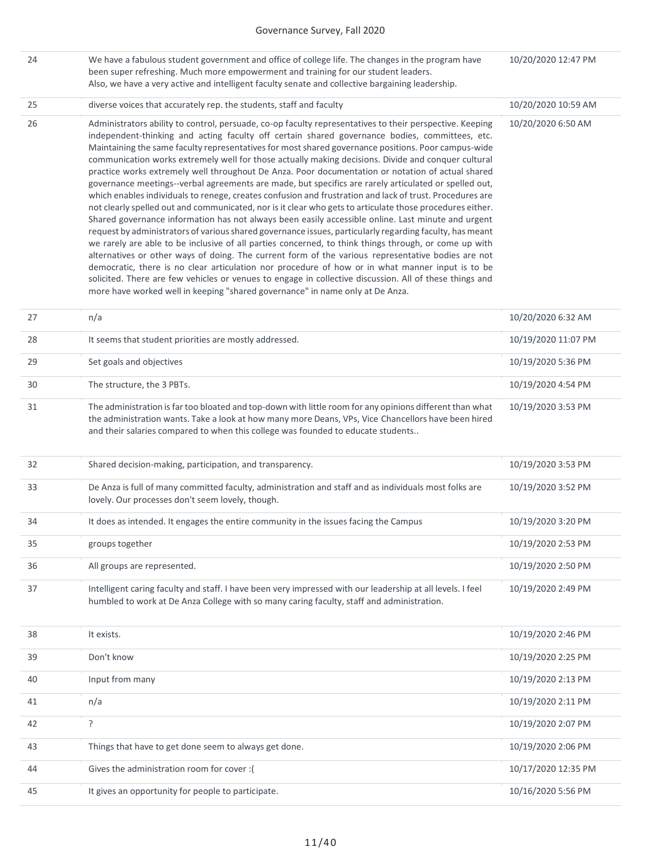| 24 | We have a fabulous student government and office of college life. The changes in the program have<br>been super refreshing. Much more empowerment and training for our student leaders.<br>Also, we have a very active and intelligent faculty senate and collective bargaining leadership. | 10/20/2020 12:47 PM |
|----|---------------------------------------------------------------------------------------------------------------------------------------------------------------------------------------------------------------------------------------------------------------------------------------------|---------------------|
|    |                                                                                                                                                                                                                                                                                             |                     |

| 25 | diverse voices that accurately rep. the students, staff and faculty                                                                                                                                                                                                                                                                                                                                                                                                                                                                                                                                                                                                                                                                                                                                                                                                                                                                                                                                                                                                                                                                                                                                                                                                                                                                                                                                                                                                                                                                                                                              | 10/20/2020 10:59 AM |
|----|--------------------------------------------------------------------------------------------------------------------------------------------------------------------------------------------------------------------------------------------------------------------------------------------------------------------------------------------------------------------------------------------------------------------------------------------------------------------------------------------------------------------------------------------------------------------------------------------------------------------------------------------------------------------------------------------------------------------------------------------------------------------------------------------------------------------------------------------------------------------------------------------------------------------------------------------------------------------------------------------------------------------------------------------------------------------------------------------------------------------------------------------------------------------------------------------------------------------------------------------------------------------------------------------------------------------------------------------------------------------------------------------------------------------------------------------------------------------------------------------------------------------------------------------------------------------------------------------------|---------------------|
| 26 | Administrators ability to control, persuade, co-op faculty representatives to their perspective. Keeping<br>independent-thinking and acting faculty off certain shared governance bodies, committees, etc.<br>Maintaining the same faculty representatives for most shared governance positions. Poor campus-wide<br>communication works extremely well for those actually making decisions. Divide and conquer cultural<br>practice works extremely well throughout De Anza. Poor documentation or notation of actual shared<br>governance meetings--verbal agreements are made, but specifics are rarely articulated or spelled out,<br>which enables individuals to renege, creates confusion and frustration and lack of trust. Procedures are<br>not clearly spelled out and communicated, nor is it clear who gets to articulate those procedures either.<br>Shared governance information has not always been easily accessible online. Last minute and urgent<br>request by administrators of various shared governance issues, particularly regarding faculty, has meant<br>we rarely are able to be inclusive of all parties concerned, to think things through, or come up with<br>alternatives or other ways of doing. The current form of the various representative bodies are not<br>democratic, there is no clear articulation nor procedure of how or in what manner input is to be<br>solicited. There are few vehicles or venues to engage in collective discussion. All of these things and<br>more have worked well in keeping "shared governance" in name only at De Anza. | 10/20/2020 6:50 AM  |

| 27 | n/a                                                                                                                                                                                                                                                                                                 | 10/20/2020 6:32 AM  |
|----|-----------------------------------------------------------------------------------------------------------------------------------------------------------------------------------------------------------------------------------------------------------------------------------------------------|---------------------|
| 28 | It seems that student priorities are mostly addressed.                                                                                                                                                                                                                                              | 10/19/2020 11:07 PM |
| 29 | Set goals and objectives                                                                                                                                                                                                                                                                            | 10/19/2020 5:36 PM  |
| 30 | The structure, the 3 PBTs.                                                                                                                                                                                                                                                                          | 10/19/2020 4:54 PM  |
| 31 | The administration is far too bloated and top-down with little room for any opinions different than what<br>the administration wants. Take a look at how many more Deans, VPs, Vice Chancellors have been hired<br>and their salaries compared to when this college was founded to educate students | 10/19/2020 3:53 PM  |
| 32 | Shared decision-making, participation, and transparency.                                                                                                                                                                                                                                            | 10/19/2020 3:53 PM  |
| 33 | De Anza is full of many committed faculty, administration and staff and as individuals most folks are<br>lovely. Our processes don't seem lovely, though.                                                                                                                                           | 10/19/2020 3:52 PM  |
| 34 | It does as intended. It engages the entire community in the issues facing the Campus                                                                                                                                                                                                                | 10/19/2020 3:20 PM  |
| 35 | groups together                                                                                                                                                                                                                                                                                     | 10/19/2020 2:53 PM  |
| 36 | All groups are represented.                                                                                                                                                                                                                                                                         | 10/19/2020 2:50 PM  |
| 37 | Intelligent caring faculty and staff. I have been very impressed with our leadership at all levels. I feel<br>humbled to work at De Anza College with so many caring faculty, staff and administration.                                                                                             | 10/19/2020 2:49 PM  |
| 38 | It exists.                                                                                                                                                                                                                                                                                          | 10/19/2020 2:46 PM  |
| 39 | Don't know                                                                                                                                                                                                                                                                                          | 10/19/2020 2:25 PM  |
| 40 | Input from many                                                                                                                                                                                                                                                                                     | 10/19/2020 2:13 PM  |
| 41 | n/a                                                                                                                                                                                                                                                                                                 | 10/19/2020 2:11 PM  |
| 42 | ?                                                                                                                                                                                                                                                                                                   | 10/19/2020 2:07 PM  |
| 43 | Things that have to get done seem to always get done.                                                                                                                                                                                                                                               | 10/19/2020 2:06 PM  |
| 44 | Gives the administration room for cover : (                                                                                                                                                                                                                                                         | 10/17/2020 12:35 PM |
| 45 | It gives an opportunity for people to participate.                                                                                                                                                                                                                                                  | 10/16/2020 5:56 PM  |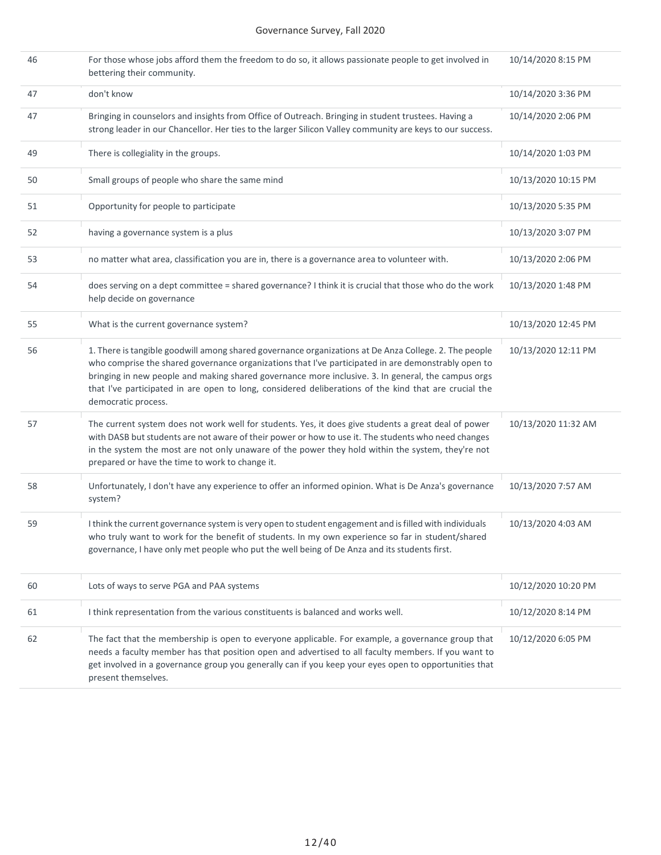| 46 | For those whose jobs afford them the freedom to do so, it allows passionate people to get involved in<br>bettering their community.                                                                                                                                                                                                                                                                                                                | 10/14/2020 8:15 PM  |
|----|----------------------------------------------------------------------------------------------------------------------------------------------------------------------------------------------------------------------------------------------------------------------------------------------------------------------------------------------------------------------------------------------------------------------------------------------------|---------------------|
| 47 | don't know                                                                                                                                                                                                                                                                                                                                                                                                                                         | 10/14/2020 3:36 PM  |
| 47 | Bringing in counselors and insights from Office of Outreach. Bringing in student trustees. Having a<br>strong leader in our Chancellor. Her ties to the larger Silicon Valley community are keys to our success.                                                                                                                                                                                                                                   | 10/14/2020 2:06 PM  |
| 49 | There is collegiality in the groups.                                                                                                                                                                                                                                                                                                                                                                                                               | 10/14/2020 1:03 PM  |
| 50 | Small groups of people who share the same mind                                                                                                                                                                                                                                                                                                                                                                                                     | 10/13/2020 10:15 PM |
| 51 | Opportunity for people to participate                                                                                                                                                                                                                                                                                                                                                                                                              | 10/13/2020 5:35 PM  |
| 52 | having a governance system is a plus                                                                                                                                                                                                                                                                                                                                                                                                               | 10/13/2020 3:07 PM  |
| 53 | no matter what area, classification you are in, there is a governance area to volunteer with.                                                                                                                                                                                                                                                                                                                                                      | 10/13/2020 2:06 PM  |
| 54 | does serving on a dept committee = shared governance? I think it is crucial that those who do the work<br>help decide on governance                                                                                                                                                                                                                                                                                                                | 10/13/2020 1:48 PM  |
| 55 | What is the current governance system?                                                                                                                                                                                                                                                                                                                                                                                                             | 10/13/2020 12:45 PM |
| 56 | 1. There is tangible goodwill among shared governance organizations at De Anza College. 2. The people<br>who comprise the shared governance organizations that I've participated in are demonstrably open to<br>bringing in new people and making shared governance more inclusive. 3. In general, the campus orgs<br>that I've participated in are open to long, considered deliberations of the kind that are crucial the<br>democratic process. | 10/13/2020 12:11 PM |
| 57 | The current system does not work well for students. Yes, it does give students a great deal of power<br>with DASB but students are not aware of their power or how to use it. The students who need changes<br>in the system the most are not only unaware of the power they hold within the system, they're not<br>prepared or have the time to work to change it.                                                                                | 10/13/2020 11:32 AM |
| 58 | Unfortunately, I don't have any experience to offer an informed opinion. What is De Anza's governance<br>system?                                                                                                                                                                                                                                                                                                                                   | 10/13/2020 7:57 AM  |
| 59 | I think the current governance system is very open to student engagement and is filled with individuals<br>who truly want to work for the benefit of students. In my own experience so far in student/shared<br>governance, I have only met people who put the well being of De Anza and its students first.                                                                                                                                       | 10/13/2020 4:03 AM  |
| 60 | Lots of ways to serve PGA and PAA systems                                                                                                                                                                                                                                                                                                                                                                                                          | 10/12/2020 10:20 PM |
| 61 | I think representation from the various constituents is balanced and works well.                                                                                                                                                                                                                                                                                                                                                                   | 10/12/2020 8:14 PM  |
| 62 | The fact that the membership is open to everyone applicable. For example, a governance group that<br>needs a faculty member has that position open and advertised to all faculty members. If you want to<br>get involved in a governance group you generally can if you keep your eyes open to opportunities that<br>present themselves.                                                                                                           | 10/12/2020 6:05 PM  |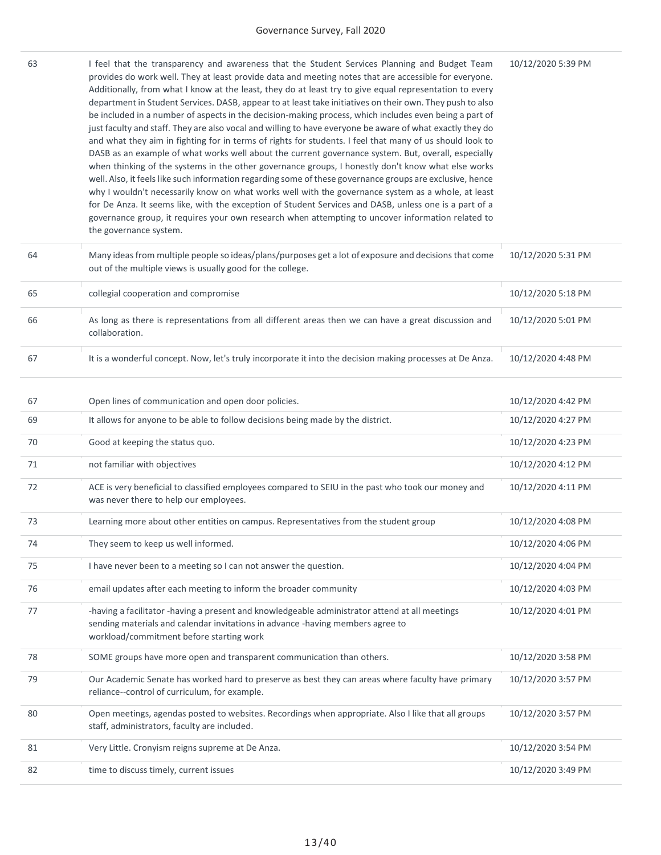| 63 | I feel that the transparency and awareness that the Student Services Planning and Budget Team<br>provides do work well. They at least provide data and meeting notes that are accessible for everyone.<br>Additionally, from what I know at the least, they do at least try to give equal representation to every<br>department in Student Services. DASB, appear to at least take initiatives on their own. They push to also<br>be included in a number of aspects in the decision-making process, which includes even being a part of<br>just faculty and staff. They are also vocal and willing to have everyone be aware of what exactly they do<br>and what they aim in fighting for in terms of rights for students. I feel that many of us should look to<br>DASB as an example of what works well about the current governance system. But, overall, especially<br>when thinking of the systems in the other governance groups, I honestly don't know what else works<br>well. Also, it feels like such information regarding some of these governance groups are exclusive, hence<br>why I wouldn't necessarily know on what works well with the governance system as a whole, at least<br>for De Anza. It seems like, with the exception of Student Services and DASB, unless one is a part of a<br>governance group, it requires your own research when attempting to uncover information related to<br>the governance system. | 10/12/2020 5:39 PM |
|----|--------------------------------------------------------------------------------------------------------------------------------------------------------------------------------------------------------------------------------------------------------------------------------------------------------------------------------------------------------------------------------------------------------------------------------------------------------------------------------------------------------------------------------------------------------------------------------------------------------------------------------------------------------------------------------------------------------------------------------------------------------------------------------------------------------------------------------------------------------------------------------------------------------------------------------------------------------------------------------------------------------------------------------------------------------------------------------------------------------------------------------------------------------------------------------------------------------------------------------------------------------------------------------------------------------------------------------------------------------------------------------------------------------------------------------------------|--------------------|
| 64 | Many ideas from multiple people so ideas/plans/purposes get a lot of exposure and decisions that come<br>out of the multiple views is usually good for the college.                                                                                                                                                                                                                                                                                                                                                                                                                                                                                                                                                                                                                                                                                                                                                                                                                                                                                                                                                                                                                                                                                                                                                                                                                                                                        | 10/12/2020 5:31 PM |
| 65 | collegial cooperation and compromise                                                                                                                                                                                                                                                                                                                                                                                                                                                                                                                                                                                                                                                                                                                                                                                                                                                                                                                                                                                                                                                                                                                                                                                                                                                                                                                                                                                                       | 10/12/2020 5:18 PM |
| 66 | As long as there is representations from all different areas then we can have a great discussion and<br>collaboration.                                                                                                                                                                                                                                                                                                                                                                                                                                                                                                                                                                                                                                                                                                                                                                                                                                                                                                                                                                                                                                                                                                                                                                                                                                                                                                                     | 10/12/2020 5:01 PM |
| 67 | It is a wonderful concept. Now, let's truly incorporate it into the decision making processes at De Anza.                                                                                                                                                                                                                                                                                                                                                                                                                                                                                                                                                                                                                                                                                                                                                                                                                                                                                                                                                                                                                                                                                                                                                                                                                                                                                                                                  | 10/12/2020 4:48 PM |
| 67 | Open lines of communication and open door policies.                                                                                                                                                                                                                                                                                                                                                                                                                                                                                                                                                                                                                                                                                                                                                                                                                                                                                                                                                                                                                                                                                                                                                                                                                                                                                                                                                                                        | 10/12/2020 4:42 PM |
| 69 | It allows for anyone to be able to follow decisions being made by the district.                                                                                                                                                                                                                                                                                                                                                                                                                                                                                                                                                                                                                                                                                                                                                                                                                                                                                                                                                                                                                                                                                                                                                                                                                                                                                                                                                            | 10/12/2020 4:27 PM |
| 70 | Good at keeping the status quo.                                                                                                                                                                                                                                                                                                                                                                                                                                                                                                                                                                                                                                                                                                                                                                                                                                                                                                                                                                                                                                                                                                                                                                                                                                                                                                                                                                                                            | 10/12/2020 4:23 PM |
| 71 | not familiar with objectives                                                                                                                                                                                                                                                                                                                                                                                                                                                                                                                                                                                                                                                                                                                                                                                                                                                                                                                                                                                                                                                                                                                                                                                                                                                                                                                                                                                                               | 10/12/2020 4:12 PM |
| 72 | ACE is very beneficial to classified employees compared to SEIU in the past who took our money and<br>was never there to help our employees.                                                                                                                                                                                                                                                                                                                                                                                                                                                                                                                                                                                                                                                                                                                                                                                                                                                                                                                                                                                                                                                                                                                                                                                                                                                                                               | 10/12/2020 4:11 PM |
| 73 | Learning more about other entities on campus. Representatives from the student group                                                                                                                                                                                                                                                                                                                                                                                                                                                                                                                                                                                                                                                                                                                                                                                                                                                                                                                                                                                                                                                                                                                                                                                                                                                                                                                                                       | 10/12/2020 4:08 PM |
| 74 | They seem to keep us well informed.                                                                                                                                                                                                                                                                                                                                                                                                                                                                                                                                                                                                                                                                                                                                                                                                                                                                                                                                                                                                                                                                                                                                                                                                                                                                                                                                                                                                        | 10/12/2020 4:06 PM |
| 75 | I have never been to a meeting so I can not answer the question.                                                                                                                                                                                                                                                                                                                                                                                                                                                                                                                                                                                                                                                                                                                                                                                                                                                                                                                                                                                                                                                                                                                                                                                                                                                                                                                                                                           | 10/12/2020 4:04 PM |
| 76 | email updates after each meeting to inform the broader community                                                                                                                                                                                                                                                                                                                                                                                                                                                                                                                                                                                                                                                                                                                                                                                                                                                                                                                                                                                                                                                                                                                                                                                                                                                                                                                                                                           | 10/12/2020 4:03 PM |
| 77 | -having a facilitator -having a present and knowledgeable administrator attend at all meetings<br>sending materials and calendar invitations in advance -having members agree to<br>workload/commitment before starting work                                                                                                                                                                                                                                                                                                                                                                                                                                                                                                                                                                                                                                                                                                                                                                                                                                                                                                                                                                                                                                                                                                                                                                                                               | 10/12/2020 4:01 PM |
| 78 | SOME groups have more open and transparent communication than others.                                                                                                                                                                                                                                                                                                                                                                                                                                                                                                                                                                                                                                                                                                                                                                                                                                                                                                                                                                                                                                                                                                                                                                                                                                                                                                                                                                      | 10/12/2020 3:58 PM |
| 79 | Our Academic Senate has worked hard to preserve as best they can areas where faculty have primary<br>reliance--control of curriculum, for example.                                                                                                                                                                                                                                                                                                                                                                                                                                                                                                                                                                                                                                                                                                                                                                                                                                                                                                                                                                                                                                                                                                                                                                                                                                                                                         | 10/12/2020 3:57 PM |
| 80 | Open meetings, agendas posted to websites. Recordings when appropriate. Also I like that all groups<br>staff, administrators, faculty are included.                                                                                                                                                                                                                                                                                                                                                                                                                                                                                                                                                                                                                                                                                                                                                                                                                                                                                                                                                                                                                                                                                                                                                                                                                                                                                        | 10/12/2020 3:57 PM |
| 81 | Very Little. Cronyism reigns supreme at De Anza.                                                                                                                                                                                                                                                                                                                                                                                                                                                                                                                                                                                                                                                                                                                                                                                                                                                                                                                                                                                                                                                                                                                                                                                                                                                                                                                                                                                           | 10/12/2020 3:54 PM |
| 82 | time to discuss timely, current issues                                                                                                                                                                                                                                                                                                                                                                                                                                                                                                                                                                                                                                                                                                                                                                                                                                                                                                                                                                                                                                                                                                                                                                                                                                                                                                                                                                                                     | 10/12/2020 3:49 PM |
|    |                                                                                                                                                                                                                                                                                                                                                                                                                                                                                                                                                                                                                                                                                                                                                                                                                                                                                                                                                                                                                                                                                                                                                                                                                                                                                                                                                                                                                                            |                    |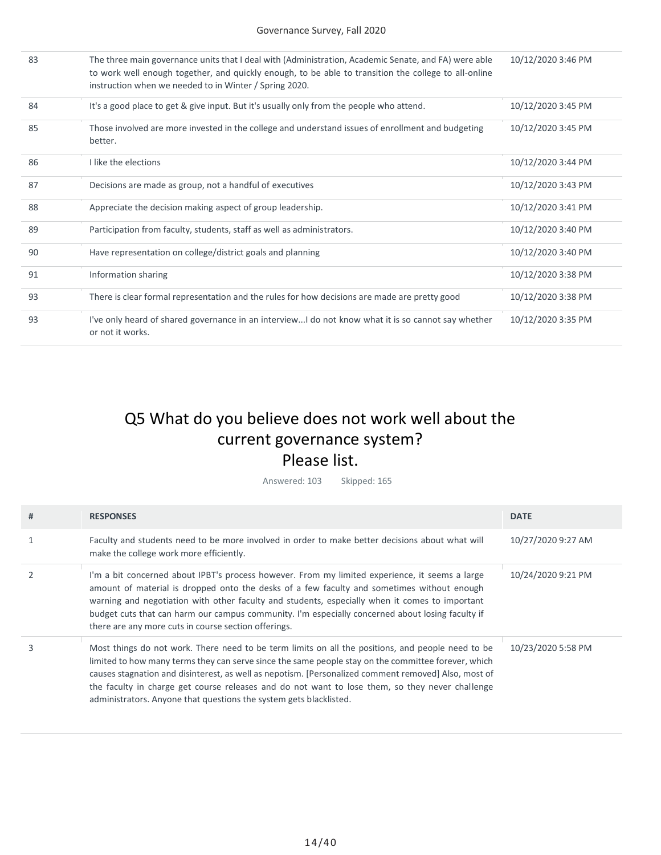| 83 | The three main governance units that I deal with (Administration, Academic Senate, and FA) were able<br>to work well enough together, and quickly enough, to be able to transition the college to all-online<br>instruction when we needed to in Winter / Spring 2020. | 10/12/2020 3:46 PM |
|----|------------------------------------------------------------------------------------------------------------------------------------------------------------------------------------------------------------------------------------------------------------------------|--------------------|
| 84 | It's a good place to get & give input. But it's usually only from the people who attend.                                                                                                                                                                               | 10/12/2020 3:45 PM |
| 85 | Those involved are more invested in the college and understand issues of enrollment and budgeting<br>better.                                                                                                                                                           | 10/12/2020 3:45 PM |
| 86 | I like the elections                                                                                                                                                                                                                                                   | 10/12/2020 3:44 PM |
| 87 | Decisions are made as group, not a handful of executives                                                                                                                                                                                                               | 10/12/2020 3:43 PM |
| 88 | Appreciate the decision making aspect of group leadership.                                                                                                                                                                                                             | 10/12/2020 3:41 PM |
| 89 | Participation from faculty, students, staff as well as administrators.                                                                                                                                                                                                 | 10/12/2020 3:40 PM |
| 90 | Have representation on college/district goals and planning                                                                                                                                                                                                             | 10/12/2020 3:40 PM |
| 91 | Information sharing                                                                                                                                                                                                                                                    | 10/12/2020 3:38 PM |
| 93 | There is clear formal representation and the rules for how decisions are made are pretty good                                                                                                                                                                          | 10/12/2020 3:38 PM |
| 93 | I've only heard of shared governance in an interviewI do not know what it is so cannot say whether<br>or not it works.                                                                                                                                                 | 10/12/2020 3:35 PM |

## Q5 What do you believe does not work well about the current governance system? Please list.

Answered: 103 Skipped: 165

| # | <b>RESPONSES</b>                                                                                                                                                                                                                                                                                                                                                                                                                                                                          | <b>DATE</b>        |
|---|-------------------------------------------------------------------------------------------------------------------------------------------------------------------------------------------------------------------------------------------------------------------------------------------------------------------------------------------------------------------------------------------------------------------------------------------------------------------------------------------|--------------------|
|   | Faculty and students need to be more involved in order to make better decisions about what will<br>make the college work more efficiently.                                                                                                                                                                                                                                                                                                                                                | 10/27/2020 9:27 AM |
| 2 | I'm a bit concerned about IPBT's process however. From my limited experience, it seems a large<br>amount of material is dropped onto the desks of a few faculty and sometimes without enough<br>warning and negotiation with other faculty and students, especially when it comes to important<br>budget cuts that can harm our campus community. I'm especially concerned about losing faculty if<br>there are any more cuts in course section offerings.                                | 10/24/2020 9:21 PM |
|   | Most things do not work. There need to be term limits on all the positions, and people need to be<br>limited to how many terms they can serve since the same people stay on the committee forever, which<br>causes stagnation and disinterest, as well as nepotism. [Personalized comment removed] Also, most of<br>the faculty in charge get course releases and do not want to lose them, so they never challenge<br>administrators. Anyone that questions the system gets blacklisted. | 10/23/2020 5:58 PM |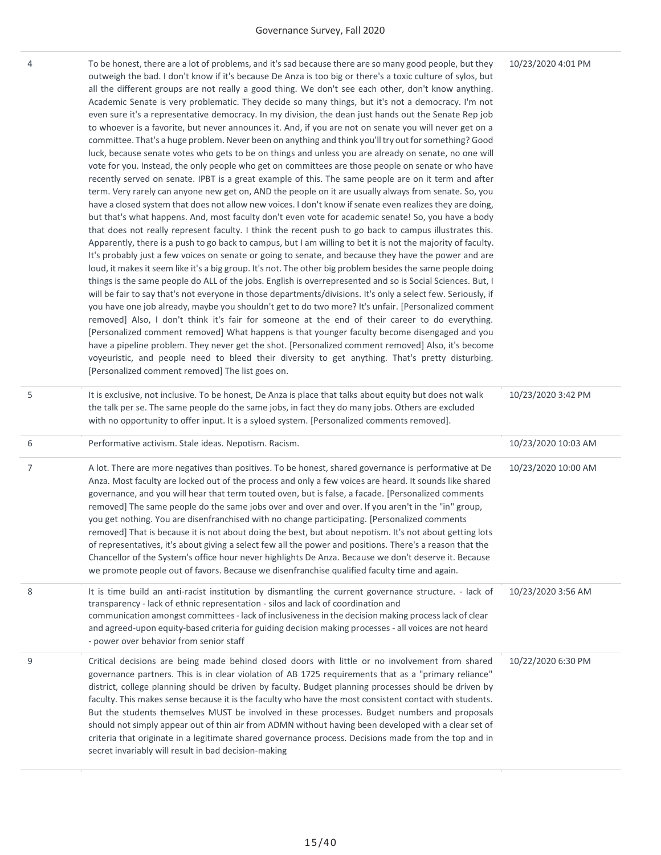#### 10/23/2020 4:01 PM

outweigh the bad. I don't know if it's because De Anza is too big or there's a toxic culture of sylos, but all the different groups are not really a good thing. We don't see each other, don't know anything. Academic Senate is very problematic. They decide so many things, but it's not a democracy. I'm not even sure it's a representative democracy. In my division, the dean just hands out the Senate Rep job to whoever is a favorite, but never announces it. And, if you are not on senate you will never get on a committee. That's a huge problem. Never been on anything and think you'll try out for something? Good luck, because senate votes who gets to be on things and unless you are already on senate, no one will vote for you. Instead, the only people who get on committees are those people on senate or who have recently served on senate. IPBT is a great example of this. The same people are on it term and after term. Very rarely can anyone new get on, AND the people on it are usually always from senate. So, you term, very rarely can anyone new get on, AND the people on it are asaany always noin senate. So, you<br>have a closed system that does not allow new voices. I don't know if senate even realizes they are doing, but that's what happens. And, most faculty don't even vote for academic senate! So, you have a body that does not really represent faculty. I think the recent push to go back to campus illustrates this. Apparently, there is a push to go back to campus, but I am willing to bet it is not the majority of faculty. It's probably just a few voices on senate or going to senate, and because they have the power and are loud, it makes it seem like it's a big group. It's not. The other big problem besides the same people doing things is the same people do ALL of the jobs. English is overrepresented and so is Social Sciences. But, I will be fair to say that's not everyone in those departments/divisions. It's only a select few. Seriously, if you have one job already, maybe you shouldn't get to do two more? It's unfair. [Personalized comment removed] Also, I don't think it's fair for someone at the end of their career to do everything. [Personalized comment removed] What happens is that younger faculty become disengaged and you have a pipeline problem. They never get the shot. [Personalized comment removed] Also, it's become voyeuristic, and people need to bleed their diversity to get anything. That's pretty disturbing. [Personalized comment removed] The list goes on.

4 To be honest, there are a lot of problems, and it's sad because there are so many good people, but they

| 5 | It is exclusive, not inclusive. To be honest, De Anza is place that talks about equity but does not walk<br>the talk per se. The same people do the same jobs, in fact they do many jobs. Others are excluded<br>with no opportunity to offer input. It is a syloed system. [Personalized comments removed].                                                                                                                                                                                                                                                                                                                                                                                                                                                                                                                                                                                                                                                     | 10/23/2020 3:42 PM  |
|---|------------------------------------------------------------------------------------------------------------------------------------------------------------------------------------------------------------------------------------------------------------------------------------------------------------------------------------------------------------------------------------------------------------------------------------------------------------------------------------------------------------------------------------------------------------------------------------------------------------------------------------------------------------------------------------------------------------------------------------------------------------------------------------------------------------------------------------------------------------------------------------------------------------------------------------------------------------------|---------------------|
| 6 | Performative activism. Stale ideas. Nepotism. Racism.                                                                                                                                                                                                                                                                                                                                                                                                                                                                                                                                                                                                                                                                                                                                                                                                                                                                                                            | 10/23/2020 10:03 AM |
| 7 | A lot. There are more negatives than positives. To be honest, shared governance is performative at De<br>Anza. Most faculty are locked out of the process and only a few voices are heard. It sounds like shared<br>governance, and you will hear that term touted oven, but is false, a facade. [Personalized comments<br>removed] The same people do the same jobs over and over and over. If you aren't in the "in" group,<br>you get nothing. You are disenfranchised with no change participating. [Personalized comments<br>removed] That is because it is not about doing the best, but about nepotism. It's not about getting lots<br>of representatives, it's about giving a select few all the power and positions. There's a reason that the<br>Chancellor of the System's office hour never highlights De Anza. Because we don't deserve it. Because<br>we promote people out of favors. Because we disenfranchise qualified faculty time and again. | 10/23/2020 10:00 AM |
| 8 | It is time build an anti-racist institution by dismantling the current governance structure. - lack of<br>transparency - lack of ethnic representation - silos and lack of coordination and<br>communication amongst committees - lack of inclusiveness in the decision making process lack of clear<br>and agreed-upon equity-based criteria for guiding decision making processes - all voices are not heard<br>- power over behavior from senior staff                                                                                                                                                                                                                                                                                                                                                                                                                                                                                                        | 10/23/2020 3:56 AM  |
| 9 | Critical decisions are being made behind closed doors with little or no involvement from shared<br>governance partners. This is in clear violation of AB 1725 requirements that as a "primary reliance"<br>district, college planning should be driven by faculty. Budget planning processes should be driven by<br>faculty. This makes sense because it is the faculty who have the most consistent contact with students.<br>But the students themselves MUST be involved in these processes. Budget numbers and proposals<br>should not simply appear out of thin air from ADMN without having been developed with a clear set of<br>criteria that originate in a legitimate shared governance process. Decisions made from the top and in<br>secret invariably will result in bad decision-making                                                                                                                                                            | 10/22/2020 6:30 PM  |
|   |                                                                                                                                                                                                                                                                                                                                                                                                                                                                                                                                                                                                                                                                                                                                                                                                                                                                                                                                                                  |                     |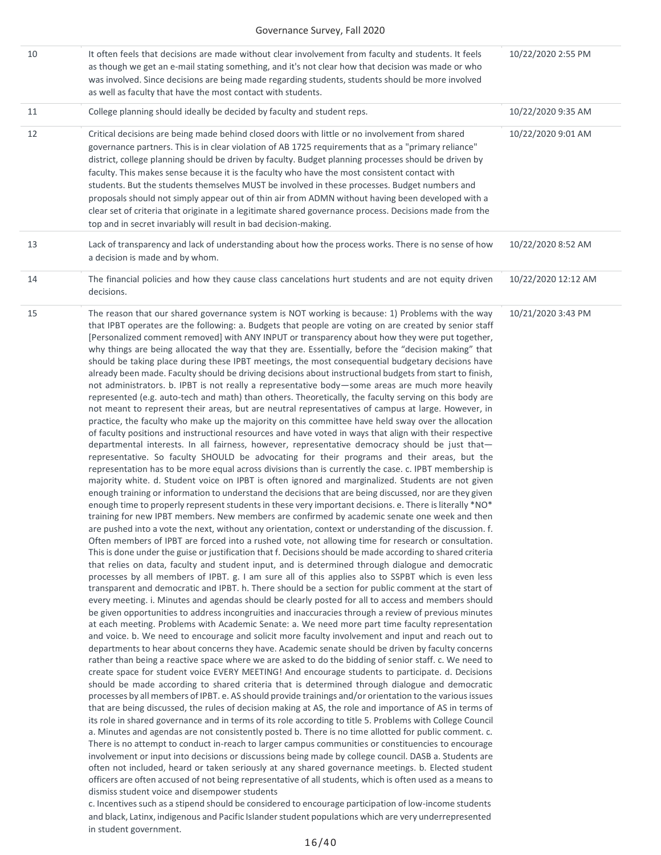| 10 | It often feels that decisions are made without clear involvement from faculty and students. It feels<br>as though we get an e-mail stating something, and it's not clear how that decision was made or who<br>was involved. Since decisions are being made regarding students, students should be more involved<br>as well as faculty that have the most contact with students.                                                                                                                                                                                                                                                                                                                                                                                                                                                                                                                                                                                                                                                                                                                                                                                                                                                                                                                                                                                                                                                                                                                                                                                                                                                                                                                                                                                                                                                                                                                                                                                                                                                                                                                                                                                                                                                                                                                                                                                                                                                                                                                                                                                                                                                                                                                                                                                                                                                                                                                                                                                                                                                                                                                                                                                                                                                                                                                                                                                                                                                                                                                                                                                                                                                                                                                                                                                                                                                                                                                                                                                                                                                                                                                                                                                                                                                                                                                                                                                                                                                                                                  | 10/22/2020 2:55 PM  |
|----|----------------------------------------------------------------------------------------------------------------------------------------------------------------------------------------------------------------------------------------------------------------------------------------------------------------------------------------------------------------------------------------------------------------------------------------------------------------------------------------------------------------------------------------------------------------------------------------------------------------------------------------------------------------------------------------------------------------------------------------------------------------------------------------------------------------------------------------------------------------------------------------------------------------------------------------------------------------------------------------------------------------------------------------------------------------------------------------------------------------------------------------------------------------------------------------------------------------------------------------------------------------------------------------------------------------------------------------------------------------------------------------------------------------------------------------------------------------------------------------------------------------------------------------------------------------------------------------------------------------------------------------------------------------------------------------------------------------------------------------------------------------------------------------------------------------------------------------------------------------------------------------------------------------------------------------------------------------------------------------------------------------------------------------------------------------------------------------------------------------------------------------------------------------------------------------------------------------------------------------------------------------------------------------------------------------------------------------------------------------------------------------------------------------------------------------------------------------------------------------------------------------------------------------------------------------------------------------------------------------------------------------------------------------------------------------------------------------------------------------------------------------------------------------------------------------------------------------------------------------------------------------------------------------------------------------------------------------------------------------------------------------------------------------------------------------------------------------------------------------------------------------------------------------------------------------------------------------------------------------------------------------------------------------------------------------------------------------------------------------------------------------------------------------------------------------------------------------------------------------------------------------------------------------------------------------------------------------------------------------------------------------------------------------------------------------------------------------------------------------------------------------------------------------------------------------------------------------------------------------------------------------------------------------------------------------------------------------------------------------------------------------------------------------------------------------------------------------------------------------------------------------------------------------------------------------------------------------------------------------------------------------------------------------------------------------------------------------------------------------------------------------------------------------------------------------------------------------------------------|---------------------|
| 11 | College planning should ideally be decided by faculty and student reps.                                                                                                                                                                                                                                                                                                                                                                                                                                                                                                                                                                                                                                                                                                                                                                                                                                                                                                                                                                                                                                                                                                                                                                                                                                                                                                                                                                                                                                                                                                                                                                                                                                                                                                                                                                                                                                                                                                                                                                                                                                                                                                                                                                                                                                                                                                                                                                                                                                                                                                                                                                                                                                                                                                                                                                                                                                                                                                                                                                                                                                                                                                                                                                                                                                                                                                                                                                                                                                                                                                                                                                                                                                                                                                                                                                                                                                                                                                                                                                                                                                                                                                                                                                                                                                                                                                                                                                                                          | 10/22/2020 9:35 AM  |
| 12 | Critical decisions are being made behind closed doors with little or no involvement from shared<br>governance partners. This is in clear violation of AB 1725 requirements that as a "primary reliance"<br>district, college planning should be driven by faculty. Budget planning processes should be driven by<br>faculty. This makes sense because it is the faculty who have the most consistent contact with<br>students. But the students themselves MUST be involved in these processes. Budget numbers and<br>proposals should not simply appear out of thin air from ADMN without having been developed with a<br>clear set of criteria that originate in a legitimate shared governance process. Decisions made from the<br>top and in secret invariably will result in bad decision-making.                                                                                                                                                                                                                                                                                                                                                                                                                                                                                                                                                                                                                                                                                                                                                                                                                                                                                                                                                                                                                                                                                                                                                                                                                                                                                                                                                                                                                                                                                                                                                                                                                                                                                                                                                                                                                                                                                                                                                                                                                                                                                                                                                                                                                                                                                                                                                                                                                                                                                                                                                                                                                                                                                                                                                                                                                                                                                                                                                                                                                                                                                                                                                                                                                                                                                                                                                                                                                                                                                                                                                                                                                                                                           | 10/22/2020 9:01 AM  |
| 13 | Lack of transparency and lack of understanding about how the process works. There is no sense of how<br>a decision is made and by whom.                                                                                                                                                                                                                                                                                                                                                                                                                                                                                                                                                                                                                                                                                                                                                                                                                                                                                                                                                                                                                                                                                                                                                                                                                                                                                                                                                                                                                                                                                                                                                                                                                                                                                                                                                                                                                                                                                                                                                                                                                                                                                                                                                                                                                                                                                                                                                                                                                                                                                                                                                                                                                                                                                                                                                                                                                                                                                                                                                                                                                                                                                                                                                                                                                                                                                                                                                                                                                                                                                                                                                                                                                                                                                                                                                                                                                                                                                                                                                                                                                                                                                                                                                                                                                                                                                                                                          | 10/22/2020 8:52 AM  |
| 14 | The financial policies and how they cause class cancelations hurt students and are not equity driven<br>decisions.                                                                                                                                                                                                                                                                                                                                                                                                                                                                                                                                                                                                                                                                                                                                                                                                                                                                                                                                                                                                                                                                                                                                                                                                                                                                                                                                                                                                                                                                                                                                                                                                                                                                                                                                                                                                                                                                                                                                                                                                                                                                                                                                                                                                                                                                                                                                                                                                                                                                                                                                                                                                                                                                                                                                                                                                                                                                                                                                                                                                                                                                                                                                                                                                                                                                                                                                                                                                                                                                                                                                                                                                                                                                                                                                                                                                                                                                                                                                                                                                                                                                                                                                                                                                                                                                                                                                                               | 10/22/2020 12:12 AM |
| 15 | The reason that our shared governance system is NOT working is because: 1) Problems with the way<br>that IPBT operates are the following: a. Budgets that people are voting on are created by senior staff<br>[Personalized comment removed] with ANY INPUT or transparency about how they were put together,<br>why things are being allocated the way that they are. Essentially, before the "decision making" that<br>should be taking place during these IPBT meetings, the most consequential budgetary decisions have<br>already been made. Faculty should be driving decisions about instructional budgets from start to finish,<br>not administrators. b. IPBT is not really a representative body-some areas are much more heavily<br>represented (e.g. auto-tech and math) than others. Theoretically, the faculty serving on this body are<br>not meant to represent their areas, but are neutral representatives of campus at large. However, in<br>practice, the faculty who make up the majority on this committee have held sway over the allocation<br>of faculty positions and instructional resources and have voted in ways that align with their respective<br>departmental interests. In all fairness, however, representative democracy should be just that-<br>representative. So faculty SHOULD be advocating for their programs and their areas, but the<br>representation has to be more equal across divisions than is currently the case. c. IPBT membership is<br>majority white. d. Student voice on IPBT is often ignored and marginalized. Students are not given<br>enough training or information to understand the decisions that are being discussed, nor are they given<br>enough time to properly represent students in these very important decisions. e. There is literally *NO*<br>training for new IPBT members. New members are confirmed by academic senate one week and then<br>are pushed into a vote the next, without any orientation, context or understanding of the discussion. f.<br>Often members of IPBT are forced into a rushed vote, not allowing time for research or consultation.<br>This is done under the guise or justification that f. Decisions should be made according to shared criteria<br>that relies on data, faculty and student input, and is determined through dialogue and democratic<br>processes by all members of IPBT. g. I am sure all of this applies also to SSPBT which is even less<br>transparent and democratic and IPBT. h. There should be a section for public comment at the start of<br>every meeting. i. Minutes and agendas should be clearly posted for all to access and members should<br>be given opportunities to address incongruities and inaccuracies through a review of previous minutes<br>at each meeting. Problems with Academic Senate: a. We need more part time faculty representation<br>and voice. b. We need to encourage and solicit more faculty involvement and input and reach out to<br>departments to hear about concerns they have. Academic senate should be driven by faculty concerns<br>rather than being a reactive space where we are asked to do the bidding of senior staff. c. We need to<br>create space for student voice EVERY MEETING! And encourage students to participate. d. Decisions<br>should be made according to shared criteria that is determined through dialogue and democratic<br>processes by all members of IPBT. e. AS should provide trainings and/or orientation to the various issues<br>that are being discussed, the rules of decision making at AS, the role and importance of AS in terms of<br>its role in shared governance and in terms of its role according to title 5. Problems with College Council<br>a. Minutes and agendas are not consistently posted b. There is no time allotted for public comment. c.<br>There is no attempt to conduct in-reach to larger campus communities or constituencies to encourage<br>involvement or input into decisions or discussions being made by college council. DASB a. Students are<br>often not included, heard or taken seriously at any shared governance meetings. b. Elected student<br>officers are often accused of not being representative of all students, which is often used as a means to<br>dismiss student voice and disempower students<br>c. Incentives such as a stipend should be considered to encourage participation of low-income students | 10/21/2020 3:43 PM  |

and black, Latinx, indigenous and Pacific Islander student populations which are very underrepresented in student government.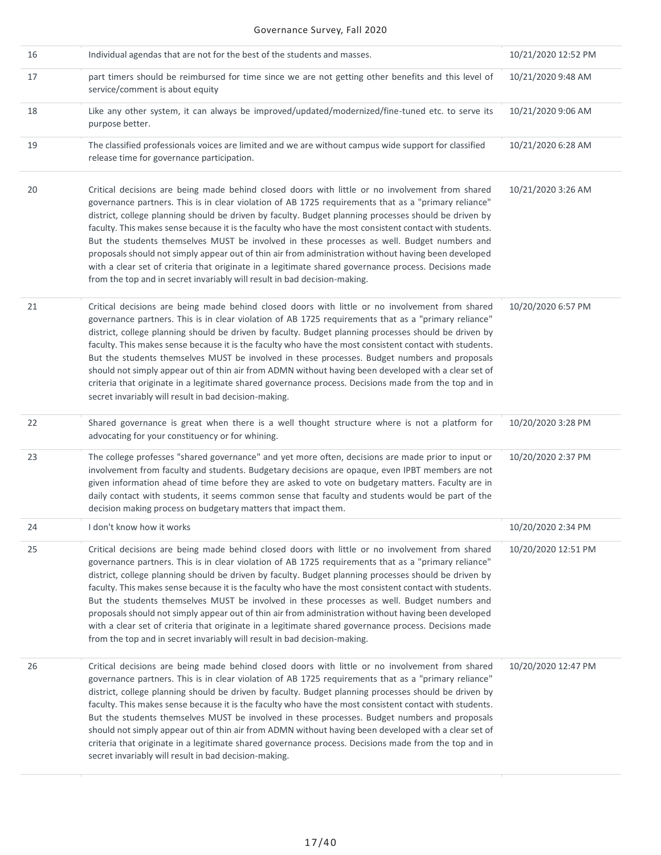| 16 | Individual agendas that are not for the best of the students and masses.                                                                                                                                                                                                                                                                                                                                                                                                                                                                                                                                                                                                                                                                                                                                                 | 10/21/2020 12:52 PM |
|----|--------------------------------------------------------------------------------------------------------------------------------------------------------------------------------------------------------------------------------------------------------------------------------------------------------------------------------------------------------------------------------------------------------------------------------------------------------------------------------------------------------------------------------------------------------------------------------------------------------------------------------------------------------------------------------------------------------------------------------------------------------------------------------------------------------------------------|---------------------|
| 17 | part timers should be reimbursed for time since we are not getting other benefits and this level of<br>service/comment is about equity                                                                                                                                                                                                                                                                                                                                                                                                                                                                                                                                                                                                                                                                                   | 10/21/2020 9:48 AM  |
| 18 | Like any other system, it can always be improved/updated/modernized/fine-tuned etc. to serve its<br>purpose better.                                                                                                                                                                                                                                                                                                                                                                                                                                                                                                                                                                                                                                                                                                      | 10/21/2020 9:06 AM  |
| 19 | The classified professionals voices are limited and we are without campus wide support for classified<br>release time for governance participation.                                                                                                                                                                                                                                                                                                                                                                                                                                                                                                                                                                                                                                                                      | 10/21/2020 6:28 AM  |
| 20 | Critical decisions are being made behind closed doors with little or no involvement from shared<br>governance partners. This is in clear violation of AB 1725 requirements that as a "primary reliance"<br>district, college planning should be driven by faculty. Budget planning processes should be driven by<br>faculty. This makes sense because it is the faculty who have the most consistent contact with students.<br>But the students themselves MUST be involved in these processes as well. Budget numbers and<br>proposals should not simply appear out of thin air from administration without having been developed<br>with a clear set of criteria that originate in a legitimate shared governance process. Decisions made<br>from the top and in secret invariably will result in bad decision-making. | 10/21/2020 3:26 AM  |
| 21 | Critical decisions are being made behind closed doors with little or no involvement from shared<br>governance partners. This is in clear violation of AB 1725 requirements that as a "primary reliance"<br>district, college planning should be driven by faculty. Budget planning processes should be driven by<br>faculty. This makes sense because it is the faculty who have the most consistent contact with students.<br>But the students themselves MUST be involved in these processes. Budget numbers and proposals<br>should not simply appear out of thin air from ADMN without having been developed with a clear set of<br>criteria that originate in a legitimate shared governance process. Decisions made from the top and in<br>secret invariably will result in bad decision-making.                   | 10/20/2020 6:57 PM  |
| 22 | Shared governance is great when there is a well thought structure where is not a platform for<br>advocating for your constituency or for whining.                                                                                                                                                                                                                                                                                                                                                                                                                                                                                                                                                                                                                                                                        | 10/20/2020 3:28 PM  |
| 23 | The college professes "shared governance" and yet more often, decisions are made prior to input or<br>involvement from faculty and students. Budgetary decisions are opaque, even IPBT members are not<br>given information ahead of time before they are asked to vote on budgetary matters. Faculty are in<br>daily contact with students, it seems common sense that faculty and students would be part of the<br>decision making process on budgetary matters that impact them.                                                                                                                                                                                                                                                                                                                                      | 10/20/2020 2:37 PM  |
| 24 | I don't know how it works                                                                                                                                                                                                                                                                                                                                                                                                                                                                                                                                                                                                                                                                                                                                                                                                | 10/20/2020 2:34 PM  |
| 25 | Critical decisions are being made behind closed doors with little or no involvement from shared<br>governance partners. This is in clear violation of AB 1725 requirements that as a "primary reliance"<br>district, college planning should be driven by faculty. Budget planning processes should be driven by<br>faculty. This makes sense because it is the faculty who have the most consistent contact with students.<br>But the students themselves MUST be involved in these processes as well. Budget numbers and<br>proposals should not simply appear out of thin air from administration without having been developed<br>with a clear set of criteria that originate in a legitimate shared governance process. Decisions made<br>from the top and in secret invariably will result in bad decision-making. | 10/20/2020 12:51 PM |
| 26 | Critical decisions are being made behind closed doors with little or no involvement from shared<br>governance partners. This is in clear violation of AB 1725 requirements that as a "primary reliance"<br>district, college planning should be driven by faculty. Budget planning processes should be driven by<br>faculty. This makes sense because it is the faculty who have the most consistent contact with students.<br>But the students themselves MUST be involved in these processes. Budget numbers and proposals<br>should not simply appear out of thin air from ADMN without having been developed with a clear set of<br>criteria that originate in a legitimate shared governance process. Decisions made from the top and in<br>secret invariably will result in bad decision-making.                   | 10/20/2020 12:47 PM |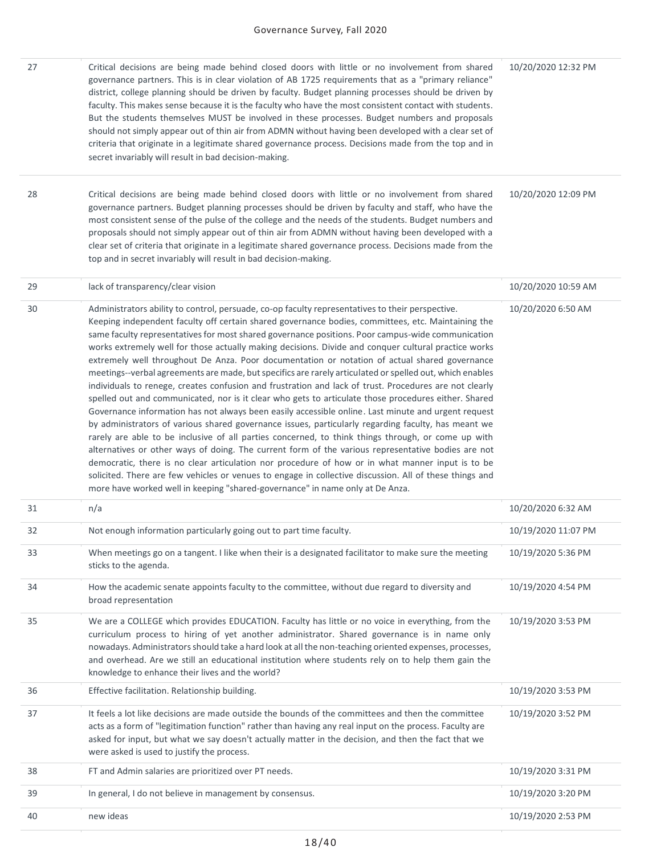| 27 | Critical decisions are being made behind closed doors with little or no involvement from shared<br>governance partners. This is in clear violation of AB 1725 requirements that as a "primary reliance"<br>district, college planning should be driven by faculty. Budget planning processes should be driven by<br>faculty. This makes sense because it is the faculty who have the most consistent contact with students.<br>But the students themselves MUST be involved in these processes. Budget numbers and proposals<br>should not simply appear out of thin air from ADMN without having been developed with a clear set of<br>criteria that originate in a legitimate shared governance process. Decisions made from the top and in<br>secret invariably will result in bad decision-making.                                                                                                                                                                                                                                                                                                                                                                                                                                                                                                                                                                                                                                                                                                                                                                       | 10/20/2020 12:32 PM |
|----|------------------------------------------------------------------------------------------------------------------------------------------------------------------------------------------------------------------------------------------------------------------------------------------------------------------------------------------------------------------------------------------------------------------------------------------------------------------------------------------------------------------------------------------------------------------------------------------------------------------------------------------------------------------------------------------------------------------------------------------------------------------------------------------------------------------------------------------------------------------------------------------------------------------------------------------------------------------------------------------------------------------------------------------------------------------------------------------------------------------------------------------------------------------------------------------------------------------------------------------------------------------------------------------------------------------------------------------------------------------------------------------------------------------------------------------------------------------------------------------------------------------------------------------------------------------------------|---------------------|
| 28 | Critical decisions are being made behind closed doors with little or no involvement from shared<br>governance partners. Budget planning processes should be driven by faculty and staff, who have the<br>most consistent sense of the pulse of the college and the needs of the students. Budget numbers and<br>proposals should not simply appear out of thin air from ADMN without having been developed with a<br>clear set of criteria that originate in a legitimate shared governance process. Decisions made from the<br>top and in secret invariably will result in bad decision-making.                                                                                                                                                                                                                                                                                                                                                                                                                                                                                                                                                                                                                                                                                                                                                                                                                                                                                                                                                                             | 10/20/2020 12:09 PM |
| 29 | lack of transparency/clear vision                                                                                                                                                                                                                                                                                                                                                                                                                                                                                                                                                                                                                                                                                                                                                                                                                                                                                                                                                                                                                                                                                                                                                                                                                                                                                                                                                                                                                                                                                                                                            | 10/20/2020 10:59 AM |
| 30 | Administrators ability to control, persuade, co-op faculty representatives to their perspective.<br>Keeping independent faculty off certain shared governance bodies, committees, etc. Maintaining the<br>same faculty representatives for most shared governance positions. Poor campus-wide communication<br>works extremely well for those actually making decisions. Divide and conquer cultural practice works<br>extremely well throughout De Anza. Poor documentation or notation of actual shared governance<br>meetings--verbal agreements are made, but specifics are rarely articulated or spelled out, which enables<br>individuals to renege, creates confusion and frustration and lack of trust. Procedures are not clearly<br>spelled out and communicated, nor is it clear who gets to articulate those procedures either. Shared<br>Governance information has not always been easily accessible online. Last minute and urgent request<br>by administrators of various shared governance issues, particularly regarding faculty, has meant we<br>rarely are able to be inclusive of all parties concerned, to think things through, or come up with<br>alternatives or other ways of doing. The current form of the various representative bodies are not<br>democratic, there is no clear articulation nor procedure of how or in what manner input is to be<br>solicited. There are few vehicles or venues to engage in collective discussion. All of these things and<br>more have worked well in keeping "shared-governance" in name only at De Anza. | 10/20/2020 6:50 AM  |
| 31 | n/a                                                                                                                                                                                                                                                                                                                                                                                                                                                                                                                                                                                                                                                                                                                                                                                                                                                                                                                                                                                                                                                                                                                                                                                                                                                                                                                                                                                                                                                                                                                                                                          | 10/20/2020 6:32 AM  |
| 32 | Not enough information particularly going out to part time faculty.                                                                                                                                                                                                                                                                                                                                                                                                                                                                                                                                                                                                                                                                                                                                                                                                                                                                                                                                                                                                                                                                                                                                                                                                                                                                                                                                                                                                                                                                                                          | 10/19/2020 11:07 PM |
| 33 | When meetings go on a tangent. I like when their is a designated facilitator to make sure the meeting<br>sticks to the agenda.                                                                                                                                                                                                                                                                                                                                                                                                                                                                                                                                                                                                                                                                                                                                                                                                                                                                                                                                                                                                                                                                                                                                                                                                                                                                                                                                                                                                                                               | 10/19/2020 5:36 PM  |
| 34 | How the academic senate appoints faculty to the committee, without due regard to diversity and<br>broad representation                                                                                                                                                                                                                                                                                                                                                                                                                                                                                                                                                                                                                                                                                                                                                                                                                                                                                                                                                                                                                                                                                                                                                                                                                                                                                                                                                                                                                                                       | 10/19/2020 4:54 PM  |
| 35 | We are a COLLEGE which provides EDUCATION. Faculty has little or no voice in everything, from the<br>curriculum process to hiring of yet another administrator. Shared governance is in name only<br>nowadays. Administrators should take a hard look at all the non-teaching oriented expenses, processes,<br>and overhead. Are we still an educational institution where students rely on to help them gain the<br>knowledge to enhance their lives and the world?                                                                                                                                                                                                                                                                                                                                                                                                                                                                                                                                                                                                                                                                                                                                                                                                                                                                                                                                                                                                                                                                                                         | 10/19/2020 3:53 PM  |
| 36 | Effective facilitation. Relationship building.                                                                                                                                                                                                                                                                                                                                                                                                                                                                                                                                                                                                                                                                                                                                                                                                                                                                                                                                                                                                                                                                                                                                                                                                                                                                                                                                                                                                                                                                                                                               | 10/19/2020 3:53 PM  |
| 37 | It feels a lot like decisions are made outside the bounds of the committees and then the committee<br>acts as a form of "legitimation function" rather than having any real input on the process. Faculty are<br>asked for input, but what we say doesn't actually matter in the decision, and then the fact that we<br>were asked is used to justify the process.                                                                                                                                                                                                                                                                                                                                                                                                                                                                                                                                                                                                                                                                                                                                                                                                                                                                                                                                                                                                                                                                                                                                                                                                           | 10/19/2020 3:52 PM  |
| 38 | FT and Admin salaries are prioritized over PT needs.                                                                                                                                                                                                                                                                                                                                                                                                                                                                                                                                                                                                                                                                                                                                                                                                                                                                                                                                                                                                                                                                                                                                                                                                                                                                                                                                                                                                                                                                                                                         | 10/19/2020 3:31 PM  |
| 39 | In general, I do not believe in management by consensus.                                                                                                                                                                                                                                                                                                                                                                                                                                                                                                                                                                                                                                                                                                                                                                                                                                                                                                                                                                                                                                                                                                                                                                                                                                                                                                                                                                                                                                                                                                                     | 10/19/2020 3:20 PM  |
| 40 | new ideas                                                                                                                                                                                                                                                                                                                                                                                                                                                                                                                                                                                                                                                                                                                                                                                                                                                                                                                                                                                                                                                                                                                                                                                                                                                                                                                                                                                                                                                                                                                                                                    | 10/19/2020 2:53 PM  |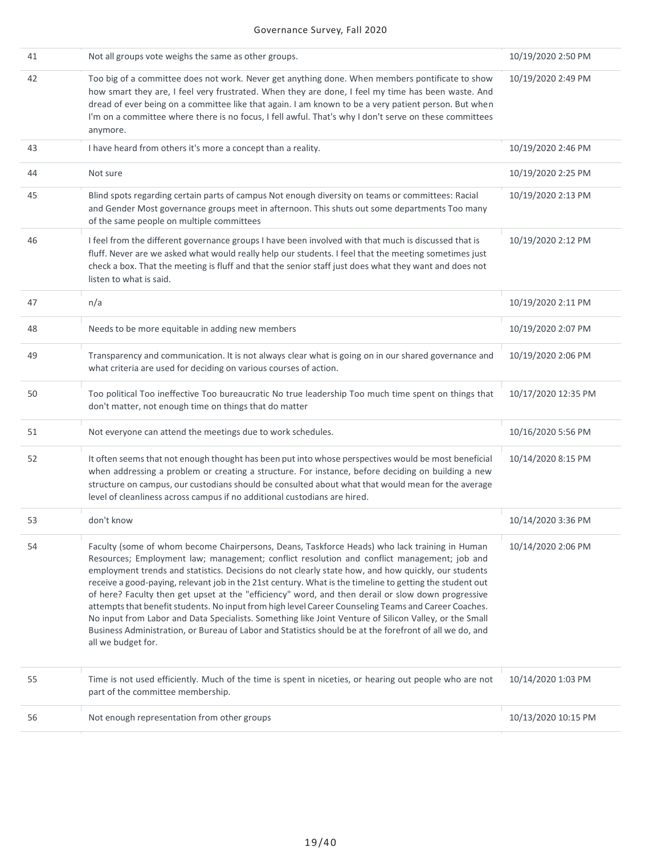| 41 | Not all groups vote weighs the same as other groups.                                                                                                                                                                                                                                                                                                                                                                                                                                                                                                                                                                                                                                                                                                                                                                                                                     | 10/19/2020 2:50 PM  |
|----|--------------------------------------------------------------------------------------------------------------------------------------------------------------------------------------------------------------------------------------------------------------------------------------------------------------------------------------------------------------------------------------------------------------------------------------------------------------------------------------------------------------------------------------------------------------------------------------------------------------------------------------------------------------------------------------------------------------------------------------------------------------------------------------------------------------------------------------------------------------------------|---------------------|
| 42 | Too big of a committee does not work. Never get anything done. When members pontificate to show<br>how smart they are, I feel very frustrated. When they are done, I feel my time has been waste. And<br>dread of ever being on a committee like that again. I am known to be a very patient person. But when<br>I'm on a committee where there is no focus, I fell awful. That's why I don't serve on these committees<br>anymore.                                                                                                                                                                                                                                                                                                                                                                                                                                      | 10/19/2020 2:49 PM  |
| 43 | I have heard from others it's more a concept than a reality.                                                                                                                                                                                                                                                                                                                                                                                                                                                                                                                                                                                                                                                                                                                                                                                                             | 10/19/2020 2:46 PM  |
| 44 | Not sure                                                                                                                                                                                                                                                                                                                                                                                                                                                                                                                                                                                                                                                                                                                                                                                                                                                                 | 10/19/2020 2:25 PM  |
| 45 | Blind spots regarding certain parts of campus Not enough diversity on teams or committees: Racial<br>and Gender Most governance groups meet in afternoon. This shuts out some departments Too many<br>of the same people on multiple committees                                                                                                                                                                                                                                                                                                                                                                                                                                                                                                                                                                                                                          | 10/19/2020 2:13 PM  |
| 46 | I feel from the different governance groups I have been involved with that much is discussed that is<br>fluff. Never are we asked what would really help our students. I feel that the meeting sometimes just<br>check a box. That the meeting is fluff and that the senior staff just does what they want and does not<br>listen to what is said.                                                                                                                                                                                                                                                                                                                                                                                                                                                                                                                       | 10/19/2020 2:12 PM  |
| 47 | n/a                                                                                                                                                                                                                                                                                                                                                                                                                                                                                                                                                                                                                                                                                                                                                                                                                                                                      | 10/19/2020 2:11 PM  |
| 48 | Needs to be more equitable in adding new members                                                                                                                                                                                                                                                                                                                                                                                                                                                                                                                                                                                                                                                                                                                                                                                                                         | 10/19/2020 2:07 PM  |
| 49 | Transparency and communication. It is not always clear what is going on in our shared governance and<br>what criteria are used for deciding on various courses of action.                                                                                                                                                                                                                                                                                                                                                                                                                                                                                                                                                                                                                                                                                                | 10/19/2020 2:06 PM  |
| 50 | Too political Too ineffective Too bureaucratic No true leadership Too much time spent on things that<br>don't matter, not enough time on things that do matter                                                                                                                                                                                                                                                                                                                                                                                                                                                                                                                                                                                                                                                                                                           | 10/17/2020 12:35 PM |
| 51 | Not everyone can attend the meetings due to work schedules.                                                                                                                                                                                                                                                                                                                                                                                                                                                                                                                                                                                                                                                                                                                                                                                                              | 10/16/2020 5:56 PM  |
| 52 | It often seems that not enough thought has been put into whose perspectives would be most beneficial<br>when addressing a problem or creating a structure. For instance, before deciding on building a new<br>structure on campus, our custodians should be consulted about what that would mean for the average<br>level of cleanliness across campus if no additional custodians are hired.                                                                                                                                                                                                                                                                                                                                                                                                                                                                            | 10/14/2020 8:15 PM  |
| 53 | don't know                                                                                                                                                                                                                                                                                                                                                                                                                                                                                                                                                                                                                                                                                                                                                                                                                                                               | 10/14/2020 3:36 PM  |
| 54 | Faculty (some of whom become Chairpersons, Deans, Taskforce Heads) who lack training in Human<br>Resources; Employment law; management; conflict resolution and conflict management; job and<br>employment trends and statistics. Decisions do not clearly state how, and how quickly, our students<br>receive a good-paying, relevant job in the 21st century. What is the timeline to getting the student out<br>of here? Faculty then get upset at the "efficiency" word, and then derail or slow down progressive<br>attempts that benefit students. No input from high level Career Counseling Teams and Career Coaches.<br>No input from Labor and Data Specialists. Something like Joint Venture of Silicon Valley, or the Small<br>Business Administration, or Bureau of Labor and Statistics should be at the forefront of all we do, and<br>all we budget for. | 10/14/2020 2:06 PM  |
| 55 | Time is not used efficiently. Much of the time is spent in niceties, or hearing out people who are not<br>part of the committee membership.                                                                                                                                                                                                                                                                                                                                                                                                                                                                                                                                                                                                                                                                                                                              | 10/14/2020 1:03 PM  |
| 56 | Not enough representation from other groups                                                                                                                                                                                                                                                                                                                                                                                                                                                                                                                                                                                                                                                                                                                                                                                                                              | 10/13/2020 10:15 PM |
|    |                                                                                                                                                                                                                                                                                                                                                                                                                                                                                                                                                                                                                                                                                                                                                                                                                                                                          |                     |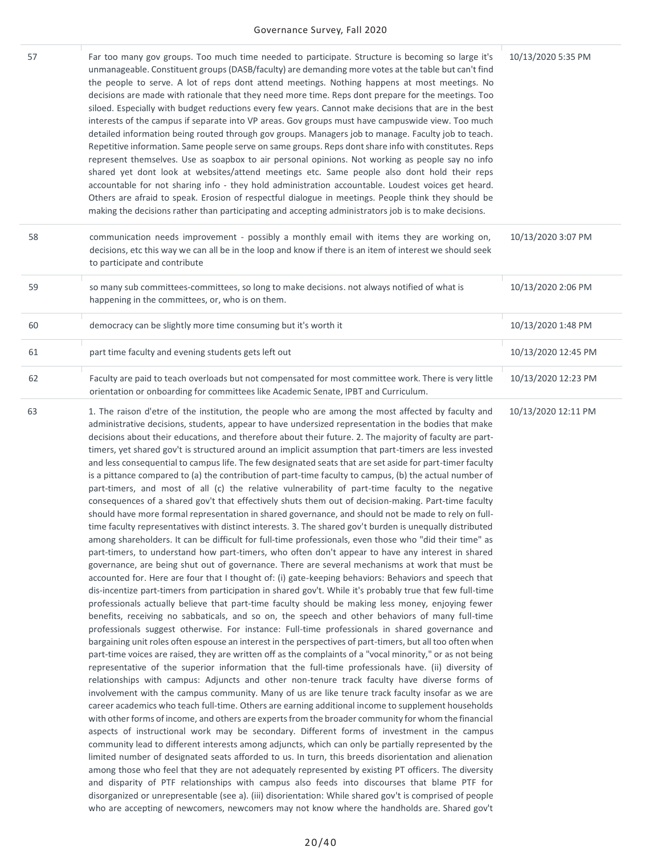| 57 | Far too many gov groups. Too much time needed to participate. Structure is becoming so large it's<br>unmanageable. Constituent groups (DASB/faculty) are demanding more votes at the table but can't find<br>the people to serve. A lot of reps dont attend meetings. Nothing happens at most meetings. No<br>decisions are made with rationale that they need more time. Reps dont prepare for the meetings. Too<br>siloed. Especially with budget reductions every few years. Cannot make decisions that are in the best<br>interests of the campus if separate into VP areas. Gov groups must have campuswide view. Too much<br>detailed information being routed through gov groups. Managers job to manage. Faculty job to teach.<br>Repetitive information. Same people serve on same groups. Reps dont share info with constitutes. Reps<br>represent themselves. Use as soapbox to air personal opinions. Not working as people say no info<br>shared yet dont look at websites/attend meetings etc. Same people also dont hold their reps<br>accountable for not sharing info - they hold administration accountable. Loudest voices get heard.<br>Others are afraid to speak. Erosion of respectful dialogue in meetings. People think they should be<br>making the decisions rather than participating and accepting administrators job is to make decisions. | 10/13/2020 5:35 PM  |
|----|--------------------------------------------------------------------------------------------------------------------------------------------------------------------------------------------------------------------------------------------------------------------------------------------------------------------------------------------------------------------------------------------------------------------------------------------------------------------------------------------------------------------------------------------------------------------------------------------------------------------------------------------------------------------------------------------------------------------------------------------------------------------------------------------------------------------------------------------------------------------------------------------------------------------------------------------------------------------------------------------------------------------------------------------------------------------------------------------------------------------------------------------------------------------------------------------------------------------------------------------------------------------------------------------------------------------------------------------------------------------------|---------------------|
| 58 | communication needs improvement - possibly a monthly email with items they are working on,<br>decisions, etc this way we can all be in the loop and know if there is an item of interest we should seek<br>to participate and contribute                                                                                                                                                                                                                                                                                                                                                                                                                                                                                                                                                                                                                                                                                                                                                                                                                                                                                                                                                                                                                                                                                                                                 | 10/13/2020 3:07 PM  |
| 59 | so many sub committees-committees, so long to make decisions. not always notified of what is<br>happening in the committees, or, who is on them.                                                                                                                                                                                                                                                                                                                                                                                                                                                                                                                                                                                                                                                                                                                                                                                                                                                                                                                                                                                                                                                                                                                                                                                                                         | 10/13/2020 2:06 PM  |
| 60 | democracy can be slightly more time consuming but it's worth it                                                                                                                                                                                                                                                                                                                                                                                                                                                                                                                                                                                                                                                                                                                                                                                                                                                                                                                                                                                                                                                                                                                                                                                                                                                                                                          | 10/13/2020 1:48 PM  |
| 61 | part time faculty and evening students gets left out                                                                                                                                                                                                                                                                                                                                                                                                                                                                                                                                                                                                                                                                                                                                                                                                                                                                                                                                                                                                                                                                                                                                                                                                                                                                                                                     | 10/13/2020 12:45 PM |
| 62 | Faculty are paid to teach overloads but not compensated for most committee work. There is very little<br>orientation or onboarding for committees like Academic Senate, IPBT and Curriculum.                                                                                                                                                                                                                                                                                                                                                                                                                                                                                                                                                                                                                                                                                                                                                                                                                                                                                                                                                                                                                                                                                                                                                                             | 10/13/2020 12:23 PM |
| 63 | 1. The raison d'etre of the institution, the people who are among the most affected by faculty and<br>administrative decisions, students, appear to have undersized representation in the bodies that make<br>decisions about their educations, and therefore about their future. 2. The majority of faculty are part-<br>timers, yet shared gov't is structured around an implicit assumption that part-timers are less invested<br>and less consequential to campus life. The few designated seats that are set aside for part-timer faculty<br>is a pittance compared to (a) the contribution of part-time faculty to campus, (b) the actual number of<br>part-timers, and most of all (c) the relative vulnerability of part-time faculty to the negative<br>consequences of a shared gov't that effectively shuts them out of decision-making. Part-time faculty<br>should have more formal representation in shared governance, and should not be made to rely on full-<br>the second contract of the contract of the contract of the contract of the contract of the contract of the contract of the contract of the contract of the contract of the contract of the contract of the contract of the con                                                                                                                                                          | 10/13/2020 12:11 PM |

time faculty representatives with distinct interests. 3. The shared gov't burden is unequally distributed among shareholders. It can be difficult for full-time professionals, even those who "did their time" as part-timers, to understand how part-timers, who often don't appear to have any interest in shared governance, are being shut out of governance. There are several mechanisms at work that must be accounted for. Here are four that I thought of: (i) gate-keeping behaviors: Behaviors and speech that dis-incentize part-timers from participation in shared gov't. While it's probably true that few full-time professionals actually believe that part-time faculty should be making less money, enjoying fewer benefits, receiving no sabbaticals, and so on, the speech and other behaviors of many full-time professionals suggest otherwise. For instance: Full-time professionals in shared governance and bargaining unit roles often espouse an interest in the perspectives of part-timers, but all too often when part-time voices are raised, they are written off as the complaints of a "vocal minority," or as not being representative of the superior information that the full-time professionals have. (ii) diversity of relationships with campus: Adjuncts and other non-tenure track faculty have diverse forms of involvement with the campus community. Many of us are like tenure track faculty insofar as we are career academics who teach full-time. Others are earning additional income to supplement households with other forms of income, and others are experts from the broader community for whom the financial aspects of instructional work may be secondary. Different forms of investment in the campus community lead to different interests among adjuncts, which can only be partially represented by the limited number of designated seats afforded to us. In turn, this breeds disorientation and alienation among those who feel that they are not adequately represented by existing PT officers. The diversity and disparity of PTF relationships with campus also feeds into discourses that blame PTF for disorganized or unrepresentable (see a). (iii) disorientation: While shared gov't is comprised of people who are accepting of newcomers, newcomers may not know where the handholds are. Shared gov't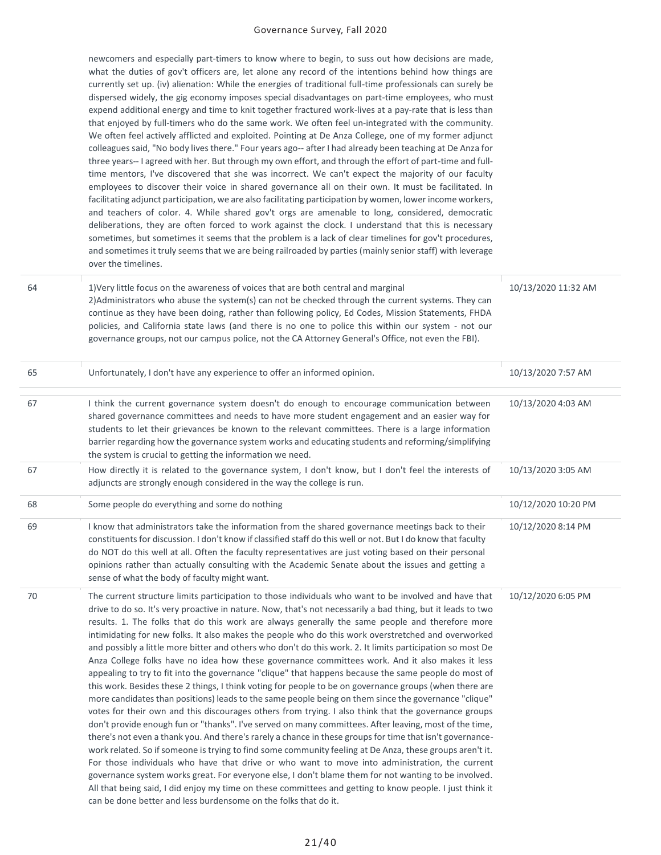|    | newcomers and especially part-timers to know where to begin, to suss out how decisions are made,<br>what the duties of gov't officers are, let alone any record of the intentions behind how things are<br>currently set up. (iv) alienation: While the energies of traditional full-time professionals can surely be<br>dispersed widely, the gig economy imposes special disadvantages on part-time employees, who must<br>expend additional energy and time to knit together fractured work-lives at a pay-rate that is less than<br>that enjoyed by full-timers who do the same work. We often feel un-integrated with the community.<br>We often feel actively afflicted and exploited. Pointing at De Anza College, one of my former adjunct<br>colleagues said, "No body lives there." Four years ago-- after I had already been teaching at De Anza for<br>three years-- I agreed with her. But through my own effort, and through the effort of part-time and full-<br>time mentors, I've discovered that she was incorrect. We can't expect the majority of our faculty<br>employees to discover their voice in shared governance all on their own. It must be facilitated. In<br>facilitating adjunct participation, we are also facilitating participation by women, lower income workers,<br>and teachers of color. 4. While shared gov't orgs are amenable to long, considered, democratic<br>deliberations, they are often forced to work against the clock. I understand that this is necessary<br>sometimes, but sometimes it seems that the problem is a lack of clear timelines for gov't procedures,<br>and sometimes it truly seems that we are being railroaded by parties (mainly senior staff) with leverage<br>over the timelines.                                                   |                     |
|----|---------------------------------------------------------------------------------------------------------------------------------------------------------------------------------------------------------------------------------------------------------------------------------------------------------------------------------------------------------------------------------------------------------------------------------------------------------------------------------------------------------------------------------------------------------------------------------------------------------------------------------------------------------------------------------------------------------------------------------------------------------------------------------------------------------------------------------------------------------------------------------------------------------------------------------------------------------------------------------------------------------------------------------------------------------------------------------------------------------------------------------------------------------------------------------------------------------------------------------------------------------------------------------------------------------------------------------------------------------------------------------------------------------------------------------------------------------------------------------------------------------------------------------------------------------------------------------------------------------------------------------------------------------------------------------------------------------------------------------------------------------------------------------------------------------------|---------------------|
| 64 | 1) Very little focus on the awareness of voices that are both central and marginal<br>2) Administrators who abuse the system(s) can not be checked through the current systems. They can<br>continue as they have been doing, rather than following policy, Ed Codes, Mission Statements, FHDA<br>policies, and California state laws (and there is no one to police this within our system - not our<br>governance groups, not our campus police, not the CA Attorney General's Office, not even the FBI).                                                                                                                                                                                                                                                                                                                                                                                                                                                                                                                                                                                                                                                                                                                                                                                                                                                                                                                                                                                                                                                                                                                                                                                                                                                                                                   | 10/13/2020 11:32 AM |
| 65 | Unfortunately, I don't have any experience to offer an informed opinion.                                                                                                                                                                                                                                                                                                                                                                                                                                                                                                                                                                                                                                                                                                                                                                                                                                                                                                                                                                                                                                                                                                                                                                                                                                                                                                                                                                                                                                                                                                                                                                                                                                                                                                                                      | 10/13/2020 7:57 AM  |
| 67 | I think the current governance system doesn't do enough to encourage communication between<br>shared governance committees and needs to have more student engagement and an easier way for<br>students to let their grievances be known to the relevant committees. There is a large information<br>barrier regarding how the governance system works and educating students and reforming/simplifying<br>the system is crucial to getting the information we need.                                                                                                                                                                                                                                                                                                                                                                                                                                                                                                                                                                                                                                                                                                                                                                                                                                                                                                                                                                                                                                                                                                                                                                                                                                                                                                                                           | 10/13/2020 4:03 AM  |
| 67 | How directly it is related to the governance system, I don't know, but I don't feel the interests of<br>adjuncts are strongly enough considered in the way the college is run.                                                                                                                                                                                                                                                                                                                                                                                                                                                                                                                                                                                                                                                                                                                                                                                                                                                                                                                                                                                                                                                                                                                                                                                                                                                                                                                                                                                                                                                                                                                                                                                                                                | 10/13/2020 3:05 AM  |
| 68 | Some people do everything and some do nothing                                                                                                                                                                                                                                                                                                                                                                                                                                                                                                                                                                                                                                                                                                                                                                                                                                                                                                                                                                                                                                                                                                                                                                                                                                                                                                                                                                                                                                                                                                                                                                                                                                                                                                                                                                 | 10/12/2020 10:20 PM |
| 69 | I know that administrators take the information from the shared governance meetings back to their<br>constituents for discussion. I don't know if classified staff do this well or not. But I do know that faculty<br>do NOT do this well at all. Often the faculty representatives are just voting based on their personal<br>opinions rather than actually consulting with the Academic Senate about the issues and getting a<br>sense of what the body of faculty might want.                                                                                                                                                                                                                                                                                                                                                                                                                                                                                                                                                                                                                                                                                                                                                                                                                                                                                                                                                                                                                                                                                                                                                                                                                                                                                                                              | 10/12/2020 8:14 PM  |
| 70 | The current structure limits participation to those individuals who want to be involved and have that<br>drive to do so. It's very proactive in nature. Now, that's not necessarily a bad thing, but it leads to two<br>results. 1. The folks that do this work are always generally the same people and therefore more<br>intimidating for new folks. It also makes the people who do this work overstretched and overworked<br>and possibly a little more bitter and others who don't do this work. 2. It limits participation so most De<br>Anza College folks have no idea how these governance committees work. And it also makes it less<br>appealing to try to fit into the governance "clique" that happens because the same people do most of<br>this work. Besides these 2 things, I think voting for people to be on governance groups (when there are<br>more candidates than positions) leads to the same people being on them since the governance "clique"<br>votes for their own and this discourages others from trying. I also think that the governance groups<br>don't provide enough fun or "thanks". I've served on many committees. After leaving, most of the time,<br>there's not even a thank you. And there's rarely a chance in these groups for time that isn't governance-<br>work related. So if someone is trying to find some community feeling at De Anza, these groups aren't it.<br>For those individuals who have that drive or who want to move into administration, the current<br>governance system works great. For everyone else, I don't blame them for not wanting to be involved.<br>All that being said, I did enjoy my time on these committees and getting to know people. I just think it<br>can be done better and less burdensome on the folks that do it. | 10/12/2020 6:05 PM  |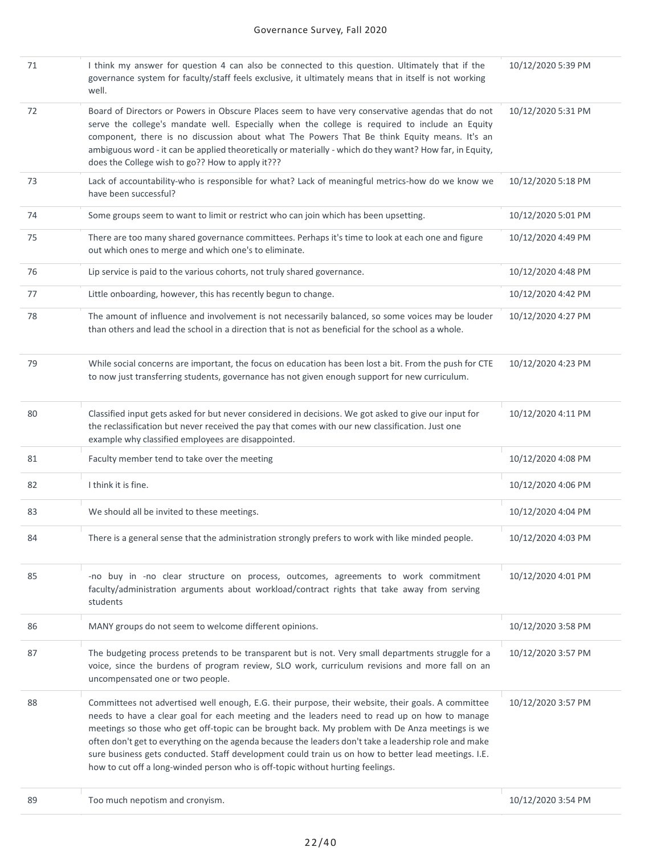#### $\mathcal{A}$  all that being said, I did enjoy my time on the se committees and getting the second people. I just think it is getting that it is getting that it is getting that it is getting that it is getting that it is getti Governance Survey, Fall 2020

| 71 | I think my answer for question 4 can also be connected to this question. Ultimately that if the<br>governance system for faculty/staff feels exclusive, it ultimately means that in itself is not working<br>well.                                                                                                                                                                                                                                                                                                                                                                                      | 10/12/2020 5:39 PM |
|----|---------------------------------------------------------------------------------------------------------------------------------------------------------------------------------------------------------------------------------------------------------------------------------------------------------------------------------------------------------------------------------------------------------------------------------------------------------------------------------------------------------------------------------------------------------------------------------------------------------|--------------------|
| 72 | Board of Directors or Powers in Obscure Places seem to have very conservative agendas that do not<br>serve the college's mandate well. Especially when the college is required to include an Equity<br>component, there is no discussion about what The Powers That Be think Equity means. It's an<br>ambiguous word - it can be applied theoretically or materially - which do they want? How far, in Equity,<br>does the College wish to go?? How to apply it???                                                                                                                                      | 10/12/2020 5:31 PM |
| 73 | Lack of accountability-who is responsible for what? Lack of meaningful metrics-how do we know we<br>have been successful?                                                                                                                                                                                                                                                                                                                                                                                                                                                                               | 10/12/2020 5:18 PM |
| 74 | Some groups seem to want to limit or restrict who can join which has been upsetting.                                                                                                                                                                                                                                                                                                                                                                                                                                                                                                                    | 10/12/2020 5:01 PM |
| 75 | There are too many shared governance committees. Perhaps it's time to look at each one and figure<br>out which ones to merge and which one's to eliminate.                                                                                                                                                                                                                                                                                                                                                                                                                                              | 10/12/2020 4:49 PM |
| 76 | Lip service is paid to the various cohorts, not truly shared governance.                                                                                                                                                                                                                                                                                                                                                                                                                                                                                                                                | 10/12/2020 4:48 PM |
| 77 | Little onboarding, however, this has recently begun to change.                                                                                                                                                                                                                                                                                                                                                                                                                                                                                                                                          | 10/12/2020 4:42 PM |
| 78 | The amount of influence and involvement is not necessarily balanced, so some voices may be louder<br>than others and lead the school in a direction that is not as beneficial for the school as a whole.                                                                                                                                                                                                                                                                                                                                                                                                | 10/12/2020 4:27 PM |
| 79 | While social concerns are important, the focus on education has been lost a bit. From the push for CTE<br>to now just transferring students, governance has not given enough support for new curriculum.                                                                                                                                                                                                                                                                                                                                                                                                | 10/12/2020 4:23 PM |
| 80 | Classified input gets asked for but never considered in decisions. We got asked to give our input for<br>the reclassification but never received the pay that comes with our new classification. Just one<br>example why classified employees are disappointed.                                                                                                                                                                                                                                                                                                                                         | 10/12/2020 4:11 PM |
| 81 | Faculty member tend to take over the meeting                                                                                                                                                                                                                                                                                                                                                                                                                                                                                                                                                            | 10/12/2020 4:08 PM |
| 82 | I think it is fine.                                                                                                                                                                                                                                                                                                                                                                                                                                                                                                                                                                                     | 10/12/2020 4:06 PM |
| 83 | We should all be invited to these meetings.                                                                                                                                                                                                                                                                                                                                                                                                                                                                                                                                                             | 10/12/2020 4:04 PM |
| 84 | There is a general sense that the administration strongly prefers to work with like minded people.                                                                                                                                                                                                                                                                                                                                                                                                                                                                                                      | 10/12/2020 4:03 PM |
| 85 | -no buy in -no clear structure on process, outcomes, agreements to work commitment<br>faculty/administration arguments about workload/contract rights that take away from serving<br>students                                                                                                                                                                                                                                                                                                                                                                                                           | 10/12/2020 4:01 PM |
| 86 | MANY groups do not seem to welcome different opinions.                                                                                                                                                                                                                                                                                                                                                                                                                                                                                                                                                  | 10/12/2020 3:58 PM |
| 87 | The budgeting process pretends to be transparent but is not. Very small departments struggle for a<br>voice, since the burdens of program review, SLO work, curriculum revisions and more fall on an<br>uncompensated one or two people.                                                                                                                                                                                                                                                                                                                                                                | 10/12/2020 3:57 PM |
| 88 | Committees not advertised well enough, E.G. their purpose, their website, their goals. A committee<br>needs to have a clear goal for each meeting and the leaders need to read up on how to manage<br>meetings so those who get off-topic can be brought back. My problem with De Anza meetings is we<br>often don't get to everything on the agenda because the leaders don't take a leadership role and make<br>sure business gets conducted. Staff development could train us on how to better lead meetings. I.E.<br>how to cut off a long-winded person who is off-topic without hurting feelings. | 10/12/2020 3:57 PM |
| 89 | Too much nepotism and cronyism.                                                                                                                                                                                                                                                                                                                                                                                                                                                                                                                                                                         | 10/12/2020 3:54 PM |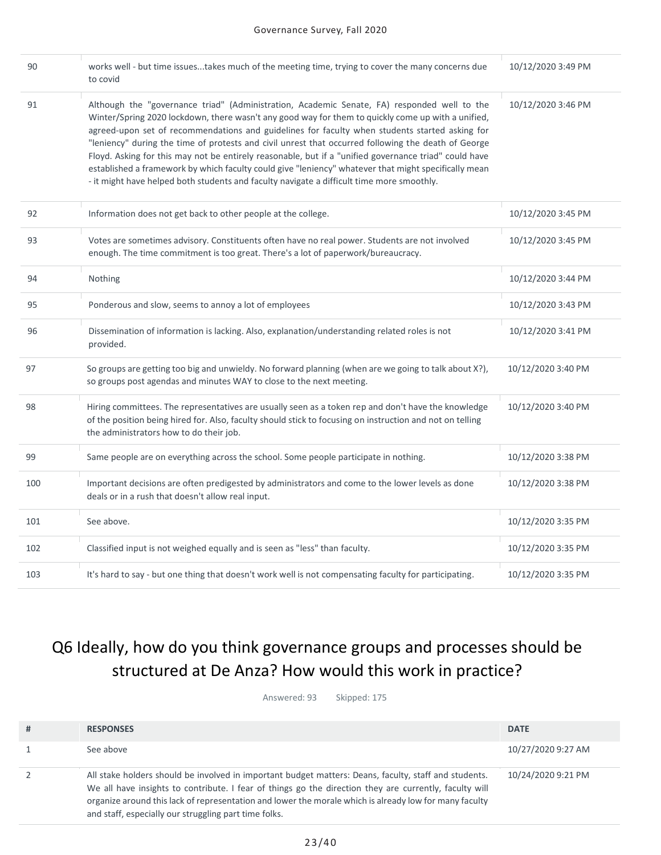| 90  | works well - but time issuestakes much of the meeting time, trying to cover the many concerns due<br>to covid                                                                                                                                                                                                                                                                                                                                                                                                                                                                                                                                                                                                            | 10/12/2020 3:49 PM |
|-----|--------------------------------------------------------------------------------------------------------------------------------------------------------------------------------------------------------------------------------------------------------------------------------------------------------------------------------------------------------------------------------------------------------------------------------------------------------------------------------------------------------------------------------------------------------------------------------------------------------------------------------------------------------------------------------------------------------------------------|--------------------|
| 91  | Although the "governance triad" (Administration, Academic Senate, FA) responded well to the<br>Winter/Spring 2020 lockdown, there wasn't any good way for them to quickly come up with a unified,<br>agreed-upon set of recommendations and guidelines for faculty when students started asking for<br>"leniency" during the time of protests and civil unrest that occurred following the death of George<br>Floyd. Asking for this may not be entirely reasonable, but if a "unified governance triad" could have<br>established a framework by which faculty could give "leniency" whatever that might specifically mean<br>- it might have helped both students and faculty navigate a difficult time more smoothly. | 10/12/2020 3:46 PM |
| 92  | Information does not get back to other people at the college.                                                                                                                                                                                                                                                                                                                                                                                                                                                                                                                                                                                                                                                            | 10/12/2020 3:45 PM |
| 93  | Votes are sometimes advisory. Constituents often have no real power. Students are not involved<br>enough. The time commitment is too great. There's a lot of paperwork/bureaucracy.                                                                                                                                                                                                                                                                                                                                                                                                                                                                                                                                      | 10/12/2020 3:45 PM |
| 94  | Nothing                                                                                                                                                                                                                                                                                                                                                                                                                                                                                                                                                                                                                                                                                                                  | 10/12/2020 3:44 PM |
| 95  | Ponderous and slow, seems to annoy a lot of employees                                                                                                                                                                                                                                                                                                                                                                                                                                                                                                                                                                                                                                                                    | 10/12/2020 3:43 PM |
| 96  | Dissemination of information is lacking. Also, explanation/understanding related roles is not<br>provided.                                                                                                                                                                                                                                                                                                                                                                                                                                                                                                                                                                                                               | 10/12/2020 3:41 PM |
| 97  | So groups are getting too big and unwieldy. No forward planning (when are we going to talk about X?),<br>so groups post agendas and minutes WAY to close to the next meeting.                                                                                                                                                                                                                                                                                                                                                                                                                                                                                                                                            | 10/12/2020 3:40 PM |
| 98  | Hiring committees. The representatives are usually seen as a token rep and don't have the knowledge<br>of the position being hired for. Also, faculty should stick to focusing on instruction and not on telling<br>the administrators how to do their job.                                                                                                                                                                                                                                                                                                                                                                                                                                                              | 10/12/2020 3:40 PM |
| 99  | Same people are on everything across the school. Some people participate in nothing.                                                                                                                                                                                                                                                                                                                                                                                                                                                                                                                                                                                                                                     | 10/12/2020 3:38 PM |
| 100 | Important decisions are often predigested by administrators and come to the lower levels as done<br>deals or in a rush that doesn't allow real input.                                                                                                                                                                                                                                                                                                                                                                                                                                                                                                                                                                    | 10/12/2020 3:38 PM |
| 101 | See above.                                                                                                                                                                                                                                                                                                                                                                                                                                                                                                                                                                                                                                                                                                               | 10/12/2020 3:35 PM |
| 102 | Classified input is not weighed equally and is seen as "less" than faculty.                                                                                                                                                                                                                                                                                                                                                                                                                                                                                                                                                                                                                                              | 10/12/2020 3:35 PM |
| 103 | It's hard to say - but one thing that doesn't work well is not compensating faculty for participating.                                                                                                                                                                                                                                                                                                                                                                                                                                                                                                                                                                                                                   | 10/12/2020 3:35 PM |

# Q6 Ideally, how do you think governance groups and processes should be structured at De Anza? How would this work in practice?

Answered: 93 Skipped: 175

| # | <b>RESPONSES</b>                                                                                                                                                                                                                                                                                                                                                                   | <b>DATE</b>        |
|---|------------------------------------------------------------------------------------------------------------------------------------------------------------------------------------------------------------------------------------------------------------------------------------------------------------------------------------------------------------------------------------|--------------------|
|   | See above                                                                                                                                                                                                                                                                                                                                                                          | 10/27/2020 9:27 AM |
|   | All stake holders should be involved in important budget matters: Deans, faculty, staff and students.<br>We all have insights to contribute. I fear of things go the direction they are currently, faculty will<br>organize around this lack of representation and lower the morale which is already low for many faculty<br>and staff, especially our struggling part time folks. | 10/24/2020 9:21 PM |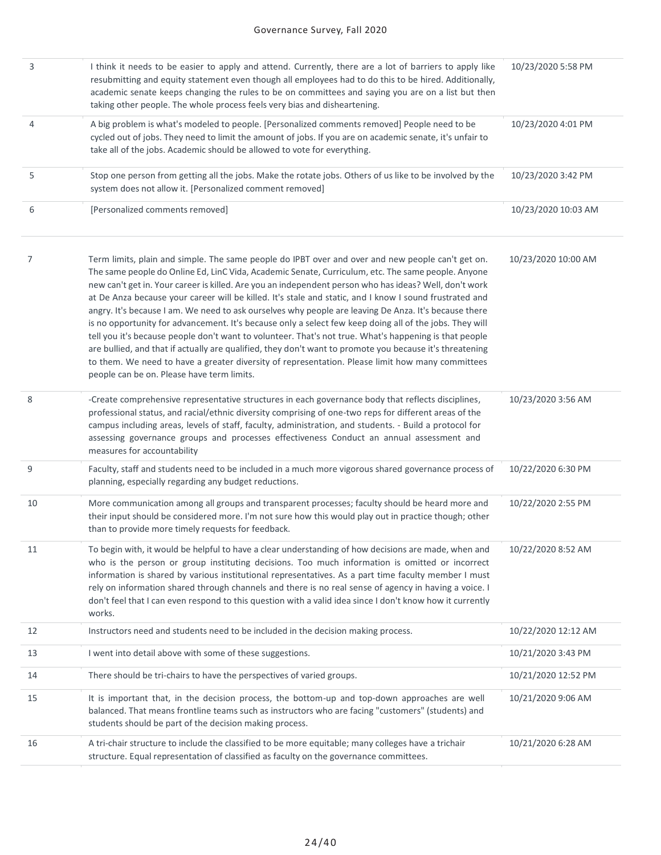| 3  | I think it needs to be easier to apply and attend. Currently, there are a lot of barriers to apply like<br>resubmitting and equity statement even though all employees had to do this to be hired. Additionally,<br>academic senate keeps changing the rules to be on committees and saying you are on a list but then<br>taking other people. The whole process feels very bias and disheartening.                                                                                                                                                                                                                                                                                                                                                                                                                                                                                                                                                                                                                      | 10/23/2020 5:58 PM  |
|----|--------------------------------------------------------------------------------------------------------------------------------------------------------------------------------------------------------------------------------------------------------------------------------------------------------------------------------------------------------------------------------------------------------------------------------------------------------------------------------------------------------------------------------------------------------------------------------------------------------------------------------------------------------------------------------------------------------------------------------------------------------------------------------------------------------------------------------------------------------------------------------------------------------------------------------------------------------------------------------------------------------------------------|---------------------|
| 4  | A big problem is what's modeled to people. [Personalized comments removed] People need to be<br>cycled out of jobs. They need to limit the amount of jobs. If you are on academic senate, it's unfair to<br>take all of the jobs. Academic should be allowed to vote for everything.                                                                                                                                                                                                                                                                                                                                                                                                                                                                                                                                                                                                                                                                                                                                     | 10/23/2020 4:01 PM  |
| 5  | Stop one person from getting all the jobs. Make the rotate jobs. Others of us like to be involved by the<br>system does not allow it. [Personalized comment removed]                                                                                                                                                                                                                                                                                                                                                                                                                                                                                                                                                                                                                                                                                                                                                                                                                                                     | 10/23/2020 3:42 PM  |
| 6  | [Personalized comments removed]                                                                                                                                                                                                                                                                                                                                                                                                                                                                                                                                                                                                                                                                                                                                                                                                                                                                                                                                                                                          | 10/23/2020 10:03 AM |
| 7  | Term limits, plain and simple. The same people do IPBT over and over and new people can't get on.<br>The same people do Online Ed, LinC Vida, Academic Senate, Curriculum, etc. The same people. Anyone<br>new can't get in. Your career is killed. Are you an independent person who has ideas? Well, don't work<br>at De Anza because your career will be killed. It's stale and static, and I know I sound frustrated and<br>angry. It's because I am. We need to ask ourselves why people are leaving De Anza. It's because there<br>is no opportunity for advancement. It's because only a select few keep doing all of the jobs. They will<br>tell you it's because people don't want to volunteer. That's not true. What's happening is that people<br>are bullied, and that if actually are qualified, they don't want to promote you because it's threatening<br>to them. We need to have a greater diversity of representation. Please limit how many committees<br>people can be on. Please have term limits. | 10/23/2020 10:00 AM |
| 8  | -Create comprehensive representative structures in each governance body that reflects disciplines,<br>professional status, and racial/ethnic diversity comprising of one-two reps for different areas of the<br>campus including areas, levels of staff, faculty, administration, and students. - Build a protocol for<br>assessing governance groups and processes effectiveness Conduct an annual assessment and<br>measures for accountability                                                                                                                                                                                                                                                                                                                                                                                                                                                                                                                                                                        | 10/23/2020 3:56 AM  |
| 9  | Faculty, staff and students need to be included in a much more vigorous shared governance process of<br>planning, especially regarding any budget reductions.                                                                                                                                                                                                                                                                                                                                                                                                                                                                                                                                                                                                                                                                                                                                                                                                                                                            | 10/22/2020 6:30 PM  |
| 10 | More communication among all groups and transparent processes; faculty should be heard more and<br>their input should be considered more. I'm not sure how this would play out in practice though; other<br>than to provide more timely requests for feedback.                                                                                                                                                                                                                                                                                                                                                                                                                                                                                                                                                                                                                                                                                                                                                           | 10/22/2020 2:55 PM  |
| 11 | To begin with, it would be helpful to have a clear understanding of how decisions are made, when and<br>who is the person or group instituting decisions. Too much information is omitted or incorrect<br>information is shared by various institutional representatives. As a part time faculty member I must<br>rely on information shared through channels and there is no real sense of agency in having a voice. I<br>don't feel that I can even respond to this question with a valid idea since I don't know how it currently<br>works.                                                                                                                                                                                                                                                                                                                                                                                                                                                                           | 10/22/2020 8:52 AM  |
| 12 | Instructors need and students need to be included in the decision making process.                                                                                                                                                                                                                                                                                                                                                                                                                                                                                                                                                                                                                                                                                                                                                                                                                                                                                                                                        | 10/22/2020 12:12 AM |
| 13 | I went into detail above with some of these suggestions.                                                                                                                                                                                                                                                                                                                                                                                                                                                                                                                                                                                                                                                                                                                                                                                                                                                                                                                                                                 | 10/21/2020 3:43 PM  |
| 14 | There should be tri-chairs to have the perspectives of varied groups.                                                                                                                                                                                                                                                                                                                                                                                                                                                                                                                                                                                                                                                                                                                                                                                                                                                                                                                                                    | 10/21/2020 12:52 PM |
| 15 | It is important that, in the decision process, the bottom-up and top-down approaches are well<br>balanced. That means frontline teams such as instructors who are facing "customers" (students) and<br>students should be part of the decision making process.                                                                                                                                                                                                                                                                                                                                                                                                                                                                                                                                                                                                                                                                                                                                                           | 10/21/2020 9:06 AM  |
| 16 | A tri-chair structure to include the classified to be more equitable; many colleges have a trichair<br>structure. Equal representation of classified as faculty on the governance committees.                                                                                                                                                                                                                                                                                                                                                                                                                                                                                                                                                                                                                                                                                                                                                                                                                            | 10/21/2020 6:28 AM  |
|    |                                                                                                                                                                                                                                                                                                                                                                                                                                                                                                                                                                                                                                                                                                                                                                                                                                                                                                                                                                                                                          |                     |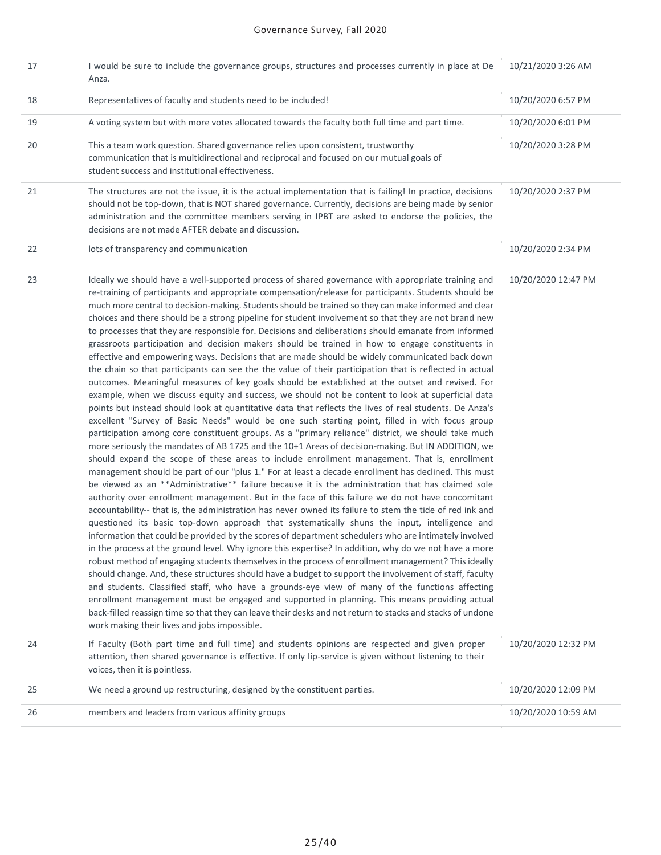| 17 | I would be sure to include the governance groups, structures and processes currently in place at De<br>Anza.                                                                                                                                                                                                                                                                                                                                                                                                                                                                                                                                                                                                                                                                                                                                                                                                                                                                                                                                                                                                                                                                                                                                                                                                                                                                                                                                                                                                                                                                                                                                                                                                                                                                                                                                                                                                                                                                                                                                                                                                                                                                                                                                                                                                                                                                                                                                                                                                                                                                                                                                                                                                                                                                                                                                                                                                       | 10/21/2020 3:26 AM  |
|----|--------------------------------------------------------------------------------------------------------------------------------------------------------------------------------------------------------------------------------------------------------------------------------------------------------------------------------------------------------------------------------------------------------------------------------------------------------------------------------------------------------------------------------------------------------------------------------------------------------------------------------------------------------------------------------------------------------------------------------------------------------------------------------------------------------------------------------------------------------------------------------------------------------------------------------------------------------------------------------------------------------------------------------------------------------------------------------------------------------------------------------------------------------------------------------------------------------------------------------------------------------------------------------------------------------------------------------------------------------------------------------------------------------------------------------------------------------------------------------------------------------------------------------------------------------------------------------------------------------------------------------------------------------------------------------------------------------------------------------------------------------------------------------------------------------------------------------------------------------------------------------------------------------------------------------------------------------------------------------------------------------------------------------------------------------------------------------------------------------------------------------------------------------------------------------------------------------------------------------------------------------------------------------------------------------------------------------------------------------------------------------------------------------------------------------------------------------------------------------------------------------------------------------------------------------------------------------------------------------------------------------------------------------------------------------------------------------------------------------------------------------------------------------------------------------------------------------------------------------------------------------------------------------------------|---------------------|
| 18 | Representatives of faculty and students need to be included!                                                                                                                                                                                                                                                                                                                                                                                                                                                                                                                                                                                                                                                                                                                                                                                                                                                                                                                                                                                                                                                                                                                                                                                                                                                                                                                                                                                                                                                                                                                                                                                                                                                                                                                                                                                                                                                                                                                                                                                                                                                                                                                                                                                                                                                                                                                                                                                                                                                                                                                                                                                                                                                                                                                                                                                                                                                       | 10/20/2020 6:57 PM  |
| 19 | A voting system but with more votes allocated towards the faculty both full time and part time.                                                                                                                                                                                                                                                                                                                                                                                                                                                                                                                                                                                                                                                                                                                                                                                                                                                                                                                                                                                                                                                                                                                                                                                                                                                                                                                                                                                                                                                                                                                                                                                                                                                                                                                                                                                                                                                                                                                                                                                                                                                                                                                                                                                                                                                                                                                                                                                                                                                                                                                                                                                                                                                                                                                                                                                                                    | 10/20/2020 6:01 PM  |
| 20 | This a team work question. Shared governance relies upon consistent, trustworthy<br>communication that is multidirectional and reciprocal and focused on our mutual goals of<br>student success and institutional effectiveness.                                                                                                                                                                                                                                                                                                                                                                                                                                                                                                                                                                                                                                                                                                                                                                                                                                                                                                                                                                                                                                                                                                                                                                                                                                                                                                                                                                                                                                                                                                                                                                                                                                                                                                                                                                                                                                                                                                                                                                                                                                                                                                                                                                                                                                                                                                                                                                                                                                                                                                                                                                                                                                                                                   | 10/20/2020 3:28 PM  |
| 21 | The structures are not the issue, it is the actual implementation that is failing! In practice, decisions<br>should not be top-down, that is NOT shared governance. Currently, decisions are being made by senior<br>administration and the committee members serving in IPBT are asked to endorse the policies, the<br>decisions are not made AFTER debate and discussion.                                                                                                                                                                                                                                                                                                                                                                                                                                                                                                                                                                                                                                                                                                                                                                                                                                                                                                                                                                                                                                                                                                                                                                                                                                                                                                                                                                                                                                                                                                                                                                                                                                                                                                                                                                                                                                                                                                                                                                                                                                                                                                                                                                                                                                                                                                                                                                                                                                                                                                                                        | 10/20/2020 2:37 PM  |
| 22 | lots of transparency and communication                                                                                                                                                                                                                                                                                                                                                                                                                                                                                                                                                                                                                                                                                                                                                                                                                                                                                                                                                                                                                                                                                                                                                                                                                                                                                                                                                                                                                                                                                                                                                                                                                                                                                                                                                                                                                                                                                                                                                                                                                                                                                                                                                                                                                                                                                                                                                                                                                                                                                                                                                                                                                                                                                                                                                                                                                                                                             | 10/20/2020 2:34 PM  |
| 23 | Ideally we should have a well-supported process of shared governance with appropriate training and<br>re-training of participants and appropriate compensation/release for participants. Students should be<br>much more central to decision-making. Students should be trained so they can make informed and clear<br>choices and there should be a strong pipeline for student involvement so that they are not brand new<br>to processes that they are responsible for. Decisions and deliberations should emanate from informed<br>grassroots participation and decision makers should be trained in how to engage constituents in<br>effective and empowering ways. Decisions that are made should be widely communicated back down<br>the chain so that participants can see the the value of their participation that is reflected in actual<br>outcomes. Meaningful measures of key goals should be established at the outset and revised. For<br>example, when we discuss equity and success, we should not be content to look at superficial data<br>points but instead should look at quantitative data that reflects the lives of real students. De Anza's<br>excellent "Survey of Basic Needs" would be one such starting point, filled in with focus group<br>participation among core constituent groups. As a "primary reliance" district, we should take much<br>more seriously the mandates of AB 1725 and the 10+1 Areas of decision-making. But IN ADDITION, we<br>should expand the scope of these areas to include enrollment management. That is, enrollment<br>management should be part of our "plus 1." For at least a decade enrollment has declined. This must<br>be viewed as an **Administrative** failure because it is the administration that has claimed sole<br>authority over enrollment management. But in the face of this failure we do not have concomitant<br>accountability-- that is, the administration has never owned its failure to stem the tide of red ink and<br>questioned its basic top-down approach that systematically shuns the input, intelligence and<br>information that could be provided by the scores of department schedulers who are intimately involved<br>in the process at the ground level. Why ignore this expertise? In addition, why do we not have a more<br>robust method of engaging students themselves in the process of enrollment management? This ideally<br>should change. And, these structures should have a budget to support the involvement of staff, faculty<br>and students. Classified staff, who have a grounds-eye view of many of the functions affecting<br>enrollment management must be engaged and supported in planning. This means providing actual<br>back-filled reassign time so that they can leave their desks and not return to stacks and stacks of undone<br>work making their lives and jobs impossible. | 10/20/2020 12:47 PM |
| 24 | If Faculty (Both part time and full time) and students opinions are respected and given proper<br>attention, then shared governance is effective. If only lip-service is given without listening to their<br>voices, then it is pointless.                                                                                                                                                                                                                                                                                                                                                                                                                                                                                                                                                                                                                                                                                                                                                                                                                                                                                                                                                                                                                                                                                                                                                                                                                                                                                                                                                                                                                                                                                                                                                                                                                                                                                                                                                                                                                                                                                                                                                                                                                                                                                                                                                                                                                                                                                                                                                                                                                                                                                                                                                                                                                                                                         | 10/20/2020 12:32 PM |
| 25 | We need a ground up restructuring, designed by the constituent parties.                                                                                                                                                                                                                                                                                                                                                                                                                                                                                                                                                                                                                                                                                                                                                                                                                                                                                                                                                                                                                                                                                                                                                                                                                                                                                                                                                                                                                                                                                                                                                                                                                                                                                                                                                                                                                                                                                                                                                                                                                                                                                                                                                                                                                                                                                                                                                                                                                                                                                                                                                                                                                                                                                                                                                                                                                                            | 10/20/2020 12:09 PM |
| 26 | members and leaders from various affinity groups                                                                                                                                                                                                                                                                                                                                                                                                                                                                                                                                                                                                                                                                                                                                                                                                                                                                                                                                                                                                                                                                                                                                                                                                                                                                                                                                                                                                                                                                                                                                                                                                                                                                                                                                                                                                                                                                                                                                                                                                                                                                                                                                                                                                                                                                                                                                                                                                                                                                                                                                                                                                                                                                                                                                                                                                                                                                   | 10/20/2020 10:59 AM |
|    |                                                                                                                                                                                                                                                                                                                                                                                                                                                                                                                                                                                                                                                                                                                                                                                                                                                                                                                                                                                                                                                                                                                                                                                                                                                                                                                                                                                                                                                                                                                                                                                                                                                                                                                                                                                                                                                                                                                                                                                                                                                                                                                                                                                                                                                                                                                                                                                                                                                                                                                                                                                                                                                                                                                                                                                                                                                                                                                    |                     |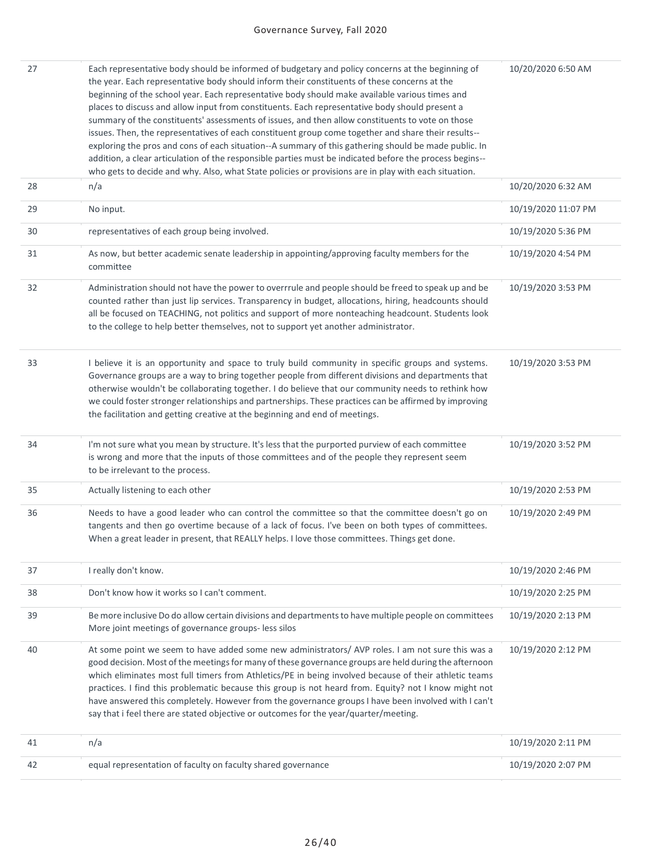| 27 | Each representative body should be informed of budgetary and policy concerns at the beginning of<br>the year. Each representative body should inform their constituents of these concerns at the<br>beginning of the school year. Each representative body should make available various times and<br>places to discuss and allow input from constituents. Each representative body should present a<br>summary of the constituents' assessments of issues, and then allow constituents to vote on those<br>issues. Then, the representatives of each constituent group come together and share their results--<br>exploring the pros and cons of each situation--A summary of this gathering should be made public. In<br>addition, a clear articulation of the responsible parties must be indicated before the process begins--<br>who gets to decide and why. Also, what State policies or provisions are in play with each situation. | 10/20/2020 6:50 AM  |
|----|--------------------------------------------------------------------------------------------------------------------------------------------------------------------------------------------------------------------------------------------------------------------------------------------------------------------------------------------------------------------------------------------------------------------------------------------------------------------------------------------------------------------------------------------------------------------------------------------------------------------------------------------------------------------------------------------------------------------------------------------------------------------------------------------------------------------------------------------------------------------------------------------------------------------------------------------|---------------------|
| 28 | n/a                                                                                                                                                                                                                                                                                                                                                                                                                                                                                                                                                                                                                                                                                                                                                                                                                                                                                                                                        | 10/20/2020 6:32 AM  |
| 29 | No input.                                                                                                                                                                                                                                                                                                                                                                                                                                                                                                                                                                                                                                                                                                                                                                                                                                                                                                                                  | 10/19/2020 11:07 PM |
| 30 | representatives of each group being involved.                                                                                                                                                                                                                                                                                                                                                                                                                                                                                                                                                                                                                                                                                                                                                                                                                                                                                              | 10/19/2020 5:36 PM  |
| 31 | As now, but better academic senate leadership in appointing/approving faculty members for the<br>committee                                                                                                                                                                                                                                                                                                                                                                                                                                                                                                                                                                                                                                                                                                                                                                                                                                 | 10/19/2020 4:54 PM  |
| 32 | Administration should not have the power to overrrule and people should be freed to speak up and be<br>counted rather than just lip services. Transparency in budget, allocations, hiring, headcounts should<br>all be focused on TEACHING, not politics and support of more nonteaching headcount. Students look<br>to the college to help better themselves, not to support yet another administrator.                                                                                                                                                                                                                                                                                                                                                                                                                                                                                                                                   | 10/19/2020 3:53 PM  |
| 33 | I believe it is an opportunity and space to truly build community in specific groups and systems.<br>Governance groups are a way to bring together people from different divisions and departments that<br>otherwise wouldn't be collaborating together. I do believe that our community needs to rethink how<br>we could foster stronger relationships and partnerships. These practices can be affirmed by improving<br>the facilitation and getting creative at the beginning and end of meetings.                                                                                                                                                                                                                                                                                                                                                                                                                                      | 10/19/2020 3:53 PM  |
| 34 | I'm not sure what you mean by structure. It's less that the purported purview of each committee<br>is wrong and more that the inputs of those committees and of the people they represent seem<br>to be irrelevant to the process.                                                                                                                                                                                                                                                                                                                                                                                                                                                                                                                                                                                                                                                                                                         | 10/19/2020 3:52 PM  |
| 35 | Actually listening to each other                                                                                                                                                                                                                                                                                                                                                                                                                                                                                                                                                                                                                                                                                                                                                                                                                                                                                                           | 10/19/2020 2:53 PM  |
| 36 | Needs to have a good leader who can control the committee so that the committee doesn't go on<br>tangents and then go overtime because of a lack of focus. I've been on both types of committees.<br>When a great leader in present, that REALLY helps. I love those committees. Things get done.                                                                                                                                                                                                                                                                                                                                                                                                                                                                                                                                                                                                                                          | 10/19/2020 2:49 PM  |
| 37 | I really don't know.                                                                                                                                                                                                                                                                                                                                                                                                                                                                                                                                                                                                                                                                                                                                                                                                                                                                                                                       | 10/19/2020 2:46 PM  |
| 38 | Don't know how it works so I can't comment.                                                                                                                                                                                                                                                                                                                                                                                                                                                                                                                                                                                                                                                                                                                                                                                                                                                                                                | 10/19/2020 2:25 PM  |
| 39 | Be more inclusive Do do allow certain divisions and departments to have multiple people on committees<br>More joint meetings of governance groups- less silos                                                                                                                                                                                                                                                                                                                                                                                                                                                                                                                                                                                                                                                                                                                                                                              | 10/19/2020 2:13 PM  |
| 40 | At some point we seem to have added some new administrators/ AVP roles. I am not sure this was a<br>good decision. Most of the meetings for many of these governance groups are held during the afternoon<br>which eliminates most full timers from Athletics/PE in being involved because of their athletic teams<br>practices. I find this problematic because this group is not heard from. Equity? not I know might not<br>have answered this completely. However from the governance groups I have been involved with I can't<br>say that i feel there are stated objective or outcomes for the year/quarter/meeting.                                                                                                                                                                                                                                                                                                                 | 10/19/2020 2:12 PM  |
| 41 | n/a                                                                                                                                                                                                                                                                                                                                                                                                                                                                                                                                                                                                                                                                                                                                                                                                                                                                                                                                        | 10/19/2020 2:11 PM  |
| 42 | equal representation of faculty on faculty shared governance                                                                                                                                                                                                                                                                                                                                                                                                                                                                                                                                                                                                                                                                                                                                                                                                                                                                               | 10/19/2020 2:07 PM  |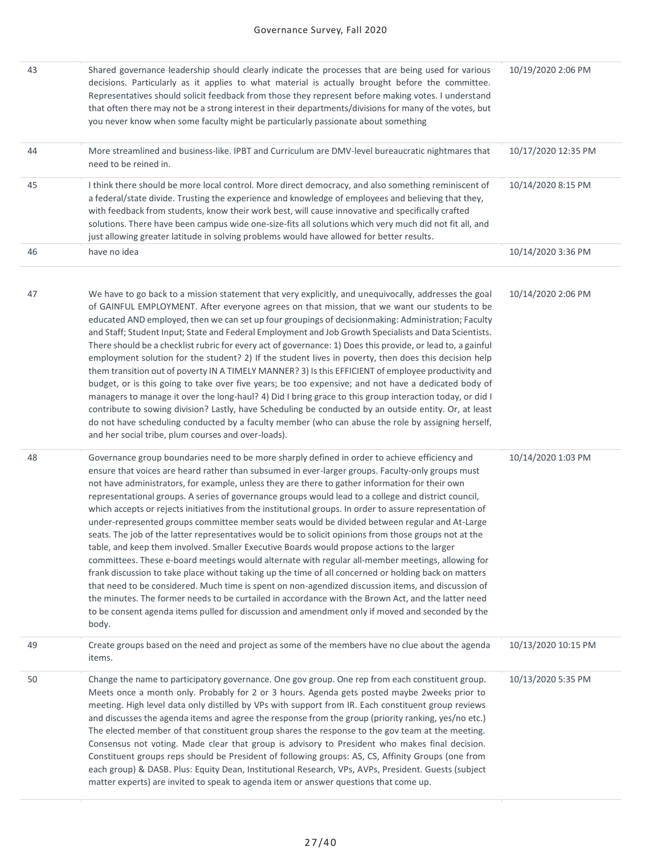| 43 | Shared governance leadership should clearly indicate the processes that are being used for various<br>decisions. Particularly as it applies to what material is actually brought before the committee.<br>Representatives should solicit feedback from those they represent before making votes. I understand<br>that often there may not be a strong interest in their departments/divisions for many of the votes, but<br>you never know when some faculty might be particularly passionate about something                                                                                                                                                                                                                                                                                                                                                                                                                                                                                                                                                                                                                                                                                                                                                                                                                                                                 | 10/19/2020 2:06 PM  |
|----|-------------------------------------------------------------------------------------------------------------------------------------------------------------------------------------------------------------------------------------------------------------------------------------------------------------------------------------------------------------------------------------------------------------------------------------------------------------------------------------------------------------------------------------------------------------------------------------------------------------------------------------------------------------------------------------------------------------------------------------------------------------------------------------------------------------------------------------------------------------------------------------------------------------------------------------------------------------------------------------------------------------------------------------------------------------------------------------------------------------------------------------------------------------------------------------------------------------------------------------------------------------------------------------------------------------------------------------------------------------------------------|---------------------|
| 44 | More streamlined and business-like. IPBT and Curriculum are DMV-level bureaucratic nightmares that<br>need to be reined in.                                                                                                                                                                                                                                                                                                                                                                                                                                                                                                                                                                                                                                                                                                                                                                                                                                                                                                                                                                                                                                                                                                                                                                                                                                                   | 10/17/2020 12:35 PM |
| 45 | I think there should be more local control. More direct democracy, and also something reminiscent of<br>a federal/state divide. Trusting the experience and knowledge of employees and believing that they,<br>with feedback from students, know their work best, will cause innovative and specifically crafted<br>solutions. There have been campus wide one-size-fits all solutions which very much did not fit all, and<br>just allowing greater latitude in solving problems would have allowed for better results.                                                                                                                                                                                                                                                                                                                                                                                                                                                                                                                                                                                                                                                                                                                                                                                                                                                      | 10/14/2020 8:15 PM  |
| 46 | have no idea                                                                                                                                                                                                                                                                                                                                                                                                                                                                                                                                                                                                                                                                                                                                                                                                                                                                                                                                                                                                                                                                                                                                                                                                                                                                                                                                                                  | 10/14/2020 3:36 PM  |
| 47 | We have to go back to a mission statement that very explicitly, and unequivocally, addresses the goal<br>of GAINFUL EMPLOYMENT. After everyone agrees on that mission, that we want our students to be<br>educated AND employed, then we can set up four groupings of decisionmaking: Administration; Faculty<br>and Staff; Student Input; State and Federal Employment and Job Growth Specialists and Data Scientists.<br>There should be a checklist rubric for every act of governance: 1) Does this provide, or lead to, a gainful<br>employment solution for the student? 2) If the student lives in poverty, then does this decision help<br>them transition out of poverty IN A TIMELY MANNER? 3) Is this EFFICIENT of employee productivity and<br>budget, or is this going to take over five years; be too expensive; and not have a dedicated body of<br>managers to manage it over the long-haul? 4) Did I bring grace to this group interaction today, or did I<br>contribute to sowing division? Lastly, have Scheduling be conducted by an outside entity. Or, at least<br>do not have scheduling conducted by a faculty member (who can abuse the role by assigning herself,<br>and her social tribe, plum courses and over-loads).                                                                                                                            | 10/14/2020 2:06 PM  |
| 48 | Governance group boundaries need to be more sharply defined in order to achieve efficiency and<br>ensure that voices are heard rather than subsumed in ever-larger groups. Faculty-only groups must<br>not have administrators, for example, unless they are there to gather information for their own<br>representational groups. A series of governance groups would lead to a college and district council,<br>which accepts or rejects initiatives from the institutional groups. In order to assure representation of<br>under-represented groups committee member seats would be divided between regular and At-Large<br>seats. The job of the latter representatives would be to solicit opinions from those groups not at the<br>table, and keep them involved. Smaller Executive Boards would propose actions to the larger<br>committees. These e-board meetings would alternate with regular all-member meetings, allowing for<br>frank discussion to take place without taking up the time of all concerned or holding back on matters<br>that need to be considered. Much time is spent on non-agendized discussion items, and discussion of<br>the minutes. The former needs to be curtailed in accordance with the Brown Act, and the latter need<br>to be consent agenda items pulled for discussion and amendment only if moved and seconded by the<br>body. | 10/14/2020 1:03 PM  |
| 49 | Create groups based on the need and project as some of the members have no clue about the agenda<br>items.                                                                                                                                                                                                                                                                                                                                                                                                                                                                                                                                                                                                                                                                                                                                                                                                                                                                                                                                                                                                                                                                                                                                                                                                                                                                    | 10/13/2020 10:15 PM |
| 50 | Change the name to participatory governance. One gov group. One rep from each constituent group.<br>Meets once a month only. Probably for 2 or 3 hours. Agenda gets posted maybe 2weeks prior to<br>meeting. High level data only distilled by VPs with support from IR. Each constituent group reviews<br>and discusses the agenda items and agree the response from the group (priority ranking, yes/no etc.)<br>The elected member of that constituent group shares the response to the gov team at the meeting.<br>Consensus not voting. Made clear that group is advisory to President who makes final decision.<br>Constituent groups reps should be President of following groups: AS, CS, Affinity Groups (one from<br>each group) & DASB. Plus: Equity Dean, Institutional Research, VPs, AVPs, President. Guests (subject<br>matter experts) are invited to speak to agenda item or answer questions that come up.                                                                                                                                                                                                                                                                                                                                                                                                                                                  | 10/13/2020 5:35 PM  |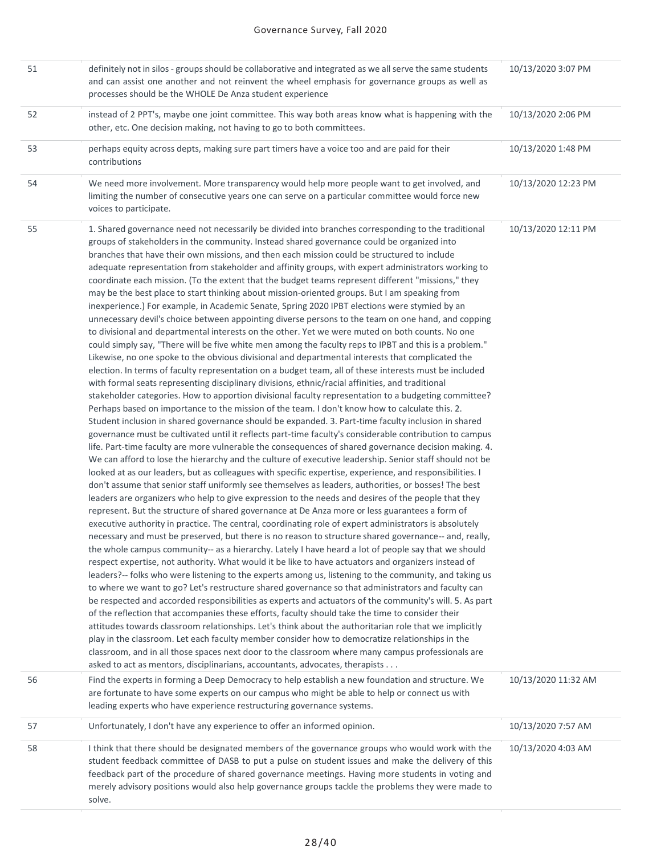| 51 | definitely not in silos - groups should be collaborative and integrated as we all serve the same students<br>and can assist one another and not reinvent the wheel emphasis for governance groups as well as<br>processes should be the WHOLE De Anza student experience                                                                                                                                                                                                                                                                                                                                                                                                                                                                                                                                                                                                                                                                                                                                                                                                                                                                                                                                                                                                                                                                                                                                                                                                                                                                                                                                                                                                                                                                                                                                                                                                                                                                                                                                                                                                                                                                                                                                                                                                                                                                                                                                                                                                                                                                                                                                                                                                                                                                                                                                                                                                                                                                                                                                                                                                                                                                                                                                                                                                                                                                                                                                                                                                                                                                                                                                                                                                                            | 10/13/2020 3:07 PM  |
|----|-----------------------------------------------------------------------------------------------------------------------------------------------------------------------------------------------------------------------------------------------------------------------------------------------------------------------------------------------------------------------------------------------------------------------------------------------------------------------------------------------------------------------------------------------------------------------------------------------------------------------------------------------------------------------------------------------------------------------------------------------------------------------------------------------------------------------------------------------------------------------------------------------------------------------------------------------------------------------------------------------------------------------------------------------------------------------------------------------------------------------------------------------------------------------------------------------------------------------------------------------------------------------------------------------------------------------------------------------------------------------------------------------------------------------------------------------------------------------------------------------------------------------------------------------------------------------------------------------------------------------------------------------------------------------------------------------------------------------------------------------------------------------------------------------------------------------------------------------------------------------------------------------------------------------------------------------------------------------------------------------------------------------------------------------------------------------------------------------------------------------------------------------------------------------------------------------------------------------------------------------------------------------------------------------------------------------------------------------------------------------------------------------------------------------------------------------------------------------------------------------------------------------------------------------------------------------------------------------------------------------------------------------------------------------------------------------------------------------------------------------------------------------------------------------------------------------------------------------------------------------------------------------------------------------------------------------------------------------------------------------------------------------------------------------------------------------------------------------------------------------------------------------------------------------------------------------------------------------------------------------------------------------------------------------------------------------------------------------------------------------------------------------------------------------------------------------------------------------------------------------------------------------------------------------------------------------------------------------------------------------------------------------------------------------------------------------------|---------------------|
| 52 | instead of 2 PPT's, maybe one joint committee. This way both areas know what is happening with the<br>other, etc. One decision making, not having to go to both committees.                                                                                                                                                                                                                                                                                                                                                                                                                                                                                                                                                                                                                                                                                                                                                                                                                                                                                                                                                                                                                                                                                                                                                                                                                                                                                                                                                                                                                                                                                                                                                                                                                                                                                                                                                                                                                                                                                                                                                                                                                                                                                                                                                                                                                                                                                                                                                                                                                                                                                                                                                                                                                                                                                                                                                                                                                                                                                                                                                                                                                                                                                                                                                                                                                                                                                                                                                                                                                                                                                                                         | 10/13/2020 2:06 PM  |
| 53 | perhaps equity across depts, making sure part timers have a voice too and are paid for their<br>contributions                                                                                                                                                                                                                                                                                                                                                                                                                                                                                                                                                                                                                                                                                                                                                                                                                                                                                                                                                                                                                                                                                                                                                                                                                                                                                                                                                                                                                                                                                                                                                                                                                                                                                                                                                                                                                                                                                                                                                                                                                                                                                                                                                                                                                                                                                                                                                                                                                                                                                                                                                                                                                                                                                                                                                                                                                                                                                                                                                                                                                                                                                                                                                                                                                                                                                                                                                                                                                                                                                                                                                                                       | 10/13/2020 1:48 PM  |
| 54 | We need more involvement. More transparency would help more people want to get involved, and<br>limiting the number of consecutive years one can serve on a particular committee would force new<br>voices to participate.                                                                                                                                                                                                                                                                                                                                                                                                                                                                                                                                                                                                                                                                                                                                                                                                                                                                                                                                                                                                                                                                                                                                                                                                                                                                                                                                                                                                                                                                                                                                                                                                                                                                                                                                                                                                                                                                                                                                                                                                                                                                                                                                                                                                                                                                                                                                                                                                                                                                                                                                                                                                                                                                                                                                                                                                                                                                                                                                                                                                                                                                                                                                                                                                                                                                                                                                                                                                                                                                          | 10/13/2020 12:23 PM |
| 55 | 1. Shared governance need not necessarily be divided into branches corresponding to the traditional<br>groups of stakeholders in the community. Instead shared governance could be organized into<br>branches that have their own missions, and then each mission could be structured to include<br>adequate representation from stakeholder and affinity groups, with expert administrators working to<br>coordinate each mission. (To the extent that the budget teams represent different "missions," they<br>may be the best place to start thinking about mission-oriented groups. But I am speaking from<br>inexperience.) For example, in Academic Senate, Spring 2020 IPBT elections were stymied by an<br>unnecessary devil's choice between appointing diverse persons to the team on one hand, and copping<br>to divisional and departmental interests on the other. Yet we were muted on both counts. No one<br>could simply say, "There will be five white men among the faculty reps to IPBT and this is a problem."<br>Likewise, no one spoke to the obvious divisional and departmental interests that complicated the<br>election. In terms of faculty representation on a budget team, all of these interests must be included<br>with formal seats representing disciplinary divisions, ethnic/racial affinities, and traditional<br>stakeholder categories. How to apportion divisional faculty representation to a budgeting committee?<br>Perhaps based on importance to the mission of the team. I don't know how to calculate this. 2.<br>Student inclusion in shared governance should be expanded. 3. Part-time faculty inclusion in shared<br>governance must be cultivated until it reflects part-time faculty's considerable contribution to campus<br>life. Part-time faculty are more vulnerable the consequences of shared governance decision making. 4.<br>We can afford to lose the hierarchy and the culture of executive leadership. Senior staff should not be<br>looked at as our leaders, but as colleagues with specific expertise, experience, and responsibilities. I<br>don't assume that senior staff uniformly see themselves as leaders, authorities, or bosses! The best<br>leaders are organizers who help to give expression to the needs and desires of the people that they<br>represent. But the structure of shared governance at De Anza more or less guarantees a form of<br>executive authority in practice. The central, coordinating role of expert administrators is absolutely<br>necessary and must be preserved, but there is no reason to structure shared governance-- and, really,<br>the whole campus community-- as a hierarchy. Lately I have heard a lot of people say that we should<br>respect expertise, not authority. What would it be like to have actuators and organizers instead of<br>leaders?-- folks who were listening to the experts among us, listening to the community, and taking us<br>to where we want to go? Let's restructure shared governance so that administrators and faculty can<br>be respected and accorded responsibilities as experts and actuators of the community's will. 5. As part<br>of the reflection that accompanies these efforts, faculty should take the time to consider their<br>attitudes towards classroom relationships. Let's think about the authoritarian role that we implicitly<br>play in the classroom. Let each faculty member consider how to democratize relationships in the<br>classroom, and in all those spaces next door to the classroom where many campus professionals are<br>asked to act as mentors, disciplinarians, accountants, advocates, therapists | 10/13/2020 12:11 PM |
| 56 | Find the experts in forming a Deep Democracy to help establish a new foundation and structure. We<br>are fortunate to have some experts on our campus who might be able to help or connect us with<br>leading experts who have experience restructuring governance systems.                                                                                                                                                                                                                                                                                                                                                                                                                                                                                                                                                                                                                                                                                                                                                                                                                                                                                                                                                                                                                                                                                                                                                                                                                                                                                                                                                                                                                                                                                                                                                                                                                                                                                                                                                                                                                                                                                                                                                                                                                                                                                                                                                                                                                                                                                                                                                                                                                                                                                                                                                                                                                                                                                                                                                                                                                                                                                                                                                                                                                                                                                                                                                                                                                                                                                                                                                                                                                         | 10/13/2020 11:32 AM |
| 57 | Unfortunately, I don't have any experience to offer an informed opinion.                                                                                                                                                                                                                                                                                                                                                                                                                                                                                                                                                                                                                                                                                                                                                                                                                                                                                                                                                                                                                                                                                                                                                                                                                                                                                                                                                                                                                                                                                                                                                                                                                                                                                                                                                                                                                                                                                                                                                                                                                                                                                                                                                                                                                                                                                                                                                                                                                                                                                                                                                                                                                                                                                                                                                                                                                                                                                                                                                                                                                                                                                                                                                                                                                                                                                                                                                                                                                                                                                                                                                                                                                            | 10/13/2020 7:57 AM  |
| 58 | I think that there should be designated members of the governance groups who would work with the<br>student feedback committee of DASB to put a pulse on student issues and make the delivery of this<br>feedback part of the procedure of shared governance meetings. Having more students in voting and<br>merely advisory positions would also help governance groups tackle the problems they were made to<br>solve.                                                                                                                                                                                                                                                                                                                                                                                                                                                                                                                                                                                                                                                                                                                                                                                                                                                                                                                                                                                                                                                                                                                                                                                                                                                                                                                                                                                                                                                                                                                                                                                                                                                                                                                                                                                                                                                                                                                                                                                                                                                                                                                                                                                                                                                                                                                                                                                                                                                                                                                                                                                                                                                                                                                                                                                                                                                                                                                                                                                                                                                                                                                                                                                                                                                                            | 10/13/2020 4:03 AM  |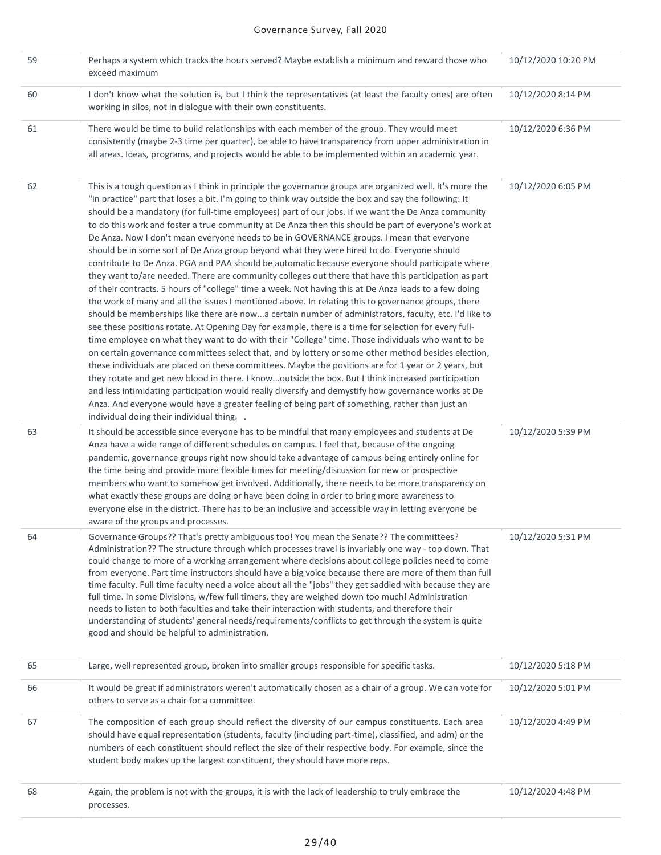| 59 | Perhaps a system which tracks the hours served? Maybe establish a minimum and reward those who<br>exceed maximum                                                                                                                                                                                                                                                                                                                                                                                                                                                                                                                                                                                                                                                                                                                                                                                                                                                                                                                                                                                                                                                                                                                                                                                                                                                                                                                                                                                                                                                                                                                                                                                                                                                                                                                                                                                                                                            | 10/12/2020 10:20 PM |
|----|-------------------------------------------------------------------------------------------------------------------------------------------------------------------------------------------------------------------------------------------------------------------------------------------------------------------------------------------------------------------------------------------------------------------------------------------------------------------------------------------------------------------------------------------------------------------------------------------------------------------------------------------------------------------------------------------------------------------------------------------------------------------------------------------------------------------------------------------------------------------------------------------------------------------------------------------------------------------------------------------------------------------------------------------------------------------------------------------------------------------------------------------------------------------------------------------------------------------------------------------------------------------------------------------------------------------------------------------------------------------------------------------------------------------------------------------------------------------------------------------------------------------------------------------------------------------------------------------------------------------------------------------------------------------------------------------------------------------------------------------------------------------------------------------------------------------------------------------------------------------------------------------------------------------------------------------------------------|---------------------|
| 60 | I don't know what the solution is, but I think the representatives (at least the faculty ones) are often<br>working in silos, not in dialogue with their own constituents.                                                                                                                                                                                                                                                                                                                                                                                                                                                                                                                                                                                                                                                                                                                                                                                                                                                                                                                                                                                                                                                                                                                                                                                                                                                                                                                                                                                                                                                                                                                                                                                                                                                                                                                                                                                  | 10/12/2020 8:14 PM  |
| 61 | There would be time to build relationships with each member of the group. They would meet<br>consistently (maybe 2-3 time per quarter), be able to have transparency from upper administration in<br>all areas. Ideas, programs, and projects would be able to be implemented within an academic year.                                                                                                                                                                                                                                                                                                                                                                                                                                                                                                                                                                                                                                                                                                                                                                                                                                                                                                                                                                                                                                                                                                                                                                                                                                                                                                                                                                                                                                                                                                                                                                                                                                                      | 10/12/2020 6:36 PM  |
| 62 | This is a tough question as I think in principle the governance groups are organized well. It's more the<br>"in practice" part that loses a bit. I'm going to think way outside the box and say the following: It<br>should be a mandatory (for full-time employees) part of our jobs. If we want the De Anza community<br>to do this work and foster a true community at De Anza then this should be part of everyone's work at<br>De Anza. Now I don't mean everyone needs to be in GOVERNANCE groups. I mean that everyone<br>should be in some sort of De Anza group beyond what they were hired to do. Everyone should<br>contribute to De Anza. PGA and PAA should be automatic because everyone should participate where<br>they want to/are needed. There are community colleges out there that have this participation as part<br>of their contracts. 5 hours of "college" time a week. Not having this at De Anza leads to a few doing<br>the work of many and all the issues I mentioned above. In relating this to governance groups, there<br>should be memberships like there are nowa certain number of administrators, faculty, etc. I'd like to<br>see these positions rotate. At Opening Day for example, there is a time for selection for every full-<br>time employee on what they want to do with their "College" time. Those individuals who want to be<br>on certain governance committees select that, and by lottery or some other method besides election,<br>these individuals are placed on these committees. Maybe the positions are for 1 year or 2 years, but<br>they rotate and get new blood in there. I knowoutside the box. But I think increased participation<br>and less intimidating participation would really diversify and demystify how governance works at De<br>Anza. And everyone would have a greater feeling of being part of something, rather than just an<br>individual doing their individual thing. . | 10/12/2020 6:05 PM  |
| 63 | It should be accessible since everyone has to be mindful that many employees and students at De<br>Anza have a wide range of different schedules on campus. I feel that, because of the ongoing<br>pandemic, governance groups right now should take advantage of campus being entirely online for<br>the time being and provide more flexible times for meeting/discussion for new or prospective<br>members who want to somehow get involved. Additionally, there needs to be more transparency on<br>what exactly these groups are doing or have been doing in order to bring more awareness to<br>everyone else in the district. There has to be an inclusive and accessible way in letting everyone be<br>aware of the groups and processes.                                                                                                                                                                                                                                                                                                                                                                                                                                                                                                                                                                                                                                                                                                                                                                                                                                                                                                                                                                                                                                                                                                                                                                                                           | 10/12/2020 5:39 PM  |
| 64 | Governance Groups?? That's pretty ambiguous too! You mean the Senate?? The committees?<br>Administration?? The structure through which processes travel is invariably one way - top down. That<br>could change to more of a working arrangement where decisions about college policies need to come<br>from everyone. Part time instructors should have a big voice because there are more of them than full<br>time faculty. Full time faculty need a voice about all the "jobs" they get saddled with because they are<br>full time. In some Divisions, w/few full timers, they are weighed down too much! Administration<br>needs to listen to both faculties and take their interaction with students, and therefore their<br>understanding of students' general needs/requirements/conflicts to get through the system is quite<br>good and should be helpful to administration.                                                                                                                                                                                                                                                                                                                                                                                                                                                                                                                                                                                                                                                                                                                                                                                                                                                                                                                                                                                                                                                                       | 10/12/2020 5:31 PM  |
| 65 | Large, well represented group, broken into smaller groups responsible for specific tasks.                                                                                                                                                                                                                                                                                                                                                                                                                                                                                                                                                                                                                                                                                                                                                                                                                                                                                                                                                                                                                                                                                                                                                                                                                                                                                                                                                                                                                                                                                                                                                                                                                                                                                                                                                                                                                                                                   | 10/12/2020 5:18 PM  |
| 66 | It would be great if administrators weren't automatically chosen as a chair of a group. We can vote for<br>others to serve as a chair for a committee.                                                                                                                                                                                                                                                                                                                                                                                                                                                                                                                                                                                                                                                                                                                                                                                                                                                                                                                                                                                                                                                                                                                                                                                                                                                                                                                                                                                                                                                                                                                                                                                                                                                                                                                                                                                                      | 10/12/2020 5:01 PM  |
| 67 | The composition of each group should reflect the diversity of our campus constituents. Each area<br>should have equal representation (students, faculty (including part-time), classified, and adm) or the<br>numbers of each constituent should reflect the size of their respective body. For example, since the<br>student body makes up the largest constituent, they should have more reps.                                                                                                                                                                                                                                                                                                                                                                                                                                                                                                                                                                                                                                                                                                                                                                                                                                                                                                                                                                                                                                                                                                                                                                                                                                                                                                                                                                                                                                                                                                                                                            | 10/12/2020 4:49 PM  |
| 68 | Again, the problem is not with the groups, it is with the lack of leadership to truly embrace the<br>processes.                                                                                                                                                                                                                                                                                                                                                                                                                                                                                                                                                                                                                                                                                                                                                                                                                                                                                                                                                                                                                                                                                                                                                                                                                                                                                                                                                                                                                                                                                                                                                                                                                                                                                                                                                                                                                                             | 10/12/2020 4:48 PM  |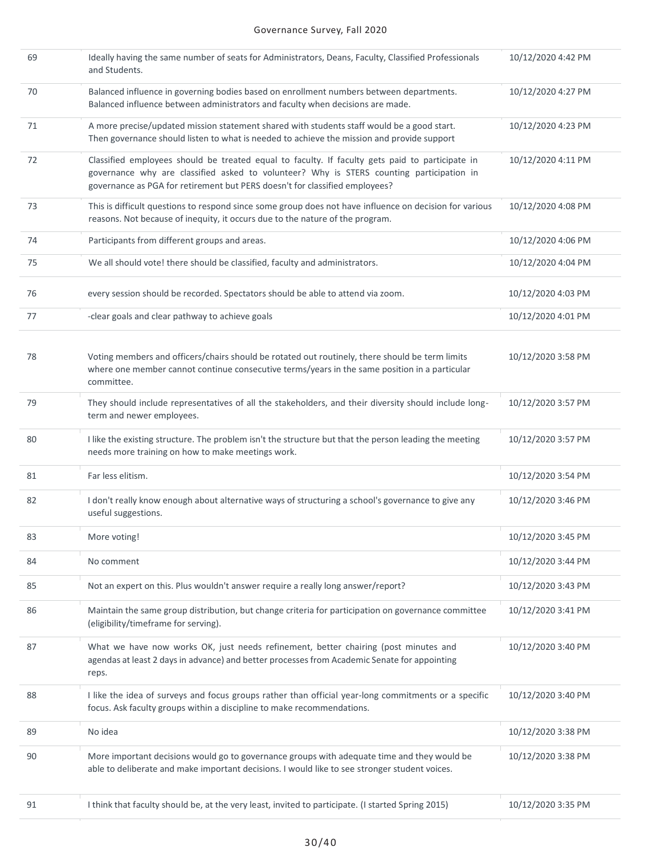| 69 | Ideally having the same number of seats for Administrators, Deans, Faculty, Classified Professionals<br>and Students.                                                                                                                                                      | 10/12/2020 4:42 PM |
|----|----------------------------------------------------------------------------------------------------------------------------------------------------------------------------------------------------------------------------------------------------------------------------|--------------------|
| 70 | Balanced influence in governing bodies based on enrollment numbers between departments.<br>Balanced influence between administrators and faculty when decisions are made.                                                                                                  | 10/12/2020 4:27 PM |
| 71 | A more precise/updated mission statement shared with students staff would be a good start.<br>Then governance should listen to what is needed to achieve the mission and provide support                                                                                   | 10/12/2020 4:23 PM |
| 72 | Classified employees should be treated equal to faculty. If faculty gets paid to participate in<br>governance why are classified asked to volunteer? Why is STERS counting participation in<br>governance as PGA for retirement but PERS doesn't for classified employees? | 10/12/2020 4:11 PM |
| 73 | This is difficult questions to respond since some group does not have influence on decision for various<br>reasons. Not because of inequity, it occurs due to the nature of the program.                                                                                   | 10/12/2020 4:08 PM |
| 74 | Participants from different groups and areas.                                                                                                                                                                                                                              | 10/12/2020 4:06 PM |
| 75 | We all should vote! there should be classified, faculty and administrators.                                                                                                                                                                                                | 10/12/2020 4:04 PM |
| 76 | every session should be recorded. Spectators should be able to attend via zoom.                                                                                                                                                                                            | 10/12/2020 4:03 PM |
| 77 | -clear goals and clear pathway to achieve goals                                                                                                                                                                                                                            | 10/12/2020 4:01 PM |
| 78 | Voting members and officers/chairs should be rotated out routinely, there should be term limits<br>where one member cannot continue consecutive terms/years in the same position in a particular<br>committee.                                                             | 10/12/2020 3:58 PM |
| 79 | They should include representatives of all the stakeholders, and their diversity should include long-<br>term and newer employees.                                                                                                                                         | 10/12/2020 3:57 PM |
| 80 | I like the existing structure. The problem isn't the structure but that the person leading the meeting<br>needs more training on how to make meetings work.                                                                                                                | 10/12/2020 3:57 PM |
| 81 | Far less elitism.                                                                                                                                                                                                                                                          | 10/12/2020 3:54 PM |
| 82 | I don't really know enough about alternative ways of structuring a school's governance to give any<br>useful suggestions.                                                                                                                                                  | 10/12/2020 3:46 PM |
| 83 | More voting!                                                                                                                                                                                                                                                               | 10/12/2020 3:45 PM |
| 84 | No comment                                                                                                                                                                                                                                                                 | 10/12/2020 3:44 PM |
| 85 | Not an expert on this. Plus wouldn't answer require a really long answer/report?                                                                                                                                                                                           | 10/12/2020 3:43 PM |
| 86 | Maintain the same group distribution, but change criteria for participation on governance committee<br>(eligibility/timeframe for serving).                                                                                                                                | 10/12/2020 3:41 PM |
| 87 | What we have now works OK, just needs refinement, better chairing (post minutes and<br>agendas at least 2 days in advance) and better processes from Academic Senate for appointing<br>reps.                                                                               | 10/12/2020 3:40 PM |
| 88 | I like the idea of surveys and focus groups rather than official year-long commitments or a specific<br>focus. Ask faculty groups within a discipline to make recommendations.                                                                                             | 10/12/2020 3:40 PM |
| 89 | No idea                                                                                                                                                                                                                                                                    | 10/12/2020 3:38 PM |
| 90 | More important decisions would go to governance groups with adequate time and they would be<br>able to deliberate and make important decisions. I would like to see stronger student voices.                                                                               | 10/12/2020 3:38 PM |
| 91 | I think that faculty should be, at the very least, invited to participate. (I started Spring 2015)                                                                                                                                                                         | 10/12/2020 3:35 PM |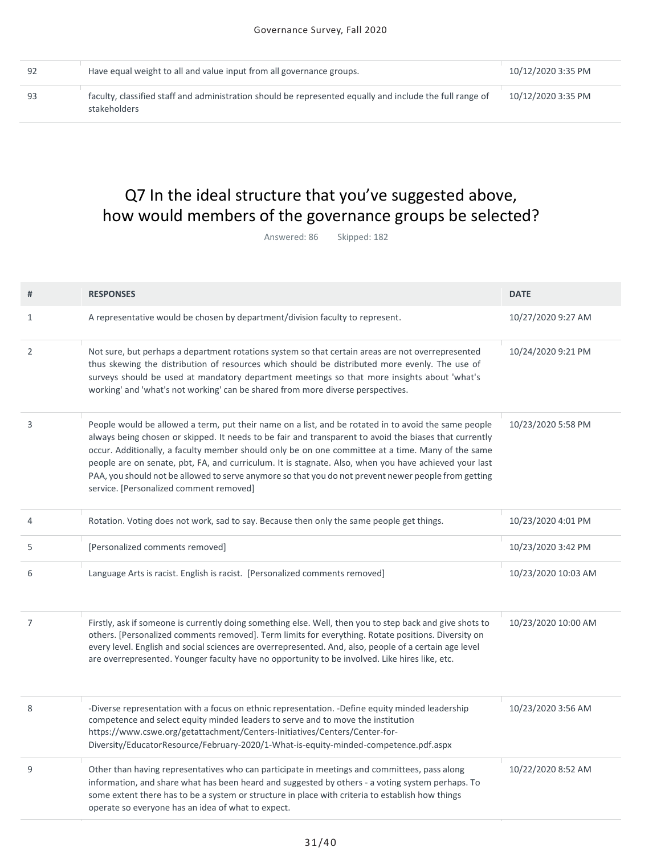| 92 | Have equal weight to all and value input from all governance groups.                                                     | 10/12/2020 3:35 PM |
|----|--------------------------------------------------------------------------------------------------------------------------|--------------------|
| 93 | faculty, classified staff and administration should be represented equally and include the full range of<br>stakeholders | 10/12/2020 3:35 PM |

## Q7 In the ideal structure that you've suggested above, how would members of the governance groups be selected?

Answered: 86 Skipped: 182

| # | <b>RESPONSES</b>                                                                                                                                                                                                                                                                                                                                                                                                                                                                                                                                                                | <b>DATE</b>         |
|---|---------------------------------------------------------------------------------------------------------------------------------------------------------------------------------------------------------------------------------------------------------------------------------------------------------------------------------------------------------------------------------------------------------------------------------------------------------------------------------------------------------------------------------------------------------------------------------|---------------------|
| 1 | A representative would be chosen by department/division faculty to represent.                                                                                                                                                                                                                                                                                                                                                                                                                                                                                                   | 10/27/2020 9:27 AM  |
| 2 | Not sure, but perhaps a department rotations system so that certain areas are not overrepresented<br>thus skewing the distribution of resources which should be distributed more evenly. The use of<br>surveys should be used at mandatory department meetings so that more insights about 'what's<br>working' and 'what's not working' can be shared from more diverse perspectives.                                                                                                                                                                                           | 10/24/2020 9:21 PM  |
| 3 | People would be allowed a term, put their name on a list, and be rotated in to avoid the same people<br>always being chosen or skipped. It needs to be fair and transparent to avoid the biases that currently<br>occur. Additionally, a faculty member should only be on one committee at a time. Many of the same<br>people are on senate, pbt, FA, and curriculum. It is stagnate. Also, when you have achieved your last<br>PAA, you should not be allowed to serve anymore so that you do not prevent newer people from getting<br>service. [Personalized comment removed] | 10/23/2020 5:58 PM  |
| 4 | Rotation. Voting does not work, sad to say. Because then only the same people get things.                                                                                                                                                                                                                                                                                                                                                                                                                                                                                       | 10/23/2020 4:01 PM  |
| 5 | [Personalized comments removed]                                                                                                                                                                                                                                                                                                                                                                                                                                                                                                                                                 | 10/23/2020 3:42 PM  |
| 6 | Language Arts is racist. English is racist. [Personalized comments removed]                                                                                                                                                                                                                                                                                                                                                                                                                                                                                                     | 10/23/2020 10:03 AM |
| 7 | Firstly, ask if someone is currently doing something else. Well, then you to step back and give shots to<br>others. [Personalized comments removed]. Term limits for everything. Rotate positions. Diversity on<br>every level. English and social sciences are overrepresented. And, also, people of a certain age level<br>are overrepresented. Younger faculty have no opportunity to be involved. Like hires like, etc.                                                                                                                                                     | 10/23/2020 10:00 AM |
| 8 | -Diverse representation with a focus on ethnic representation. -Define equity minded leadership<br>competence and select equity minded leaders to serve and to move the institution<br>https://www.cswe.org/getattachment/Centers-Initiatives/Centers/Center-for-<br>Diversity/EducatorResource/February-2020/1-What-is-equity-minded-competence.pdf.aspx                                                                                                                                                                                                                       | 10/23/2020 3:56 AM  |
| 9 | Other than having representatives who can participate in meetings and committees, pass along<br>information, and share what has been heard and suggested by others - a voting system perhaps. To<br>some extent there has to be a system or structure in place with criteria to establish how things<br>operate so everyone has an idea of what to expect.                                                                                                                                                                                                                      | 10/22/2020 8:52 AM  |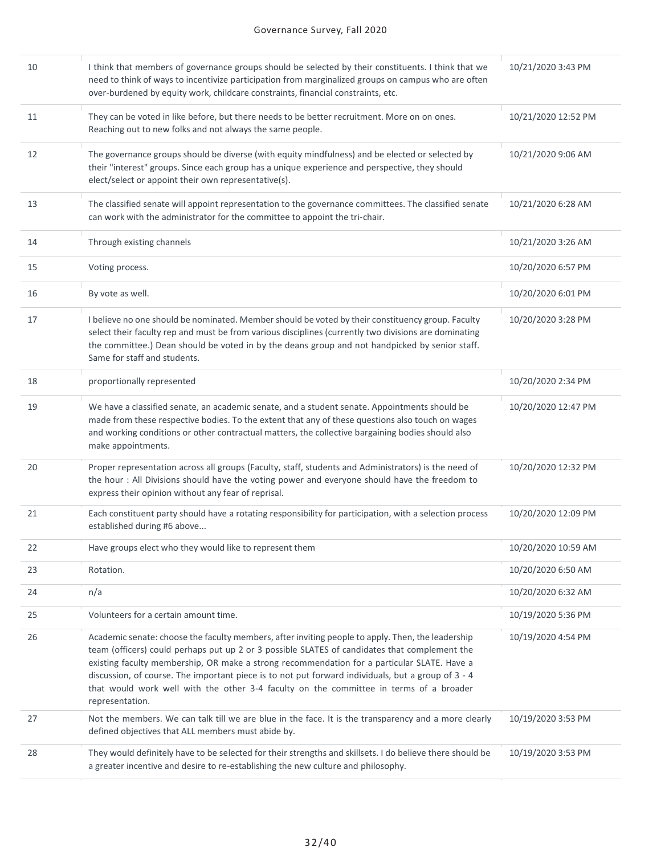| 10 | I think that members of governance groups should be selected by their constituents. I think that we<br>need to think of ways to incentivize participation from marginalized groups on campus who are often<br>over-burdened by equity work, childcare constraints, financial constraints, etc.                                                                                                                                                                                                                       | 10/21/2020 3:43 PM  |
|----|----------------------------------------------------------------------------------------------------------------------------------------------------------------------------------------------------------------------------------------------------------------------------------------------------------------------------------------------------------------------------------------------------------------------------------------------------------------------------------------------------------------------|---------------------|
| 11 | They can be voted in like before, but there needs to be better recruitment. More on on ones.<br>Reaching out to new folks and not always the same people.                                                                                                                                                                                                                                                                                                                                                            | 10/21/2020 12:52 PM |
| 12 | The governance groups should be diverse (with equity mindfulness) and be elected or selected by<br>their "interest" groups. Since each group has a unique experience and perspective, they should<br>elect/select or appoint their own representative(s).                                                                                                                                                                                                                                                            | 10/21/2020 9:06 AM  |
| 13 | The classified senate will appoint representation to the governance committees. The classified senate<br>can work with the administrator for the committee to appoint the tri-chair.                                                                                                                                                                                                                                                                                                                                 | 10/21/2020 6:28 AM  |
| 14 | Through existing channels                                                                                                                                                                                                                                                                                                                                                                                                                                                                                            | 10/21/2020 3:26 AM  |
| 15 | Voting process.                                                                                                                                                                                                                                                                                                                                                                                                                                                                                                      | 10/20/2020 6:57 PM  |
| 16 | By vote as well.                                                                                                                                                                                                                                                                                                                                                                                                                                                                                                     | 10/20/2020 6:01 PM  |
| 17 | I believe no one should be nominated. Member should be voted by their constituency group. Faculty<br>select their faculty rep and must be from various disciplines (currently two divisions are dominating<br>the committee.) Dean should be voted in by the deans group and not handpicked by senior staff.<br>Same for staff and students.                                                                                                                                                                         | 10/20/2020 3:28 PM  |
| 18 | proportionally represented                                                                                                                                                                                                                                                                                                                                                                                                                                                                                           | 10/20/2020 2:34 PM  |
| 19 | We have a classified senate, an academic senate, and a student senate. Appointments should be<br>made from these respective bodies. To the extent that any of these questions also touch on wages<br>and working conditions or other contractual matters, the collective bargaining bodies should also<br>make appointments.                                                                                                                                                                                         | 10/20/2020 12:47 PM |
| 20 | Proper representation across all groups (Faculty, staff, students and Administrators) is the need of<br>the hour : All Divisions should have the voting power and everyone should have the freedom to<br>express their opinion without any fear of reprisal.                                                                                                                                                                                                                                                         | 10/20/2020 12:32 PM |
| 21 | Each constituent party should have a rotating responsibility for participation, with a selection process<br>established during #6 above                                                                                                                                                                                                                                                                                                                                                                              | 10/20/2020 12:09 PM |
| 22 | Have groups elect who they would like to represent them                                                                                                                                                                                                                                                                                                                                                                                                                                                              | 10/20/2020 10:59 AM |
| 23 | Rotation.                                                                                                                                                                                                                                                                                                                                                                                                                                                                                                            | 10/20/2020 6:50 AM  |
| 24 | n/a                                                                                                                                                                                                                                                                                                                                                                                                                                                                                                                  | 10/20/2020 6:32 AM  |
| 25 | Volunteers for a certain amount time.                                                                                                                                                                                                                                                                                                                                                                                                                                                                                | 10/19/2020 5:36 PM  |
| 26 | Academic senate: choose the faculty members, after inviting people to apply. Then, the leadership<br>team (officers) could perhaps put up 2 or 3 possible SLATES of candidates that complement the<br>existing faculty membership, OR make a strong recommendation for a particular SLATE. Have a<br>discussion, of course. The important piece is to not put forward individuals, but a group of 3 - 4<br>that would work well with the other 3-4 faculty on the committee in terms of a broader<br>representation. | 10/19/2020 4:54 PM  |
| 27 | Not the members. We can talk till we are blue in the face. It is the transparency and a more clearly<br>defined objectives that ALL members must abide by.                                                                                                                                                                                                                                                                                                                                                           | 10/19/2020 3:53 PM  |
| 28 | They would definitely have to be selected for their strengths and skillsets. I do believe there should be<br>a greater incentive and desire to re-establishing the new culture and philosophy.                                                                                                                                                                                                                                                                                                                       | 10/19/2020 3:53 PM  |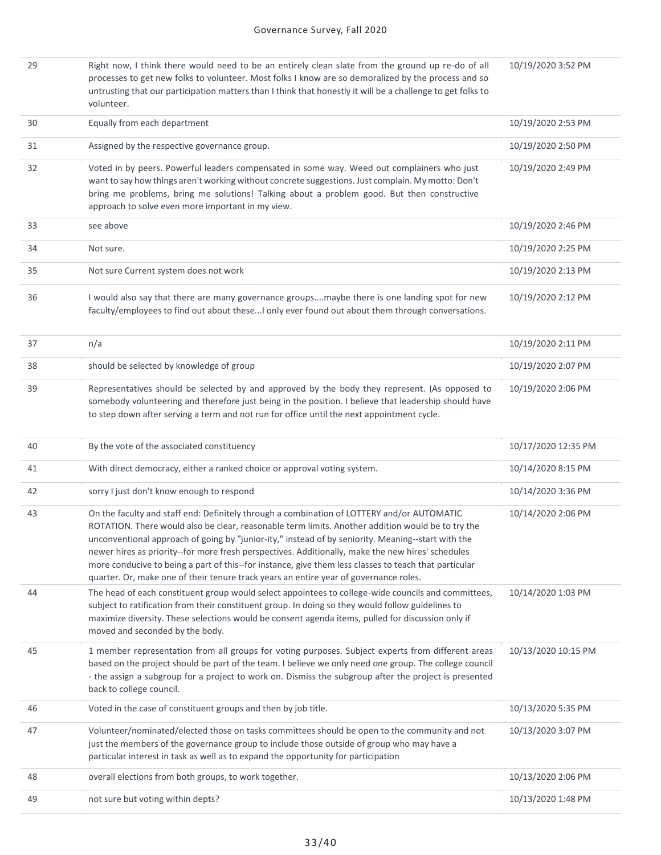| 29 | Right now, I think there would need to be an entirely clean slate from the ground up re-do of all<br>processes to get new folks to volunteer. Most folks I know are so demoralized by the process and so<br>untrusting that our participation matters than I think that honestly it will be a challenge to get folks to<br>volunteer.                                                                                                                                                                                                                                                                        | 10/19/2020 3:52 PM  |
|----|--------------------------------------------------------------------------------------------------------------------------------------------------------------------------------------------------------------------------------------------------------------------------------------------------------------------------------------------------------------------------------------------------------------------------------------------------------------------------------------------------------------------------------------------------------------------------------------------------------------|---------------------|
| 30 | Equally from each department                                                                                                                                                                                                                                                                                                                                                                                                                                                                                                                                                                                 | 10/19/2020 2:53 PM  |
| 31 | Assigned by the respective governance group.                                                                                                                                                                                                                                                                                                                                                                                                                                                                                                                                                                 | 10/19/2020 2:50 PM  |
| 32 | Voted in by peers. Powerful leaders compensated in some way. Weed out complainers who just<br>want to say how things aren't working without concrete suggestions. Just complain. My motto: Don't<br>bring me problems, bring me solutions! Talking about a problem good. But then constructive<br>approach to solve even more important in my view.                                                                                                                                                                                                                                                          | 10/19/2020 2:49 PM  |
| 33 | see above                                                                                                                                                                                                                                                                                                                                                                                                                                                                                                                                                                                                    | 10/19/2020 2:46 PM  |
| 34 | Not sure.                                                                                                                                                                                                                                                                                                                                                                                                                                                                                                                                                                                                    | 10/19/2020 2:25 PM  |
| 35 | Not sure Current system does not work                                                                                                                                                                                                                                                                                                                                                                                                                                                                                                                                                                        | 10/19/2020 2:13 PM  |
| 36 | I would also say that there are many governance groupsmaybe there is one landing spot for new<br>faculty/employees to find out about theseI only ever found out about them through conversations.                                                                                                                                                                                                                                                                                                                                                                                                            | 10/19/2020 2:12 PM  |
| 37 | n/a                                                                                                                                                                                                                                                                                                                                                                                                                                                                                                                                                                                                          | 10/19/2020 2:11 PM  |
| 38 | should be selected by knowledge of group                                                                                                                                                                                                                                                                                                                                                                                                                                                                                                                                                                     | 10/19/2020 2:07 PM  |
| 39 | Representatives should be selected by and approved by the body they represent. (As opposed to<br>somebody volunteering and therefore just being in the position. I believe that leadership should have<br>to step down after serving a term and not run for office until the next appointment cycle.                                                                                                                                                                                                                                                                                                         | 10/19/2020 2:06 PM  |
| 40 | By the vote of the associated constituency                                                                                                                                                                                                                                                                                                                                                                                                                                                                                                                                                                   | 10/17/2020 12:35 PM |
| 41 | With direct democracy, either a ranked choice or approval voting system.                                                                                                                                                                                                                                                                                                                                                                                                                                                                                                                                     | 10/14/2020 8:15 PM  |
| 42 | sorry I just don't know enough to respond                                                                                                                                                                                                                                                                                                                                                                                                                                                                                                                                                                    | 10/14/2020 3:36 PM  |
| 43 | On the faculty and staff end: Definitely through a combination of LOTTERY and/or AUTOMATIC<br>ROTATION. There would also be clear, reasonable term limits. Another addition would be to try the<br>unconventional approach of going by "junior-ity," instead of by seniority. Meaning--start with the<br>newer hires as priority--for more fresh perspectives. Additionally, make the new hires' schedules<br>more conducive to being a part of this--for instance, give them less classes to teach that particular<br>quarter. Or, make one of their tenure track years an entire year of governance roles. | 10/14/2020 2:06 PM  |
| 44 | The head of each constituent group would select appointees to college-wide councils and committees,<br>subject to ratification from their constituent group. In doing so they would follow guidelines to<br>maximize diversity. These selections would be consent agenda items, pulled for discussion only if<br>moved and seconded by the body.                                                                                                                                                                                                                                                             | 10/14/2020 1:03 PM  |
| 45 | 1 member representation from all groups for voting purposes. Subject experts from different areas<br>based on the project should be part of the team. I believe we only need one group. The college council<br>- the assign a subgroup for a project to work on. Dismiss the subgroup after the project is presented<br>back to college council.                                                                                                                                                                                                                                                             | 10/13/2020 10:15 PM |
| 46 | Voted in the case of constituent groups and then by job title.                                                                                                                                                                                                                                                                                                                                                                                                                                                                                                                                               | 10/13/2020 5:35 PM  |
| 47 | Volunteer/nominated/elected those on tasks committees should be open to the community and not<br>just the members of the governance group to include those outside of group who may have a<br>particular interest in task as well as to expand the opportunity for participation                                                                                                                                                                                                                                                                                                                             | 10/13/2020 3:07 PM  |
| 48 | overall elections from both groups, to work together.                                                                                                                                                                                                                                                                                                                                                                                                                                                                                                                                                        | 10/13/2020 2:06 PM  |
| 49 | not sure but voting within depts?                                                                                                                                                                                                                                                                                                                                                                                                                                                                                                                                                                            | 10/13/2020 1:48 PM  |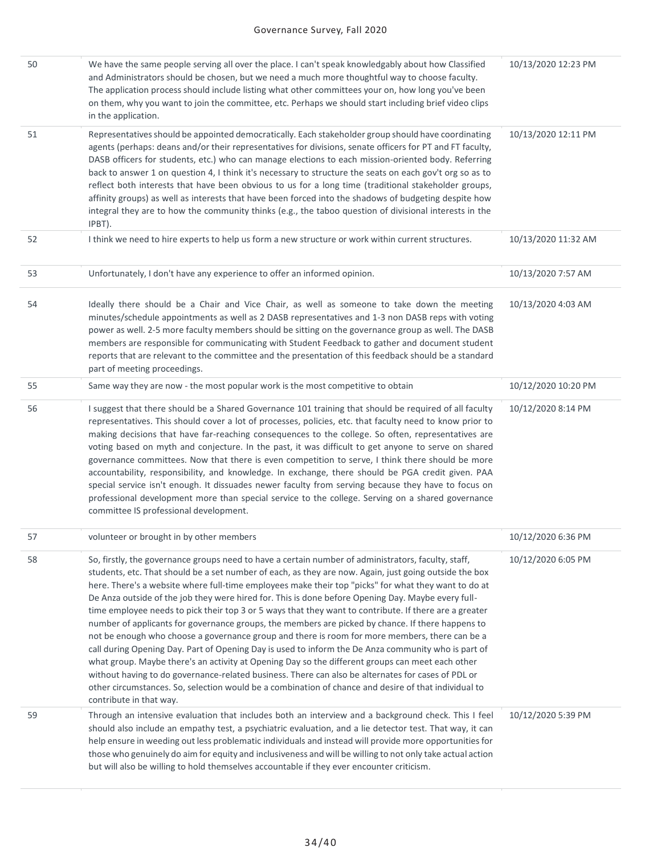| 50 | We have the same people serving all over the place. I can't speak knowledgably about how Classified<br>and Administrators should be chosen, but we need a much more thoughtful way to choose faculty.<br>The application process should include listing what other committees your on, how long you've been<br>on them, why you want to join the committee, etc. Perhaps we should start including brief video clips<br>in the application.                                                                                                                                                                                                                                                                                                                                                                                                                                                                                                                                                                                                                                                                                                                                                      | 10/13/2020 12:23 PM |
|----|--------------------------------------------------------------------------------------------------------------------------------------------------------------------------------------------------------------------------------------------------------------------------------------------------------------------------------------------------------------------------------------------------------------------------------------------------------------------------------------------------------------------------------------------------------------------------------------------------------------------------------------------------------------------------------------------------------------------------------------------------------------------------------------------------------------------------------------------------------------------------------------------------------------------------------------------------------------------------------------------------------------------------------------------------------------------------------------------------------------------------------------------------------------------------------------------------|---------------------|
| 51 | Representatives should be appointed democratically. Each stakeholder group should have coordinating<br>agents (perhaps: deans and/or their representatives for divisions, senate officers for PT and FT faculty,<br>DASB officers for students, etc.) who can manage elections to each mission-oriented body. Referring<br>back to answer 1 on question 4, I think it's necessary to structure the seats on each gov't org so as to<br>reflect both interests that have been obvious to us for a long time (traditional stakeholder groups,<br>affinity groups) as well as interests that have been forced into the shadows of budgeting despite how<br>integral they are to how the community thinks (e.g., the taboo question of divisional interests in the<br>IPBT).                                                                                                                                                                                                                                                                                                                                                                                                                         | 10/13/2020 12:11 PM |
| 52 | I think we need to hire experts to help us form a new structure or work within current structures.                                                                                                                                                                                                                                                                                                                                                                                                                                                                                                                                                                                                                                                                                                                                                                                                                                                                                                                                                                                                                                                                                               | 10/13/2020 11:32 AM |
| 53 | Unfortunately, I don't have any experience to offer an informed opinion.                                                                                                                                                                                                                                                                                                                                                                                                                                                                                                                                                                                                                                                                                                                                                                                                                                                                                                                                                                                                                                                                                                                         | 10/13/2020 7:57 AM  |
| 54 | Ideally there should be a Chair and Vice Chair, as well as someone to take down the meeting<br>minutes/schedule appointments as well as 2 DASB representatives and 1-3 non DASB reps with voting<br>power as well. 2-5 more faculty members should be sitting on the governance group as well. The DASB<br>members are responsible for communicating with Student Feedback to gather and document student<br>reports that are relevant to the committee and the presentation of this feedback should be a standard<br>part of meeting proceedings.                                                                                                                                                                                                                                                                                                                                                                                                                                                                                                                                                                                                                                               | 10/13/2020 4:03 AM  |
| 55 | Same way they are now - the most popular work is the most competitive to obtain                                                                                                                                                                                                                                                                                                                                                                                                                                                                                                                                                                                                                                                                                                                                                                                                                                                                                                                                                                                                                                                                                                                  | 10/12/2020 10:20 PM |
| 56 | I suggest that there should be a Shared Governance 101 training that should be required of all faculty<br>representatives. This should cover a lot of processes, policies, etc. that faculty need to know prior to<br>making decisions that have far-reaching consequences to the college. So often, representatives are<br>voting based on myth and conjecture. In the past, it was difficult to get anyone to serve on shared<br>governance committees. Now that there is even competition to serve, I think there should be more<br>accountability, responsibility, and knowledge. In exchange, there should be PGA credit given. PAA<br>special service isn't enough. It dissuades newer faculty from serving because they have to focus on<br>professional development more than special service to the college. Serving on a shared governance<br>committee IS professional development.                                                                                                                                                                                                                                                                                                   | 10/12/2020 8:14 PM  |
| 57 | volunteer or brought in by other members                                                                                                                                                                                                                                                                                                                                                                                                                                                                                                                                                                                                                                                                                                                                                                                                                                                                                                                                                                                                                                                                                                                                                         | 10/12/2020 6:36 PM  |
| 58 | So, firstly, the governance groups need to have a certain number of administrators, faculty, staff,<br>students, etc. That should be a set number of each, as they are now. Again, just going outside the box<br>here. There's a website where full-time employees make their top "picks" for what they want to do at<br>De Anza outside of the job they were hired for. This is done before Opening Day. Maybe every full-<br>time employee needs to pick their top 3 or 5 ways that they want to contribute. If there are a greater<br>number of applicants for governance groups, the members are picked by chance. If there happens to<br>not be enough who choose a governance group and there is room for more members, there can be a<br>call during Opening Day. Part of Opening Day is used to inform the De Anza community who is part of<br>what group. Maybe there's an activity at Opening Day so the different groups can meet each other<br>without having to do governance-related business. There can also be alternates for cases of PDL or<br>other circumstances. So, selection would be a combination of chance and desire of that individual to<br>contribute in that way. | 10/12/2020 6:05 PM  |
| 59 | Through an intensive evaluation that includes both an interview and a background check. This I feel<br>should also include an empathy test, a psychiatric evaluation, and a lie detector test. That way, it can<br>help ensure in weeding out less problematic individuals and instead will provide more opportunities for<br>those who genuinely do aim for equity and inclusiveness and will be willing to not only take actual action<br>but will also be willing to hold themselves accountable if they ever encounter criticism.                                                                                                                                                                                                                                                                                                                                                                                                                                                                                                                                                                                                                                                            | 10/12/2020 5:39 PM  |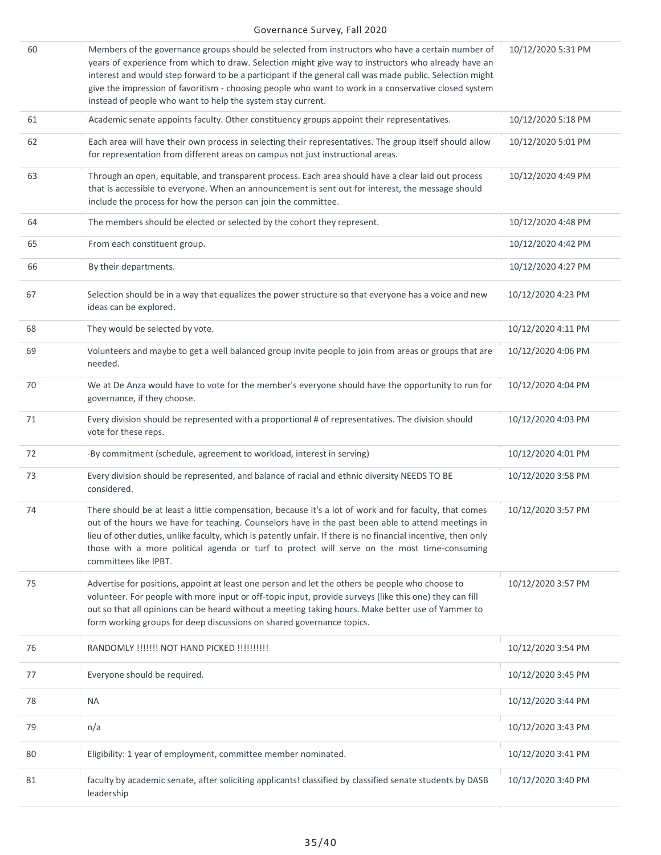| 60 | Members of the governance groups should be selected from instructors who have a certain number of<br>years of experience from which to draw. Selection might give way to instructors who already have an<br>interest and would step forward to be a participant if the general call was made public. Selection might<br>give the impression of favoritism - choosing people who want to work in a conservative closed system<br>instead of people who want to help the system stay current. | 10/12/2020 5:31 PM |
|----|---------------------------------------------------------------------------------------------------------------------------------------------------------------------------------------------------------------------------------------------------------------------------------------------------------------------------------------------------------------------------------------------------------------------------------------------------------------------------------------------|--------------------|
| 61 | Academic senate appoints faculty. Other constituency groups appoint their representatives.                                                                                                                                                                                                                                                                                                                                                                                                  | 10/12/2020 5:18 PM |
| 62 | Each area will have their own process in selecting their representatives. The group itself should allow<br>for representation from different areas on campus not just instructional areas.                                                                                                                                                                                                                                                                                                  | 10/12/2020 5:01 PM |
| 63 | Through an open, equitable, and transparent process. Each area should have a clear laid out process<br>that is accessible to everyone. When an announcement is sent out for interest, the message should<br>include the process for how the person can join the committee.                                                                                                                                                                                                                  | 10/12/2020 4:49 PM |
| 64 | The members should be elected or selected by the cohort they represent.                                                                                                                                                                                                                                                                                                                                                                                                                     | 10/12/2020 4:48 PM |
| 65 | From each constituent group.                                                                                                                                                                                                                                                                                                                                                                                                                                                                | 10/12/2020 4:42 PM |
| 66 | By their departments.                                                                                                                                                                                                                                                                                                                                                                                                                                                                       | 10/12/2020 4:27 PM |
| 67 | Selection should be in a way that equalizes the power structure so that everyone has a voice and new<br>ideas can be explored.                                                                                                                                                                                                                                                                                                                                                              | 10/12/2020 4:23 PM |
| 68 | They would be selected by vote.                                                                                                                                                                                                                                                                                                                                                                                                                                                             | 10/12/2020 4:11 PM |
| 69 | Volunteers and maybe to get a well balanced group invite people to join from areas or groups that are<br>needed.                                                                                                                                                                                                                                                                                                                                                                            | 10/12/2020 4:06 PM |
| 70 | We at De Anza would have to vote for the member's everyone should have the opportunity to run for<br>governance, if they choose.                                                                                                                                                                                                                                                                                                                                                            | 10/12/2020 4:04 PM |
| 71 | Every division should be represented with a proportional # of representatives. The division should<br>vote for these reps.                                                                                                                                                                                                                                                                                                                                                                  | 10/12/2020 4:03 PM |
| 72 | -By commitment (schedule, agreement to workload, interest in serving)                                                                                                                                                                                                                                                                                                                                                                                                                       | 10/12/2020 4:01 PM |
| 73 | Every division should be represented, and balance of racial and ethnic diversity NEEDS TO BE<br>considered.                                                                                                                                                                                                                                                                                                                                                                                 | 10/12/2020 3:58 PM |
| 74 | There should be at least a little compensation, because it's a lot of work and for faculty, that comes<br>out of the hours we have for teaching. Counselors have in the past been able to attend meetings in<br>lieu of other duties, unlike faculty, which is patently unfair. If there is no financial incentive, then only<br>those with a more political agenda or turf to protect will serve on the most time-consuming<br>committees like IPBT.                                       | 10/12/2020 3:57 PM |
| 75 | Advertise for positions, appoint at least one person and let the others be people who choose to<br>volunteer. For people with more input or off-topic input, provide surveys (like this one) they can fill<br>out so that all opinions can be heard without a meeting taking hours. Make better use of Yammer to<br>form working groups for deep discussions on shared governance topics.                                                                                                   | 10/12/2020 3:57 PM |
| 76 | RANDOMLY !!!!!!! NOT HAND PICKED !!!!!!!!!!                                                                                                                                                                                                                                                                                                                                                                                                                                                 | 10/12/2020 3:54 PM |
| 77 | Everyone should be required.                                                                                                                                                                                                                                                                                                                                                                                                                                                                | 10/12/2020 3:45 PM |
| 78 | <b>NA</b>                                                                                                                                                                                                                                                                                                                                                                                                                                                                                   | 10/12/2020 3:44 PM |
| 79 | n/a                                                                                                                                                                                                                                                                                                                                                                                                                                                                                         | 10/12/2020 3:43 PM |
| 80 | Eligibility: 1 year of employment, committee member nominated.                                                                                                                                                                                                                                                                                                                                                                                                                              | 10/12/2020 3:41 PM |
| 81 | faculty by academic senate, after soliciting applicants! classified by classified senate students by DASB<br>leadership                                                                                                                                                                                                                                                                                                                                                                     | 10/12/2020 3:40 PM |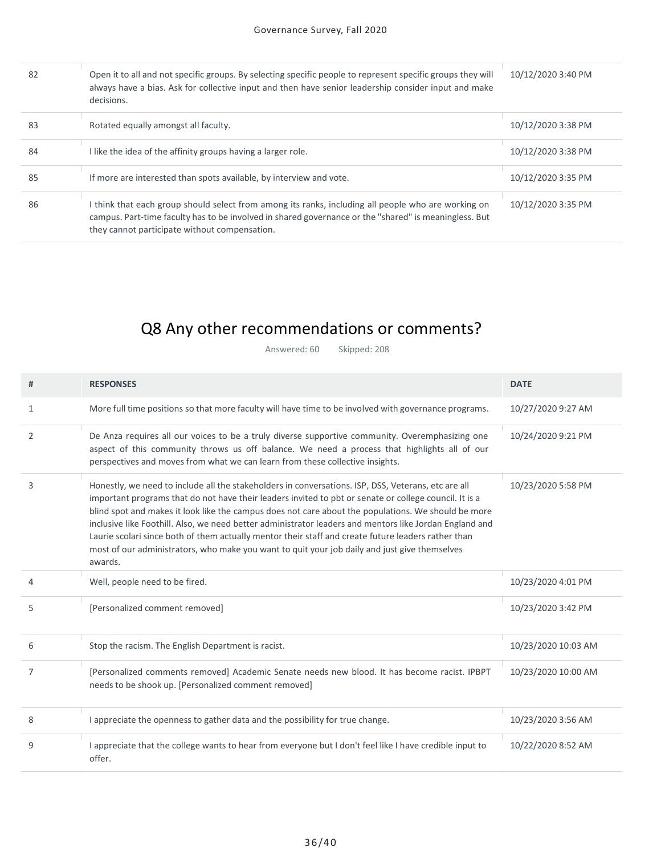| 82 | Open it to all and not specific groups. By selecting specific people to represent specific groups they will<br>always have a bias. Ask for collective input and then have senior leadership consider input and make<br>decisions.                             | 10/12/2020 3:40 PM |
|----|---------------------------------------------------------------------------------------------------------------------------------------------------------------------------------------------------------------------------------------------------------------|--------------------|
| 83 | Rotated equally amongst all faculty.                                                                                                                                                                                                                          | 10/12/2020 3:38 PM |
| 84 | I like the idea of the affinity groups having a larger role.                                                                                                                                                                                                  | 10/12/2020 3:38 PM |
| 85 | If more are interested than spots available, by interview and vote.                                                                                                                                                                                           | 10/12/2020 3:35 PM |
| 86 | I think that each group should select from among its ranks, including all people who are working on<br>campus. Part-time faculty has to be involved in shared governance or the "shared" is meaningless. But<br>they cannot participate without compensation. | 10/12/2020 3:35 PM |

## Q8 Any other recommendations or comments?

Answered: 60 Skipped: 208

| # | <b>RESPONSES</b>                                                                                                                                                                                                                                                                                                                                                                                                                                                                                                                                                                                                                                   | <b>DATE</b>         |
|---|----------------------------------------------------------------------------------------------------------------------------------------------------------------------------------------------------------------------------------------------------------------------------------------------------------------------------------------------------------------------------------------------------------------------------------------------------------------------------------------------------------------------------------------------------------------------------------------------------------------------------------------------------|---------------------|
| 1 | More full time positions so that more faculty will have time to be involved with governance programs.                                                                                                                                                                                                                                                                                                                                                                                                                                                                                                                                              | 10/27/2020 9:27 AM  |
| 2 | De Anza requires all our voices to be a truly diverse supportive community. Overemphasizing one<br>aspect of this community throws us off balance. We need a process that highlights all of our<br>perspectives and moves from what we can learn from these collective insights.                                                                                                                                                                                                                                                                                                                                                                   | 10/24/2020 9:21 PM  |
| 3 | Honestly, we need to include all the stakeholders in conversations. ISP, DSS, Veterans, etc are all<br>important programs that do not have their leaders invited to pbt or senate or college council. It is a<br>blind spot and makes it look like the campus does not care about the populations. We should be more<br>inclusive like Foothill. Also, we need better administrator leaders and mentors like Jordan England and<br>Laurie scolari since both of them actually mentor their staff and create future leaders rather than<br>most of our administrators, who make you want to quit your job daily and just give themselves<br>awards. | 10/23/2020 5:58 PM  |
|   | Well, people need to be fired.                                                                                                                                                                                                                                                                                                                                                                                                                                                                                                                                                                                                                     | 10/23/2020 4:01 PM  |
| 5 | [Personalized comment removed]                                                                                                                                                                                                                                                                                                                                                                                                                                                                                                                                                                                                                     | 10/23/2020 3:42 PM  |
| 6 | Stop the racism. The English Department is racist.                                                                                                                                                                                                                                                                                                                                                                                                                                                                                                                                                                                                 | 10/23/2020 10:03 AM |
| 7 | [Personalized comments removed] Academic Senate needs new blood. It has become racist. IPBPT<br>needs to be shook up. [Personalized comment removed]                                                                                                                                                                                                                                                                                                                                                                                                                                                                                               | 10/23/2020 10:00 AM |
| 8 | I appreciate the openness to gather data and the possibility for true change.                                                                                                                                                                                                                                                                                                                                                                                                                                                                                                                                                                      | 10/23/2020 3:56 AM  |
| 9 | I appreciate that the college wants to hear from everyone but I don't feel like I have credible input to<br>offer.                                                                                                                                                                                                                                                                                                                                                                                                                                                                                                                                 | 10/22/2020 8:52 AM  |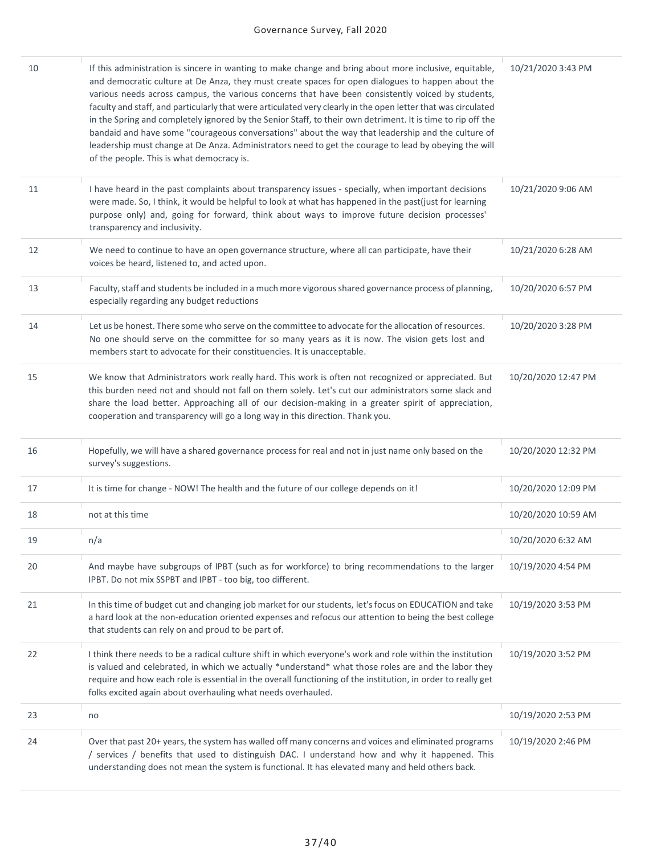| 10 | If this administration is sincere in wanting to make change and bring about more inclusive, equitable,<br>and democratic culture at De Anza, they must create spaces for open dialogues to happen about the<br>various needs across campus, the various concerns that have been consistently voiced by students,<br>faculty and staff, and particularly that were articulated very clearly in the open letter that was circulated<br>in the Spring and completely ignored by the Senior Staff, to their own detriment. It is time to rip off the<br>bandaid and have some "courageous conversations" about the way that leadership and the culture of<br>leadership must change at De Anza. Administrators need to get the courage to lead by obeying the will<br>of the people. This is what democracy is. | 10/21/2020 3:43 PM  |
|----|-------------------------------------------------------------------------------------------------------------------------------------------------------------------------------------------------------------------------------------------------------------------------------------------------------------------------------------------------------------------------------------------------------------------------------------------------------------------------------------------------------------------------------------------------------------------------------------------------------------------------------------------------------------------------------------------------------------------------------------------------------------------------------------------------------------|---------------------|
| 11 | I have heard in the past complaints about transparency issues - specially, when important decisions<br>were made. So, I think, it would be helpful to look at what has happened in the past(just for learning<br>purpose only) and, going for forward, think about ways to improve future decision processes'<br>transparency and inclusivity.                                                                                                                                                                                                                                                                                                                                                                                                                                                              | 10/21/2020 9:06 AM  |
| 12 | We need to continue to have an open governance structure, where all can participate, have their<br>voices be heard, listened to, and acted upon.                                                                                                                                                                                                                                                                                                                                                                                                                                                                                                                                                                                                                                                            | 10/21/2020 6:28 AM  |
| 13 | Faculty, staff and students be included in a much more vigorous shared governance process of planning,<br>especially regarding any budget reductions                                                                                                                                                                                                                                                                                                                                                                                                                                                                                                                                                                                                                                                        | 10/20/2020 6:57 PM  |
| 14 | Let us be honest. There some who serve on the committee to advocate for the allocation of resources.<br>No one should serve on the committee for so many years as it is now. The vision gets lost and<br>members start to advocate for their constituencies. It is unacceptable.                                                                                                                                                                                                                                                                                                                                                                                                                                                                                                                            | 10/20/2020 3:28 PM  |
| 15 | We know that Administrators work really hard. This work is often not recognized or appreciated. But<br>this burden need not and should not fall on them solely. Let's cut our administrators some slack and<br>share the load better. Approaching all of our decision-making in a greater spirit of appreciation,<br>cooperation and transparency will go a long way in this direction. Thank you.                                                                                                                                                                                                                                                                                                                                                                                                          | 10/20/2020 12:47 PM |
| 16 | Hopefully, we will have a shared governance process for real and not in just name only based on the<br>survey's suggestions.                                                                                                                                                                                                                                                                                                                                                                                                                                                                                                                                                                                                                                                                                | 10/20/2020 12:32 PM |
| 17 | It is time for change - NOW! The health and the future of our college depends on it!                                                                                                                                                                                                                                                                                                                                                                                                                                                                                                                                                                                                                                                                                                                        | 10/20/2020 12:09 PM |
| 18 | not at this time                                                                                                                                                                                                                                                                                                                                                                                                                                                                                                                                                                                                                                                                                                                                                                                            | 10/20/2020 10:59 AM |
| 19 | n/a                                                                                                                                                                                                                                                                                                                                                                                                                                                                                                                                                                                                                                                                                                                                                                                                         | 10/20/2020 6:32 AM  |
| 20 | And maybe have subgroups of IPBT (such as for workforce) to bring recommendations to the larger<br>IPBT. Do not mix SSPBT and IPBT - too big, too different.                                                                                                                                                                                                                                                                                                                                                                                                                                                                                                                                                                                                                                                | 10/19/2020 4:54 PM  |
| 21 | In this time of budget cut and changing job market for our students, let's focus on EDUCATION and take<br>a hard look at the non-education oriented expenses and refocus our attention to being the best college<br>that students can rely on and proud to be part of.                                                                                                                                                                                                                                                                                                                                                                                                                                                                                                                                      | 10/19/2020 3:53 PM  |
| 22 | I think there needs to be a radical culture shift in which everyone's work and role within the institution<br>is valued and celebrated, in which we actually *understand* what those roles are and the labor they<br>require and how each role is essential in the overall functioning of the institution, in order to really get<br>folks excited again about overhauling what needs overhauled.                                                                                                                                                                                                                                                                                                                                                                                                           | 10/19/2020 3:52 PM  |
| 23 | no                                                                                                                                                                                                                                                                                                                                                                                                                                                                                                                                                                                                                                                                                                                                                                                                          | 10/19/2020 2:53 PM  |
| 24 | Over that past 20+ years, the system has walled off many concerns and voices and eliminated programs<br>/ services / benefits that used to distinguish DAC. I understand how and why it happened. This<br>understanding does not mean the system is functional. It has elevated many and held others back.                                                                                                                                                                                                                                                                                                                                                                                                                                                                                                  | 10/19/2020 2:46 PM  |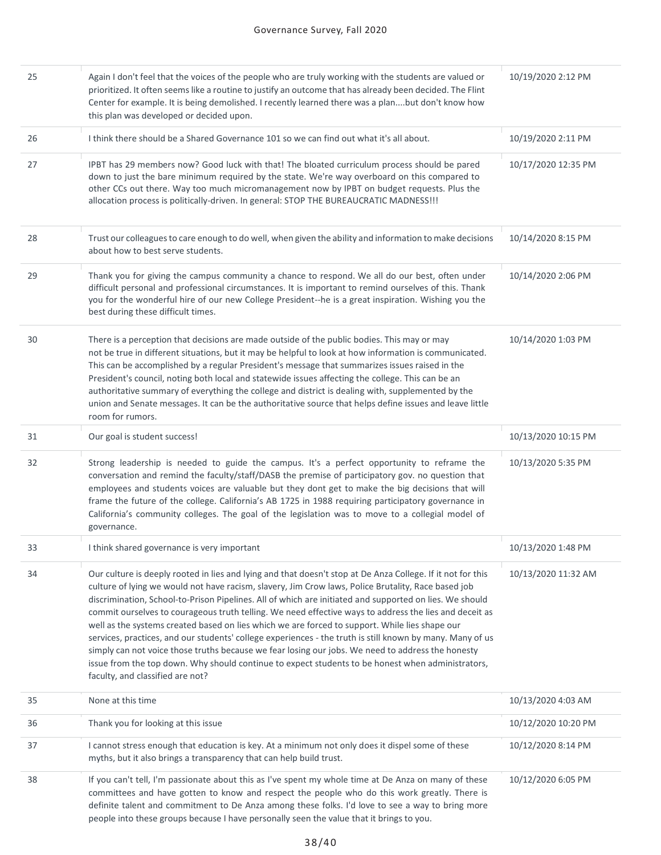| 25 | Again I don't feel that the voices of the people who are truly working with the students are valued or<br>prioritized. It often seems like a routine to justify an outcome that has already been decided. The Flint<br>Center for example. It is being demolished. I recently learned there was a planbut don't know how<br>this plan was developed or decided upon.                                                                                                                                                                                                                                                                                                                                                                                                                                                                                                                                 | 10/19/2020 2:12 PM  |
|----|------------------------------------------------------------------------------------------------------------------------------------------------------------------------------------------------------------------------------------------------------------------------------------------------------------------------------------------------------------------------------------------------------------------------------------------------------------------------------------------------------------------------------------------------------------------------------------------------------------------------------------------------------------------------------------------------------------------------------------------------------------------------------------------------------------------------------------------------------------------------------------------------------|---------------------|
| 26 | I think there should be a Shared Governance 101 so we can find out what it's all about.                                                                                                                                                                                                                                                                                                                                                                                                                                                                                                                                                                                                                                                                                                                                                                                                              | 10/19/2020 2:11 PM  |
| 27 | IPBT has 29 members now? Good luck with that! The bloated curriculum process should be pared<br>down to just the bare minimum required by the state. We're way overboard on this compared to<br>other CCs out there. Way too much micromanagement now by IPBT on budget requests. Plus the<br>allocation process is politically-driven. In general: STOP THE BUREAUCRATIC MADNESS!!!                                                                                                                                                                                                                                                                                                                                                                                                                                                                                                                 | 10/17/2020 12:35 PM |
| 28 | Trust our colleagues to care enough to do well, when given the ability and information to make decisions<br>about how to best serve students.                                                                                                                                                                                                                                                                                                                                                                                                                                                                                                                                                                                                                                                                                                                                                        | 10/14/2020 8:15 PM  |
| 29 | Thank you for giving the campus community a chance to respond. We all do our best, often under<br>difficult personal and professional circumstances. It is important to remind ourselves of this. Thank<br>you for the wonderful hire of our new College President--he is a great inspiration. Wishing you the<br>best during these difficult times.                                                                                                                                                                                                                                                                                                                                                                                                                                                                                                                                                 | 10/14/2020 2:06 PM  |
| 30 | There is a perception that decisions are made outside of the public bodies. This may or may<br>not be true in different situations, but it may be helpful to look at how information is communicated.<br>This can be accomplished by a regular President's message that summarizes issues raised in the<br>President's council, noting both local and statewide issues affecting the college. This can be an<br>authoritative summary of everything the college and district is dealing with, supplemented by the<br>union and Senate messages. It can be the authoritative source that helps define issues and leave little<br>room for rumors.                                                                                                                                                                                                                                                     | 10/14/2020 1:03 PM  |
| 31 | Our goal is student success!                                                                                                                                                                                                                                                                                                                                                                                                                                                                                                                                                                                                                                                                                                                                                                                                                                                                         | 10/13/2020 10:15 PM |
| 32 | Strong leadership is needed to guide the campus. It's a perfect opportunity to reframe the<br>conversation and remind the faculty/staff/DASB the premise of participatory gov. no question that<br>employees and students voices are valuable but they dont get to make the big decisions that will<br>frame the future of the college. California's AB 1725 in 1988 requiring participatory governance in<br>California's community colleges. The goal of the legislation was to move to a collegial model of<br>governance.                                                                                                                                                                                                                                                                                                                                                                        | 10/13/2020 5:35 PM  |
| 33 | I think shared governance is very important                                                                                                                                                                                                                                                                                                                                                                                                                                                                                                                                                                                                                                                                                                                                                                                                                                                          | 10/13/2020 1:48 PM  |
| 34 | Our culture is deeply rooted in lies and lying and that doesn't stop at De Anza College. If it not for this<br>culture of lying we would not have racism, slavery, Jim Crow laws, Police Brutality, Race based job<br>discrimination, School-to-Prison Pipelines. All of which are initiated and supported on lies. We should<br>commit ourselves to courageous truth telling. We need effective ways to address the lies and deceit as<br>well as the systems created based on lies which we are forced to support. While lies shape our<br>services, practices, and our students' college experiences - the truth is still known by many. Many of us<br>simply can not voice those truths because we fear losing our jobs. We need to address the honesty<br>issue from the top down. Why should continue to expect students to be honest when administrators,<br>faculty, and classified are not? | 10/13/2020 11:32 AM |
| 35 | None at this time                                                                                                                                                                                                                                                                                                                                                                                                                                                                                                                                                                                                                                                                                                                                                                                                                                                                                    | 10/13/2020 4:03 AM  |
| 36 | Thank you for looking at this issue                                                                                                                                                                                                                                                                                                                                                                                                                                                                                                                                                                                                                                                                                                                                                                                                                                                                  | 10/12/2020 10:20 PM |
| 37 | I cannot stress enough that education is key. At a minimum not only does it dispel some of these<br>myths, but it also brings a transparency that can help build trust.                                                                                                                                                                                                                                                                                                                                                                                                                                                                                                                                                                                                                                                                                                                              | 10/12/2020 8:14 PM  |
| 38 | If you can't tell, I'm passionate about this as I've spent my whole time at De Anza on many of these<br>committees and have gotten to know and respect the people who do this work greatly. There is<br>definite talent and commitment to De Anza among these folks. I'd love to see a way to bring more<br>people into these groups because I have personally seen the value that it brings to you.                                                                                                                                                                                                                                                                                                                                                                                                                                                                                                 | 10/12/2020 6:05 PM  |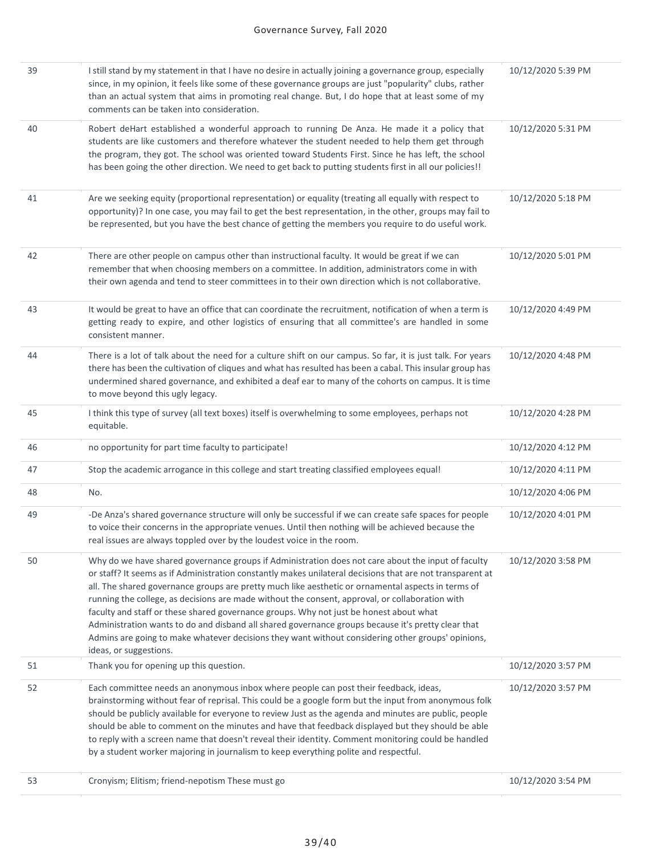| 39 | I still stand by my statement in that I have no desire in actually joining a governance group, especially<br>since, in my opinion, it feels like some of these governance groups are just "popularity" clubs, rather<br>than an actual system that aims in promoting real change. But, I do hope that at least some of my<br>comments can be taken into consideration.                                                                                                                                                                                                                                                                                                                                                                                  | 10/12/2020 5:39 PM |
|----|---------------------------------------------------------------------------------------------------------------------------------------------------------------------------------------------------------------------------------------------------------------------------------------------------------------------------------------------------------------------------------------------------------------------------------------------------------------------------------------------------------------------------------------------------------------------------------------------------------------------------------------------------------------------------------------------------------------------------------------------------------|--------------------|
| 40 | Robert deHart established a wonderful approach to running De Anza. He made it a policy that<br>students are like customers and therefore whatever the student needed to help them get through<br>the program, they got. The school was oriented toward Students First. Since he has left, the school<br>has been going the other direction. We need to get back to putting students first in all our policies!!                                                                                                                                                                                                                                                                                                                                         | 10/12/2020 5:31 PM |
| 41 | Are we seeking equity (proportional representation) or equality (treating all equally with respect to<br>opportunity)? In one case, you may fail to get the best representation, in the other, groups may fail to<br>be represented, but you have the best chance of getting the members you require to do useful work.                                                                                                                                                                                                                                                                                                                                                                                                                                 | 10/12/2020 5:18 PM |
| 42 | There are other people on campus other than instructional faculty. It would be great if we can<br>remember that when choosing members on a committee. In addition, administrators come in with<br>their own agenda and tend to steer committees in to their own direction which is not collaborative.                                                                                                                                                                                                                                                                                                                                                                                                                                                   | 10/12/2020 5:01 PM |
| 43 | It would be great to have an office that can coordinate the recruitment, notification of when a term is<br>getting ready to expire, and other logistics of ensuring that all committee's are handled in some<br>consistent manner.                                                                                                                                                                                                                                                                                                                                                                                                                                                                                                                      | 10/12/2020 4:49 PM |
| 44 | There is a lot of talk about the need for a culture shift on our campus. So far, it is just talk. For years<br>there has been the cultivation of cliques and what has resulted has been a cabal. This insular group has<br>undermined shared governance, and exhibited a deaf ear to many of the cohorts on campus. It is time<br>to move beyond this ugly legacy.                                                                                                                                                                                                                                                                                                                                                                                      | 10/12/2020 4:48 PM |
| 45 | I think this type of survey (all text boxes) itself is overwhelming to some employees, perhaps not<br>equitable.                                                                                                                                                                                                                                                                                                                                                                                                                                                                                                                                                                                                                                        | 10/12/2020 4:28 PM |
| 46 | no opportunity for part time faculty to participate!                                                                                                                                                                                                                                                                                                                                                                                                                                                                                                                                                                                                                                                                                                    | 10/12/2020 4:12 PM |
| 47 | Stop the academic arrogance in this college and start treating classified employees equal!                                                                                                                                                                                                                                                                                                                                                                                                                                                                                                                                                                                                                                                              | 10/12/2020 4:11 PM |
| 48 | No.                                                                                                                                                                                                                                                                                                                                                                                                                                                                                                                                                                                                                                                                                                                                                     | 10/12/2020 4:06 PM |
| 49 | -De Anza's shared governance structure will only be successful if we can create safe spaces for people<br>to voice their concerns in the appropriate venues. Until then nothing will be achieved because the<br>real issues are always toppled over by the loudest voice in the room.                                                                                                                                                                                                                                                                                                                                                                                                                                                                   | 10/12/2020 4:01 PM |
| 50 | Why do we have shared governance groups if Administration does not care about the input of faculty<br>or staff? It seems as if Administration constantly makes unilateral decisions that are not transparent at<br>all. The shared governance groups are pretty much like aesthetic or ornamental aspects in terms of<br>running the college, as decisions are made without the consent, approval, or collaboration with<br>faculty and staff or these shared governance groups. Why not just be honest about what<br>Administration wants to do and disband all shared governance groups because it's pretty clear that<br>Admins are going to make whatever decisions they want without considering other groups' opinions,<br>ideas, or suggestions. | 10/12/2020 3:58 PM |
| 51 | Thank you for opening up this question.                                                                                                                                                                                                                                                                                                                                                                                                                                                                                                                                                                                                                                                                                                                 | 10/12/2020 3:57 PM |
| 52 | Each committee needs an anonymous inbox where people can post their feedback, ideas,<br>brainstorming without fear of reprisal. This could be a google form but the input from anonymous folk<br>should be publicly available for everyone to review Just as the agenda and minutes are public, people<br>should be able to comment on the minutes and have that feedback displayed but they should be able<br>to reply with a screen name that doesn't reveal their identity. Comment monitoring could be handled<br>by a student worker majoring in journalism to keep everything polite and respectful.                                                                                                                                              | 10/12/2020 3:57 PM |
| 53 | Cronyism; Elitism; friend-nepotism These must go                                                                                                                                                                                                                                                                                                                                                                                                                                                                                                                                                                                                                                                                                                        | 10/12/2020 3:54 PM |